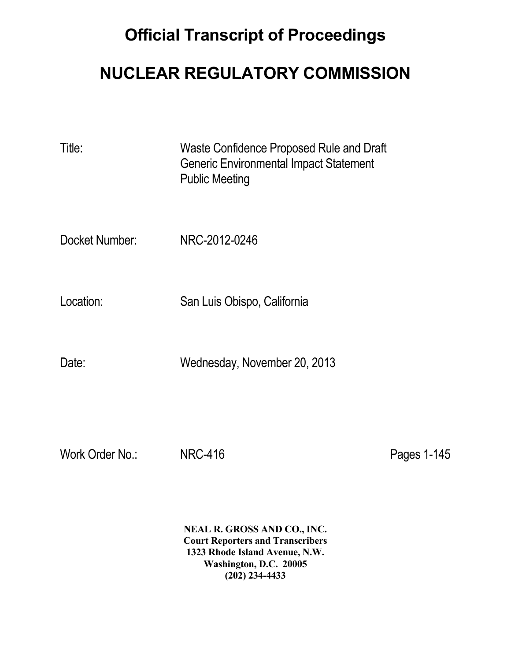## **Official Transcript of Proceedings**

## **NUCLEAR REGULATORY COMMISSION**

| Title:          | Waste Confidence Proposed Rule and Draft<br><b>Generic Environmental Impact Statement</b><br><b>Public Meeting</b> |             |
|-----------------|--------------------------------------------------------------------------------------------------------------------|-------------|
| Docket Number:  | NRC-2012-0246                                                                                                      |             |
| Location:       | San Luis Obispo, California                                                                                        |             |
| Date:           | Wednesday, November 20, 2013                                                                                       |             |
|                 |                                                                                                                    |             |
| Work Order No.: | <b>NRC-416</b>                                                                                                     | Pages 1-145 |

 **NEAL R. GROSS AND CO., INC. Court Reporters and Transcribers 1323 Rhode Island Avenue, N.W. Washington, D.C. 20005 (202) 234-4433**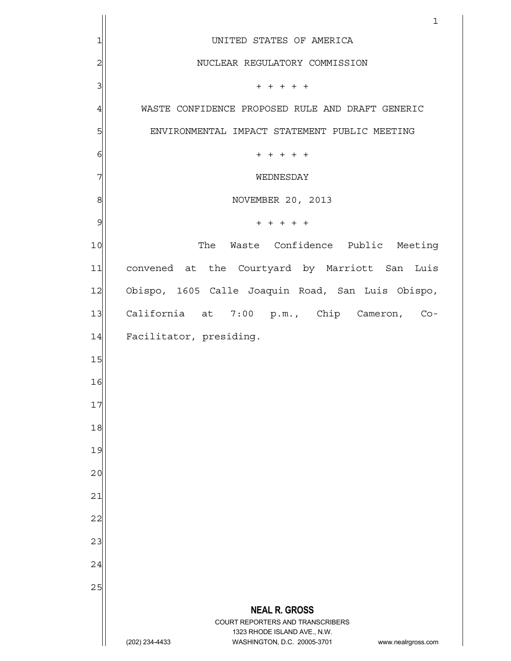|                         | 1                                                                                        |
|-------------------------|------------------------------------------------------------------------------------------|
| 1                       | UNITED STATES OF AMERICA                                                                 |
| $\overline{\mathbf{c}}$ | NUCLEAR REGULATORY COMMISSION                                                            |
| 3                       | $+ + + + + +$                                                                            |
| $\overline{4}$          | WASTE CONFIDENCE PROPOSED RULE AND DRAFT GENERIC                                         |
| 5                       | ENVIRONMENTAL IMPACT STATEMENT PUBLIC MEETING                                            |
| $\epsilon$              | $+ + + + + +$                                                                            |
| 7                       | WEDNESDAY                                                                                |
| 8                       | NOVEMBER 20, 2013                                                                        |
| 9                       | $+ + + + + +$                                                                            |
| 10                      | The Waste Confidence Public Meeting                                                      |
| 11                      | convened at the Courtyard by Marriott San Luis                                           |
| 12                      | Obispo, 1605 Calle Joaquin Road, San Luis Obispo,                                        |
| 13                      | California at 7:00 p.m., Chip Cameron, Co-                                               |
| 14                      | Facilitator, presiding.                                                                  |
| 15                      |                                                                                          |
| 16                      |                                                                                          |
| 17                      |                                                                                          |
| 18                      |                                                                                          |
| 19                      |                                                                                          |
| 20                      |                                                                                          |
| 21                      |                                                                                          |
| 22                      |                                                                                          |
| 23                      |                                                                                          |
| 24                      |                                                                                          |
| 25                      |                                                                                          |
|                         | <b>NEAL R. GROSS</b><br>COURT REPORTERS AND TRANSCRIBERS<br>1323 RHODE ISLAND AVE., N.W. |
|                         | (202) 234-4433<br>WASHINGTON, D.C. 20005-3701<br>www.nealrgross.com                      |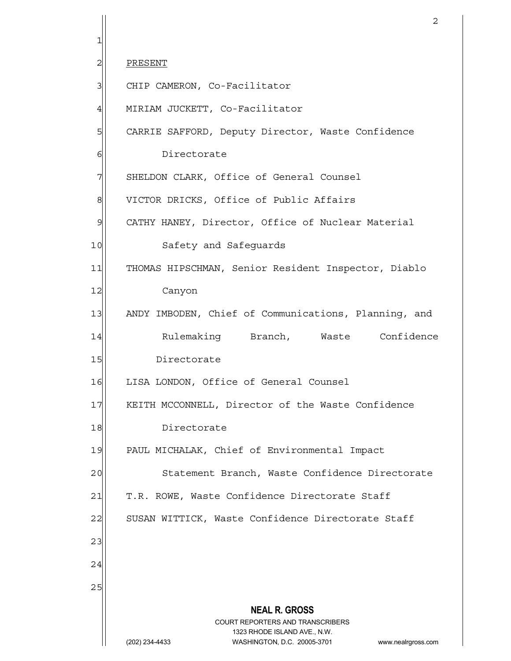**NEAL R. GROSS** COURT REPORTERS AND TRANSCRIBERS 1323 RHODE ISLAND AVE., N.W. (202) 234-4433 WASHINGTON, D.C. 20005-3701 www.nealrgross.com 2<sup>1</sup> PRESENT 3 CHIP CAMERON, Co-Facilitator 4 MIRIAM JUCKETT, Co-Facilitator 5 CARRIE SAFFORD, Deputy Director, Waste Confidence 6 **6** Directorate 7 SHELDON CLARK, Office of General Counsel 8 VICTOR DRICKS, Office of Public Affairs 9 CATHY HANEY, Director, Office of Nuclear Material 10 Safety and Safeguards 11 THOMAS HIPSCHMAN, Senior Resident Inspector, Diablo 12 Canyon 13 ANDY IMBODEN, Chief of Communications, Planning, and 14 Rulemaking Branch, Waste Confidence 15 Directorate 16 LISA LONDON, Office of General Counsel 17 | KEITH MCCONNELL, Director of the Waste Confidence 18 Directorate 19 PAUL MICHALAK, Chief of Environmental Impact 20 Statement Branch, Waste Confidence Directorate 21 | T.R. ROWE, Waste Confidence Directorate Staff 22 SUSAN WITTICK, Waste Confidence Directorate Staff 23 24 25

1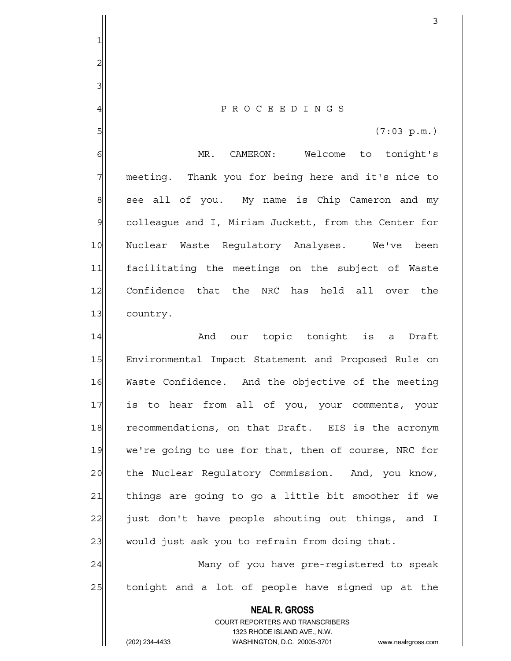4 P R O C E E D I N G S

 $5 \vert$  (7:03 p.m.)

6 MR. CAMERON: Welcome to tonight's 7 meeting. Thank you for being here and it's nice to  $8$  see all of you. My name is Chip Cameron and my 9 colleague and I, Miriam Juckett, from the Center for 10 Nuclear Waste Regulatory Analyses. We've been 11 facilitating the meetings on the subject of Waste 12 Confidence that the NRC has held all over the 13 country.

14 and our topic tonight is a Draft 15 Environmental Impact Statement and Proposed Rule on 16 Waste Confidence. And the objective of the meeting 17 is to hear from all of you, your comments, your 18 recommendations, on that Draft. EIS is the acronym 19 we're going to use for that, then of course, NRC for 20 the Nuclear Requlatory Commission. And, you know, 21 | things are going to go a little bit smoother if we 22 just don't have people shouting out things, and I 23 would just ask you to refrain from doing that.

24 Many of you have pre-registered to speak 25 tonight and a lot of people have signed up at the

> **NEAL R. GROSS** COURT REPORTERS AND TRANSCRIBERS 1323 RHODE ISLAND AVE., N.W. (202) 234-4433 WASHINGTON, D.C. 20005-3701 www.nealrgross.com

1

2

3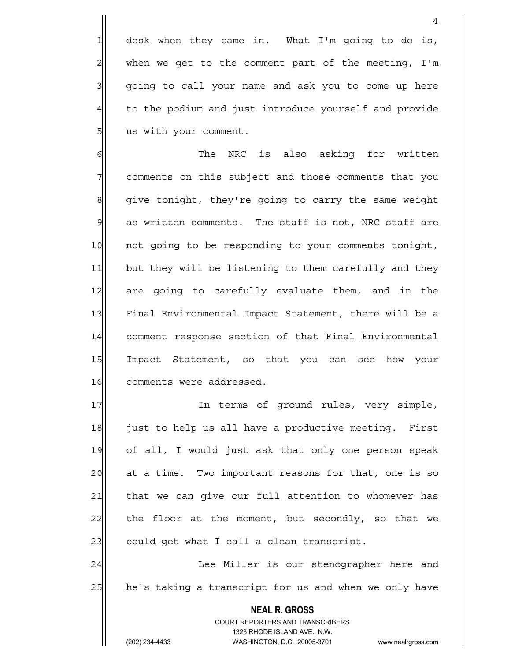1 desk when they came in. What I'm going to do is,  $2$  when we get to the comment part of the meeting, I'm 3 | going to call your name and ask you to come up here 4 to the podium and just introduce yourself and provide 5 | us with your comment.

4

6 6 The NRC is also asking for written 7 7 comments on this subject and those comments that you 8 give tonight, they're going to carry the same weight 9 as written comments. The staff is not, NRC staff are 10 not going to be responding to your comments tonight, 11| but they will be listening to them carefully and they 12 are going to carefully evaluate them, and in the 13 Final Environmental Impact Statement, there will be a 14 comment response section of that Final Environmental 15 Impact Statement, so that you can see how your 16 comments were addressed.

17 In terms of ground rules, very simple, 18 just to help us all have a productive meeting. First 19 of all, I would just ask that only one person speak 20 at a time. Two important reasons for that, one is so 21 that we can give our full attention to whomever has 22 the floor at the moment, but secondly, so that we 23 could get what I call a clean transcript.

24 | Lee Miller is our stenographer here and 25 he's taking a transcript for us and when we only have

> **NEAL R. GROSS** COURT REPORTERS AND TRANSCRIBERS 1323 RHODE ISLAND AVE., N.W.

(202) 234-4433 WASHINGTON, D.C. 20005-3701 www.nealrgross.com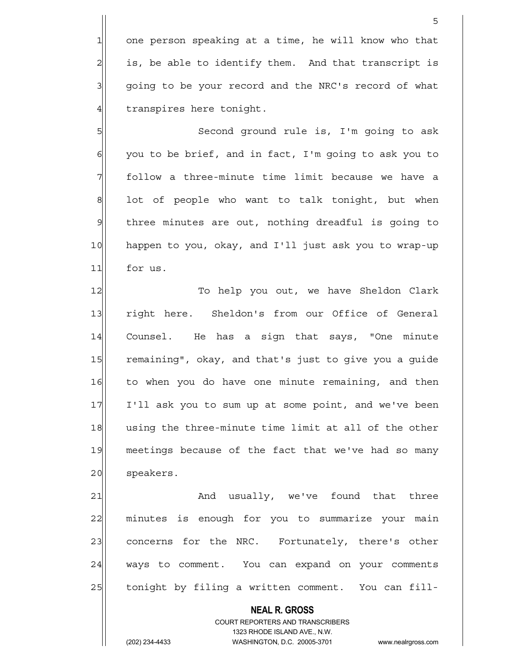1 one person speaking at a time, he will know who that  $2$  is, be able to identify them. And that transcript is 3 | going to be your record and the NRC's record of what  $4$  transpires here tonight.

<u>5</u>

5 Second ground rule is, I'm going to ask  $6$  you to be brief, and in fact, I'm going to ask you to 7 follow a three-minute time limit because we have a  $8$  lot of people who want to talk tonight, but when  $9$  three minutes are out, nothing dreadful is going to 10 happen to you, okay, and I'll just ask you to wrap-up 11 for us.

12 To help you out, we have Sheldon Clark 13 right here. Sheldon's from our Office of General 14 Counsel. He has a sign that says, "One minute 15 remaining", okay, and that's just to give you a guide 16 to when you do have one minute remaining, and then 17 I'll ask you to sum up at some point, and we've been 18 using the three-minute time limit at all of the other 19 meetings because of the fact that we've had so many 20 speakers.

21 and usually, we've found that three 22 minutes is enough for you to summarize your main 23 concerns for the NRC. Fortunately, there's other 24 ways to comment. You can expand on your comments 25 tonight by filing a written comment. You can fill-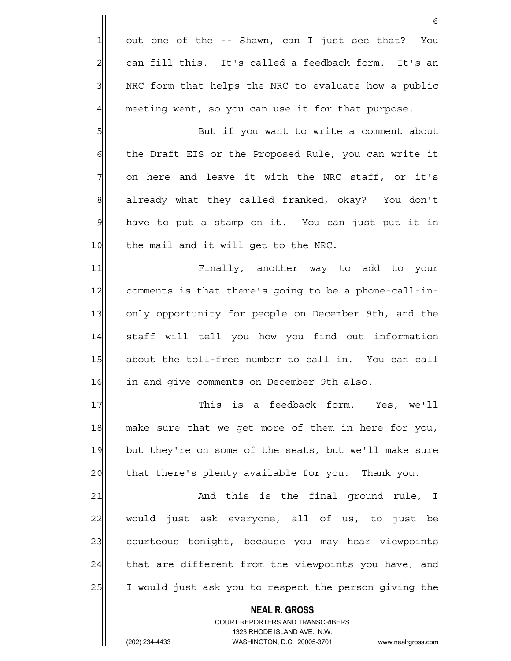$1$  out one of the -- Shawn, can I just see that? You  $2$  can fill this. It's called a feedback form. It's an 3 NRC form that helps the NRC to evaluate how a public 4 meeting went, so you can use it for that purpose.

5 But if you want to write a comment about 6 6 6 the Draft EIS or the Proposed Rule, you can write it  $7$  on here and leave it with the NRC staff, or it's 8 already what they called franked, okay? You don't 9 have to put a stamp on it. You can just put it in 10 the mail and it will get to the NRC.

11 Finally, another way to add to your 12 comments is that there's going to be a phone-call-in-13 only opportunity for people on December 9th, and the 14 staff will tell you how you find out information 15 about the toll-free number to call in. You can call 16 in and give comments on December 9th also.

17 This is a feedback form. Yes, we'll 18 make sure that we get more of them in here for you, 19 but they're on some of the seats, but we'll make sure 20 that there's plenty available for you. Thank you.

21 and this is the final ground rule, I 22 would just ask everyone, all of us, to just be 23 courteous tonight, because you may hear viewpoints  $24$  that are different from the viewpoints you have, and 25 I would just ask you to respect the person giving the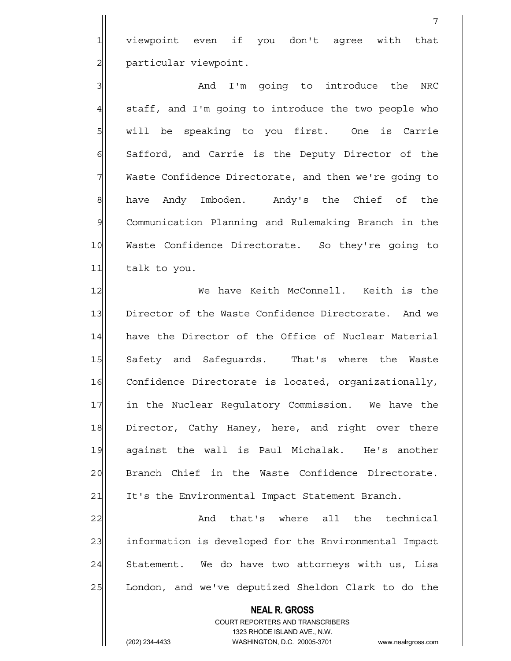1 viewpoint even if you don't agree with that 2 | particular viewpoint.

3 and I'm going to introduce the NRC  $4$  staff, and I'm going to introduce the two people who 5 will be speaking to you first. One is Carrie 6 Safford, and Carrie is the Deputy Director of the 7 Waste Confidence Directorate, and then we're going to 8| have Andy Imboden. Andy's the Chief of the 9 Communication Planning and Rulemaking Branch in the 10 Waste Confidence Directorate. So they're going to 11 talk to you.

12 We have Keith McConnell. Keith is the 13 Director of the Waste Confidence Directorate. And we 14 have the Director of the Office of Nuclear Material 15 Safety and Safequards. That's where the Waste 16 Confidence Directorate is located, organizationally, 17 1 in the Nuclear Regulatory Commission. We have the 18 Director, Cathy Haney, here, and right over there 19 against the wall is Paul Michalak. He's another 20 Branch Chief in the Waste Confidence Directorate. 21 It's the Environmental Impact Statement Branch.

22 And that's where all the technical 23 information is developed for the Environmental Impact  $24$  Statement. We do have two attorneys with us, Lisa 25 London, and we've deputized Sheldon Clark to do the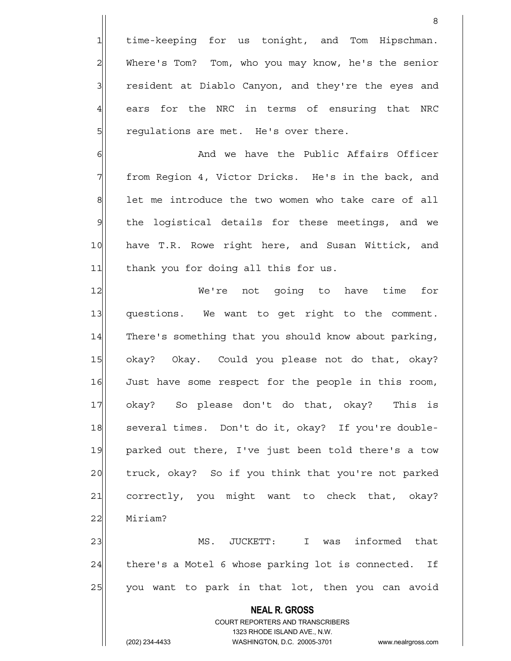1 time-keeping for us tonight, and Tom Hipschman. 2 Where's Tom? Tom, who you may know, he's the senior 3 3 resident at Diablo Canyon, and they're the eyes and  $4$  ears for the NRC in terms of ensuring that NRC 5 5 5 5 regulations are met. He's over there.

en de la construction de la construction de la construction de la construction de la construction de la constr<br>En 1980, le construction de la construction de la construction de la construction de la construction de la con

6 6 And we have the Public Affairs Officer 7 | from Region 4, Victor Dricks. He's in the back, and  $8$  let me introduce the two women who take care of all 9 | the logistical details for these meetings, and we 10 have T.R. Rowe right here, and Susan Wittick, and 11 thank you for doing all this for us.

12 We're not going to have time for 13 questions. We want to get right to the comment. 14 There's something that you should know about parking, 15 okay? Okay. Could you please not do that, okay? 16 Just have some respect for the people in this room, 17 okay? So please don't do that, okay? This is 18 Several times. Don't do it, okay? If you're double-19 parked out there, I've just been told there's a tow 20 truck, okay? So if you think that you're not parked 21 correctly, you might want to check that, okay? 22 Miriam?

23 MS. JUCKETT: I was informed that  $24$  there's a Motel 6 whose parking lot is connected. If 25 you want to park in that lot, then you can avoid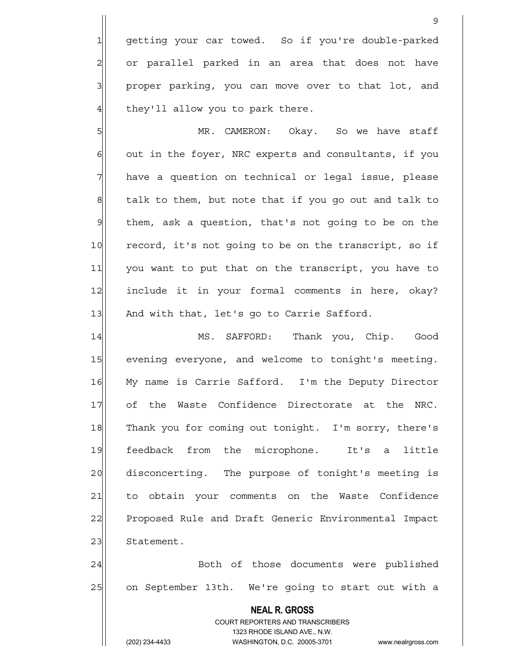1 getting your car towed. So if you're double-parked 2 or parallel parked in an area that does not have 3 | proper parking, you can move over to that lot, and  $4$  they'll allow you to park there.

9

5 MR. CAMERON: Okay. So we have staff  $6$  out in the foyer, NRC experts and consultants, if you 7 have a question on technical or legal issue, please  $8$  talk to them, but note that if you go out and talk to 9 | them, ask a question, that's not going to be on the 10 record, it's not going to be on the transcript, so if 11| you want to put that on the transcript, you have to 12 include it in your formal comments in here, okay? 13 And with that, let's go to Carrie Safford.

14 MS. SAFFORD: Thank you, Chip. Good 15 evening everyone, and welcome to tonight's meeting. 16 My name is Carrie Safford. I'm the Deputy Director 17 of the Waste Confidence Directorate at the NRC. 18 Thank you for coming out tonight. I'm sorry, there's 19 feedback from the microphone. It's a little 20 disconcerting. The purpose of tonight's meeting is 21 to obtain your comments on the Waste Confidence 22 Proposed Rule and Draft Generic Environmental Impact 23 Statement.

24 Both of those documents were published 25 on September 13th. We're going to start out with a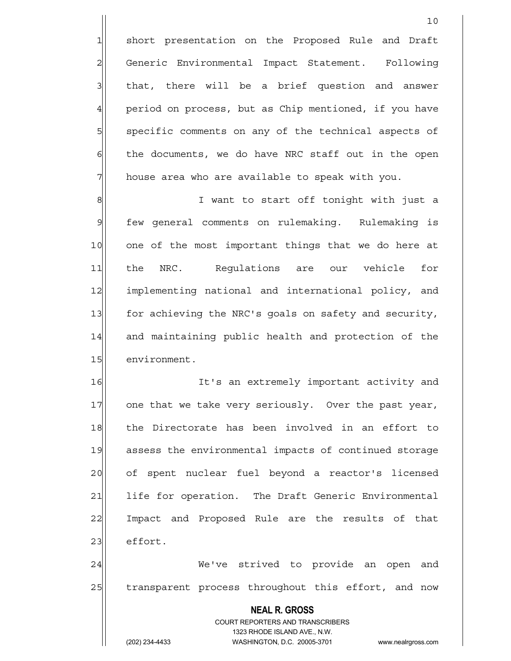1 short presentation on the Proposed Rule and Draft 2 Generic Environmental Impact Statement. Following 3 | that, there will be a brief question and answer 4 period on process, but as Chip mentioned, if you have 5 | specific comments on any of the technical aspects of  $6$  the documents, we do have NRC staff out in the open  $7$  house area who are available to speak with you.

8 8 I want to start off tonight with just a 9 few general comments on rulemaking. Rulemaking is 10 one of the most important things that we do here at 11 the NRC. Regulations are our vehicle for 12 implementing national and international policy, and 13 for achieving the NRC's goals on safety and security, 14 and maintaining public health and protection of the 15 environment.

16 It's an extremely important activity and 17 one that we take very seriously. Over the past year, 18 the Directorate has been involved in an effort to 19 assess the environmental impacts of continued storage 20 of spent nuclear fuel beyond a reactor's licensed 21 life for operation. The Draft Generic Environmental 22 Impact and Proposed Rule are the results of that 23 effort.

24 | We've strived to provide an open and 25 | transparent process throughout this effort, and now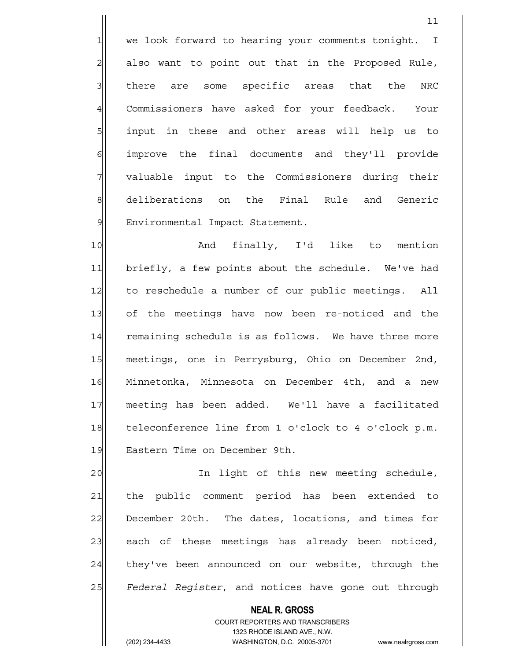1 we look forward to hearing your comments tonight. I  $2$  also want to point out that in the Proposed Rule, 3 I there are some specific areas that the NRC 4 Commissioners have asked for your feedback. Your 5 input in these and other areas will help us to 6 6 6 improve the final documents and they'll provide 7 valuable input to the Commissioners during their 8 deliberations on the Final Rule and Generic 9 Environmental Impact Statement.

 $11$ 

10 and finally, I'd like to mention 11 briefly, a few points about the schedule. We've had 12 to reschedule a number of our public meetings. All 13 of the meetings have now been re-noticed and the 14 remaining schedule is as follows. We have three more 15 meetings, one in Perrysburg, Ohio on December 2nd, 16 Minnetonka, Minnesota on December 4th, and a new 17 meeting has been added. We'll have a facilitated 18 teleconference line from 1 o'clock to 4 o'clock p.m. 19 Eastern Time on December 9th.

20 and 1ight of this new meeting schedule, 21 the public comment period has been extended to 22 December 20th. The dates, locations, and times for 23 each of these meetings has already been noticed,  $24$  they've been announced on our website, through the 25 *Federal Register*, and notices have gone out through

 **NEAL R. GROSS**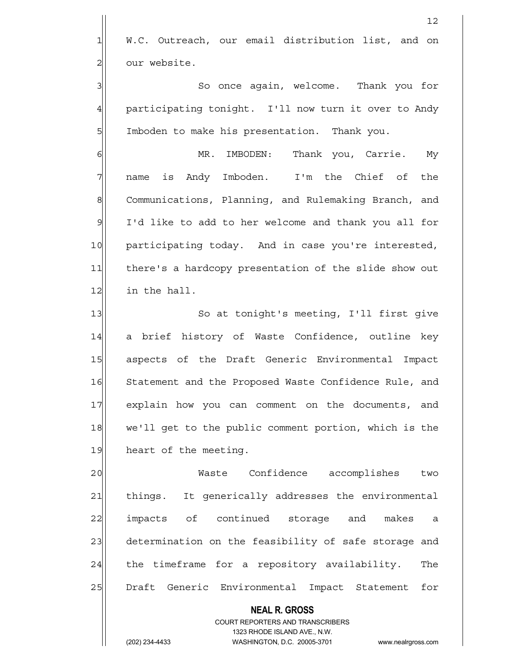1 W.C. Outreach, our email distribution list, and on 2 our website.

12

3|| So once again, welcome. Thank you for 4 participating tonight. I'll now turn it over to Andy 5 Imboden to make his presentation. Thank you.

6 MR. IMBODEN: Thank you, Carrie. My 7 | name is Andy Imboden. I'm the Chief of the 8 Communications, Planning, and Rulemaking Branch, and 9 I'd like to add to her welcome and thank you all for 10 participating today. And in case you're interested, 11 there's a hardcopy presentation of the slide show out  $12$  in the hall.

13 || So at tonight's meeting, I'll first qive 14 a brief history of Waste Confidence, outline key 15 aspects of the Draft Generic Environmental Impact 16 Statement and the Proposed Waste Confidence Rule, and 17 explain how you can comment on the documents, and 18 we'll get to the public comment portion, which is the 19 heart of the meeting.

20 Waste Confidence accomplishes two 21 things. It generically addresses the environmental 22 impacts of continued storage and makes a 23 determination on the feasibility of safe storage and 24 the timeframe for a repository availability. The 25 Draft Generic Environmental Impact Statement for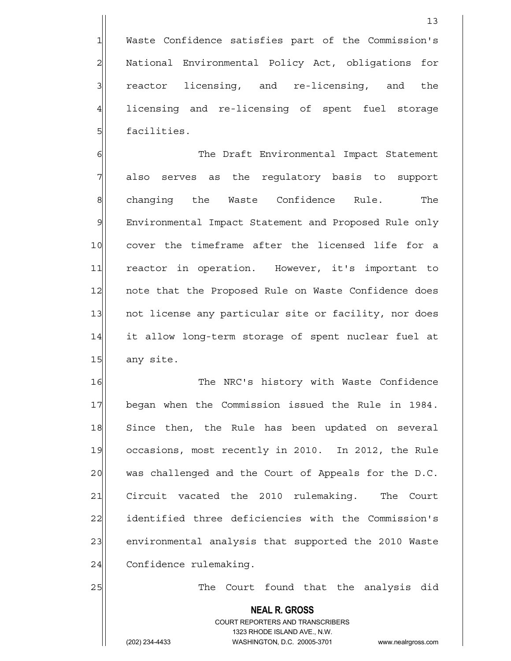1 Waste Confidence satisfies part of the Commission's 2 | National Environmental Policy Act, obligations for 3 3 reactor licensing, and re-licensing, and the 4 licensing and re-licensing of spent fuel storage 5 **5** facilities.

6 6 The Draft Environmental Impact Statement 7 also serves as the regulatory basis to support 8 changing the Waste Confidence Rule. The 9 Environmental Impact Statement and Proposed Rule only 10 cover the timeframe after the licensed life for a 11 reactor in operation. However, it's important to 12 | note that the Proposed Rule on Waste Confidence does 13 not license any particular site or facility, nor does 14 it allow long-term storage of spent nuclear fuel at 15 any site.

16 The NRC's history with Waste Confidence 17 began when the Commission issued the Rule in 1984. 18 Since then, the Rule has been updated on several 19 occasions, most recently in 2010. In 2012, the Rule 20 was challenged and the Court of Appeals for the D.C. 21 Circuit vacated the 2010 rulemaking. The Court 22 identified three deficiencies with the Commission's 23 environmental analysis that supported the 2010 Waste 24 Confidence rulemaking.

25 and 25 The Court found that the analysis did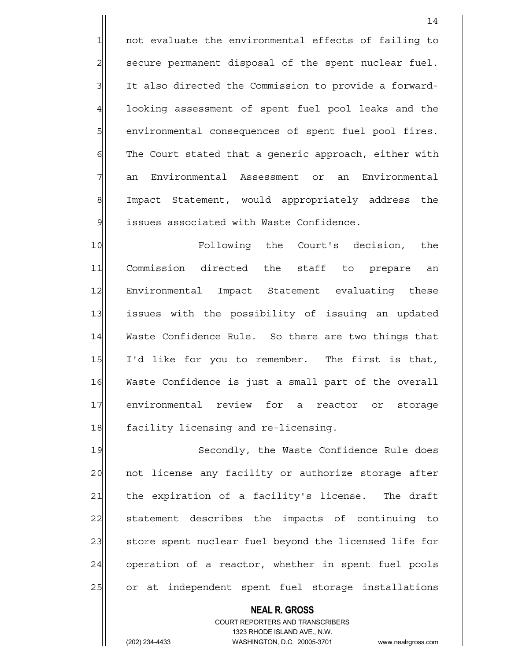1 not evaluate the environmental effects of failing to 2 secure permanent disposal of the spent nuclear fuel. 3 It also directed the Commission to provide a forward-4 looking assessment of spent fuel pool leaks and the 5 5 5 5 show environmental consequences of spent fuel pool fires. 6 | The Court stated that a generic approach, either with 7 an Environmental Assessment or an Environmental 8 Impact Statement, would appropriately address the 9 | issues associated with Waste Confidence.

10 Following the Court's decision, the 11 Commission directed the staff to prepare an 12 Environmental Impact Statement evaluating these 13 13 issues with the possibility of issuing an updated 14 Waste Confidence Rule. So there are two things that 15 I'd like for you to remember. The first is that, 16 Waste Confidence is just a small part of the overall 17 environmental review for a reactor or storage 18 facility licensing and re-licensing.

19 Secondly, the Waste Confidence Rule does 20 | not license any facility or authorize storage after 21 | the expiration of a facility's license. The draft 22 statement describes the impacts of continuing to 23| store spent nuclear fuel beyond the licensed life for 24 operation of a reactor, whether in spent fuel pools 25 or at independent spent fuel storage installations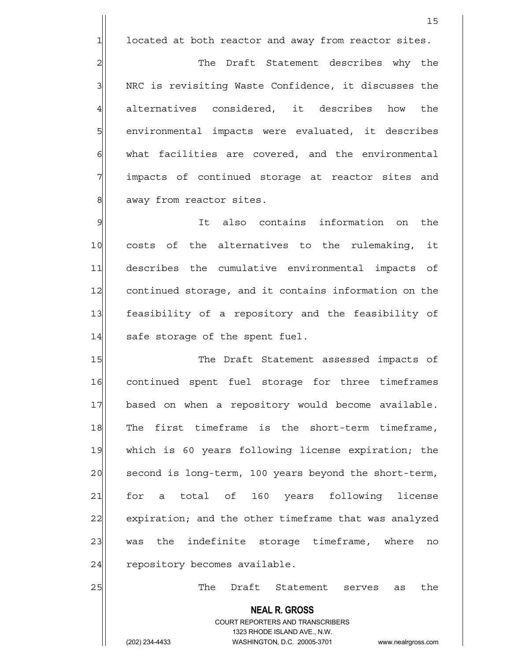$1$  located at both reactor and away from reactor sites.

2 2 The Draft Statement describes why the 3 | NRC is revisiting Waste Confidence, it discusses the 4 alternatives considered, it describes how the 5 | environmental impacts were evaluated, it describes 6| what facilities are covered, and the environmental 7 **impacts** of continued storage at reactor sites and 8 away from reactor sites.

9 It also contains information on the 10 costs of the alternatives to the rulemaking, it 11 describes the cumulative environmental impacts of 12 continued storage, and it contains information on the 13 feasibility of a repository and the feasibility of  $14$  safe storage of the spent fuel.

15 The Draft Statement assessed impacts of 16 continued spent fuel storage for three timeframes 17 based on when a repository would become available. 18 The first timeframe is the short-term timeframe, 19 which is 60 years following license expiration; the 20 second is long-term, 100 years beyond the short-term, 21 for a total of 160 years following license 22 expiration; and the other timeframe that was analyzed 23 was the indefinite storage timeframe, where no  $24$  repository becomes available.

25 as the Draft Statement serves as the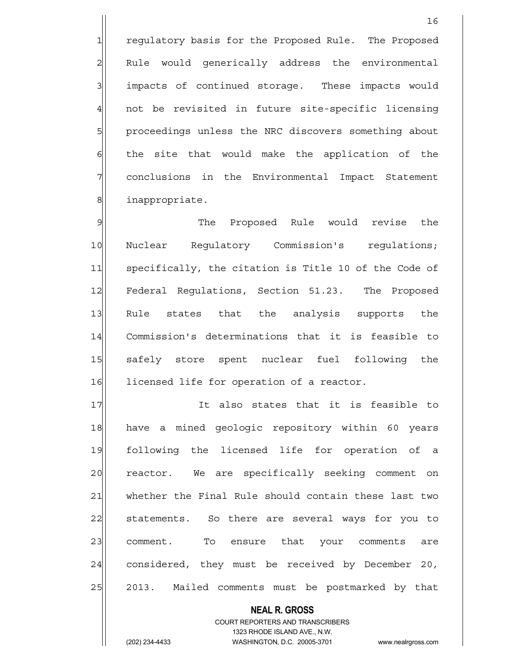1 regulatory basis for the Proposed Rule. The Proposed 2 Rule would generically address the environmental 3 3 impacts of continued storage. These impacts would 4 not be revisited in future site-specific licensing 5 proceedings unless the NRC discovers something about  $6$  the site that would make the application of the 7 conclusions in the Environmental Impact Statement 8 | inappropriate.

9 Solution of the Proposed Rule would revise the 10 Nuclear Regulatory Commission's regulations; 11 specifically, the citation is Title 10 of the Code of 12 Federal Regulations, Section 51.23. The Proposed 13 Rule states that the analysis supports the 14 Commission's determinations that it is feasible to 15 safely store spent nuclear fuel following the 16 licensed life for operation of a reactor.

17 | It also states that it is feasible to 18 have a mined geologic repository within 60 years 19 following the licensed life for operation of a 20 reactor. We are specifically seeking comment on 21 whether the Final Rule should contain these last two 22 statements. So there are several ways for you to 23 comment. To ensure that your comments are 24 considered, they must be received by December 20, 25 2013. Mailed comments must be postmarked by that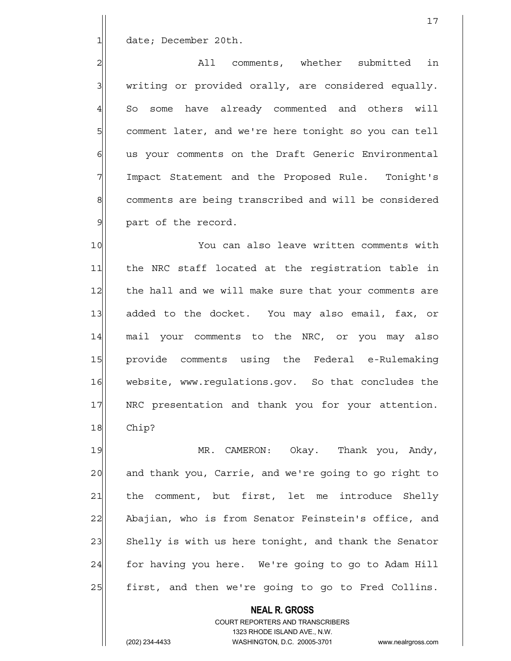1 date; December 20th.

2 all comments, whether submitted in  $3$  writing or provided orally, are considered equally. 4 So some have already commented and others will 5 Squ comment later, and we're here tonight so you can tell 6 6 us your comments on the Draft Generic Environmental 7 Impact Statement and the Proposed Rule. Tonight's 8 comments are being transcribed and will be considered 9 | part of the record.

10 You can also leave written comments with 11 the NRC staff located at the registration table in 12 the hall and we will make sure that your comments are 13 added to the docket. You may also email, fax, or 14 mail your comments to the NRC, or you may also 15 provide comments using the Federal e-Rulemaking 16 website, www.regulations.gov. So that concludes the 17 NRC presentation and thank you for your attention. 18 Chip?

19 MR. CAMERON: Okay. Thank you, Andy, 20 and thank you, Carrie, and we're going to go right to 21 the comment, but first, let me introduce Shelly 22 Abajian, who is from Senator Feinstein's office, and 23 Shelly is with us here tonight, and thank the Senator 24 for having you here. We're going to go to Adam Hill 25 | first, and then we're going to go to Fred Collins.

 **NEAL R. GROSS**

 COURT REPORTERS AND TRANSCRIBERS 1323 RHODE ISLAND AVE., N.W.

(202) 234-4433 WASHINGTON, D.C. 20005-3701 www.nealrgross.com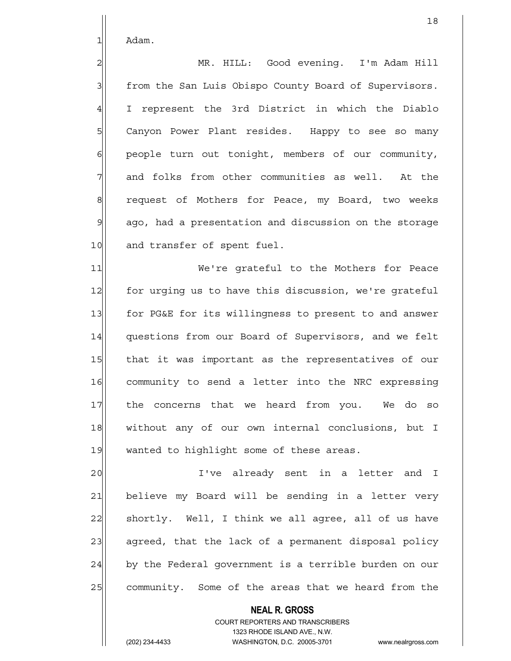1 Adam.

2 MR. HILL: Good evening. I'm Adam Hill 3 | from the San Luis Obispo County Board of Supervisors. 4 I represent the 3rd District in which the Diablo 5 | Canyon Power Plant resides. Happy to see so many  $6$  people turn out tonight, members of our community,  $7$  and folks from other communities as well. At the 8 request of Mothers for Peace, my Board, two weeks 9 ago, had a presentation and discussion on the storage 10 and transfer of spent fuel.

11 We're grateful to the Mothers for Peace 12 for urging us to have this discussion, we're grateful 13 for PG&E for its willingness to present to and answer 14 questions from our Board of Supervisors, and we felt 15 that it was important as the representatives of our 16 community to send a letter into the NRC expressing 17 the concerns that we heard from you. We do so 18 without any of our own internal conclusions, but I 19 wanted to highlight some of these areas.

20| I've already sent in a letter and I 21 believe my Board will be sending in a letter very 22 shortly. Well, I think we all agree, all of us have 23 agreed, that the lack of a permanent disposal policy 24 by the Federal government is a terrible burden on our 25 community. Some of the areas that we heard from the

> **NEAL R. GROSS** COURT REPORTERS AND TRANSCRIBERS 1323 RHODE ISLAND AVE., N.W.

(202) 234-4433 WASHINGTON, D.C. 20005-3701 www.nealrgross.com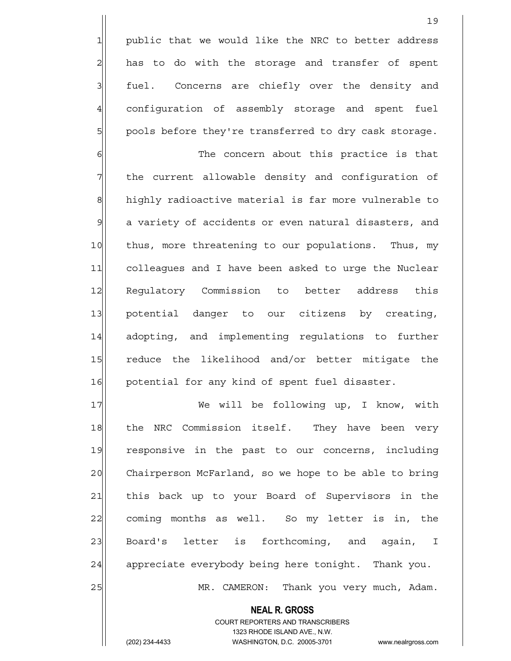1 public that we would like the NRC to better address 2 has to do with the storage and transfer of spent 3 | fuel. Concerns are chiefly over the density and 4 configuration of assembly storage and spent fuel 5 | pools before they're transferred to dry cask storage.

6 6 The concern about this practice is that 7 The current allowable density and configuration of 8 highly radioactive material is far more vulnerable to  $\mathcal{G}$  a variety of accidents or even natural disasters, and 10 thus, more threatening to our populations. Thus, my 11 colleagues and I have been asked to urge the Nuclear 12 Regulatory Commission to better address this 13 potential danger to our citizens by creating, 14 adopting, and implementing regulations to further 15 reduce the likelihood and/or better mitigate the 16 | potential for any kind of spent fuel disaster.

17 We will be following up, I know, with 18 the NRC Commission itself. They have been very 19 responsive in the past to our concerns, including 20 Chairperson McFarland, so we hope to be able to bring 21 | this back up to your Board of Supervisors in the 22 coming months as well. So my letter is in, the 23 Board's letter is forthcoming, and again, I 24 appreciate everybody being here tonight. Thank you. 25 | MR. CAMERON: Thank you very much, Adam.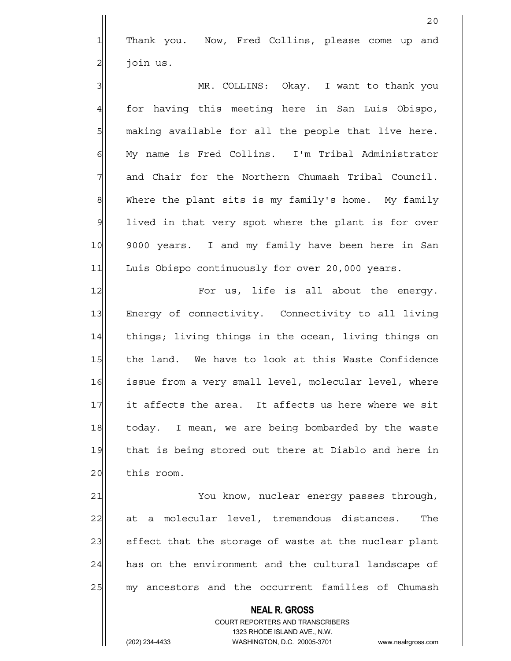1 Thank you. Now, Fred Collins, please come up and 2| join us.

3 MR. COLLINS: Okay. I want to thank you 4 for having this meeting here in San Luis Obispo, 5 | making available for all the people that live here. 6 My name is Fred Collins. I'm Tribal Administrator 7 and Chair for the Northern Chumash Tribal Council. 8 Mhere the plant sits is my family's home. My family 9 lived in that very spot where the plant is for over 10 9000 years. I and my family have been here in San 11 Luis Obispo continuously for over 20,000 years.

12 For us, life is all about the energy. 13 Energy of connectivity. Connectivity to all living 14 things; living things in the ocean, living things on 15 the land. We have to look at this Waste Confidence 16 issue from a very small level, molecular level, where 17 it affects the area. It affects us here where we sit 18 today. I mean, we are being bombarded by the waste 19 that is being stored out there at Diablo and here in 20 this room.

21 You know, nuclear energy passes through, 22 at a molecular level, tremendous distances. The 23 effect that the storage of waste at the nuclear plant 24 has on the environment and the cultural landscape of 25 my ancestors and the occurrent families of Chumash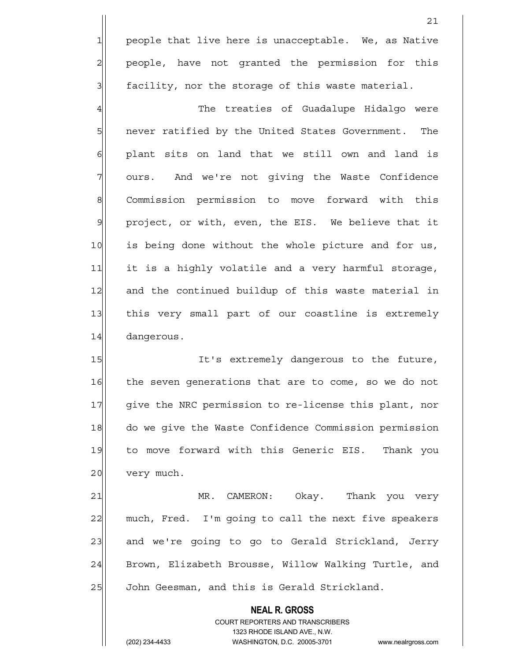1 people that live here is unacceptable. We, as Native 2| people, have not granted the permission for this  $3$  facility, nor the storage of this waste material.

4 The treaties of Guadalupe Hidalgo were 5 5 5 1 never ratified by the United States Government. The  $6$  plant sits on land that we still own and land is 7 ours. And we're not giving the Waste Confidence 8 Commission permission to move forward with this 9 | project, or with, even, the EIS. We believe that it 10 is being done without the whole picture and for us, 11 it is a highly volatile and a very harmful storage, 12 and the continued buildup of this waste material in 13 this very small part of our coastline is extremely 14 dangerous.

15 It's extremely dangerous to the future, 16 the seven generations that are to come, so we do not 17 give the NRC permission to re-license this plant, nor 18 do we give the Waste Confidence Commission permission 19 to move forward with this Generic EIS. Thank you 20 very much.

21 MR. CAMERON: Okay. Thank you very 22 much, Fred. I'm going to call the next five speakers 23 and we're going to go to Gerald Strickland, Jerry 24 Brown, Elizabeth Brousse, Willow Walking Turtle, and 25 | John Geesman, and this is Gerald Strickland.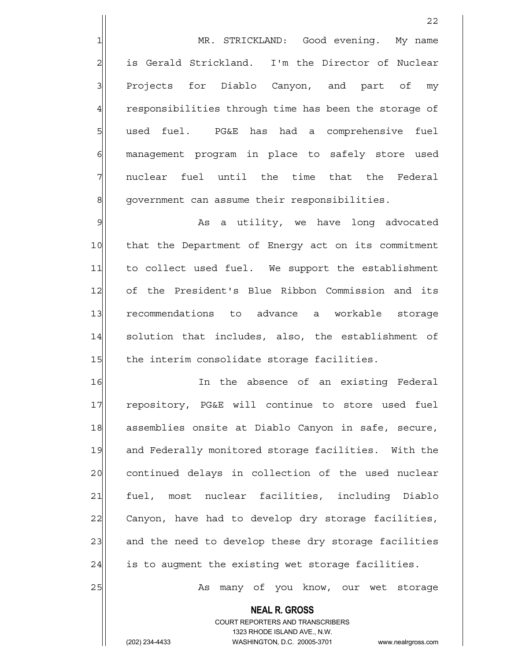1 MR. STRICKLAND: Good evening. My name 2 is Gerald Strickland. I'm the Director of Nuclear 3 Projects for Diablo Canyon, and part of my 4 responsibilities through time has been the storage of 5 | used fuel. PG&E has had a comprehensive fuel 6 6 management program in place to safely store used  $7$  nuclear fuel until the time that the Federal 8 government can assume their responsibilities.

9 Metal and the studies and the study and in the set of the set of the set of the set of the set of the set of 10 that the Department of Energy act on its commitment 11 to collect used fuel. We support the establishment 12 of the President's Blue Ribbon Commission and its 13 recommendations to advance a workable storage 14 solution that includes, also, the establishment of 15 the interim consolidate storage facilities.

16 In the absence of an existing Federal 17 repository, PG&E will continue to store used fuel 18 assemblies onsite at Diablo Canyon in safe, secure, 19 and Federally monitored storage facilities. With the 20 continued delays in collection of the used nuclear 21 fuel, most nuclear facilities, including Diablo 22 Canyon, have had to develop dry storage facilities, 23 and the need to develop these dry storage facilities  $24$  is to augment the existing wet storage facilities.

25 | As many of you know, our wet storage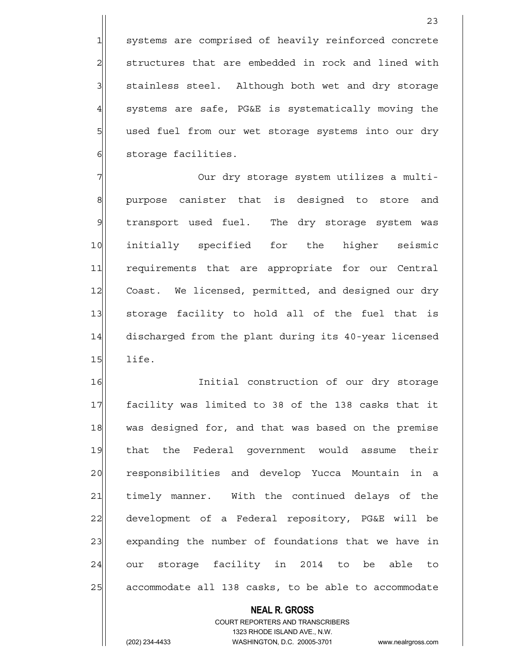1 systems are comprised of heavily reinforced concrete 2 structures that are embedded in rock and lined with 3 | stainless steel. Although both wet and dry storage  $4$  systems are safe, PG&E is systematically moving the 5 s b used fuel from our wet storage systems into our dry 6 | storage facilities.

7 | Our dry storage system utilizes a multi-8 8 purpose canister that is designed to store and 9 | transport used fuel. The dry storage system was 10 initially specified for the higher seismic 11 requirements that are appropriate for our Central 12 Coast. We licensed, permitted, and designed our dry 13 storage facility to hold all of the fuel that is 14 discharged from the plant during its 40-year licensed  $15$  life.

16 Initial construction of our dry storage 17 facility was limited to 38 of the 138 casks that it 18 was designed for, and that was based on the premise 19 that the Federal government would assume their 20 responsibilities and develop Yucca Mountain in a 21 timely manner. With the continued delays of the 22 development of a Federal repository, PG&E will be 23 expanding the number of foundations that we have in 24 our storage facility in 2014 to be able to 25 accommodate all 138 casks, to be able to accommodate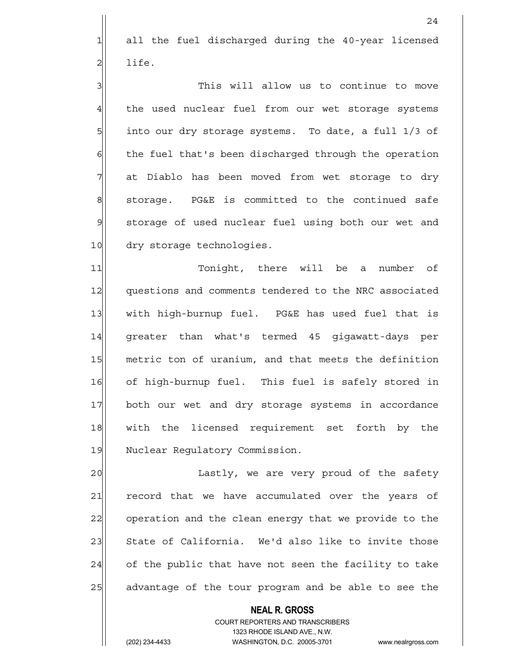1 all the fuel discharged during the 40-year licensed  $2$ | life.

3 3 3 This will allow us to continue to move 4 the used nuclear fuel from our wet storage systems 5 5 5 into our dry storage systems. To date, a full 1/3 of 6 6 6 fuel that's been discharged through the operation 7 at Diablo has been moved from wet storage to dry  $8$  storage. PG&E is committed to the continued safe 9 storage of used nuclear fuel using both our wet and 10 dry storage technologies.

11 Tonight, there will be a number of 12 questions and comments tendered to the NRC associated 13 with high-burnup fuel. PG&E has used fuel that is 14 greater than what's termed 45 gigawatt-days per 15 metric ton of uranium, and that meets the definition 16 of high-burnup fuel. This fuel is safely stored in 17 both our wet and dry storage systems in accordance 18 with the licensed requirement set forth by the 19 Nuclear Regulatory Commission.

20 | Lastly, we are very proud of the safety 21 record that we have accumulated over the years of 22 operation and the clean energy that we provide to the 23 State of California. We'd also like to invite those  $24$  of the public that have not seen the facility to take 25 advantage of the tour program and be able to see the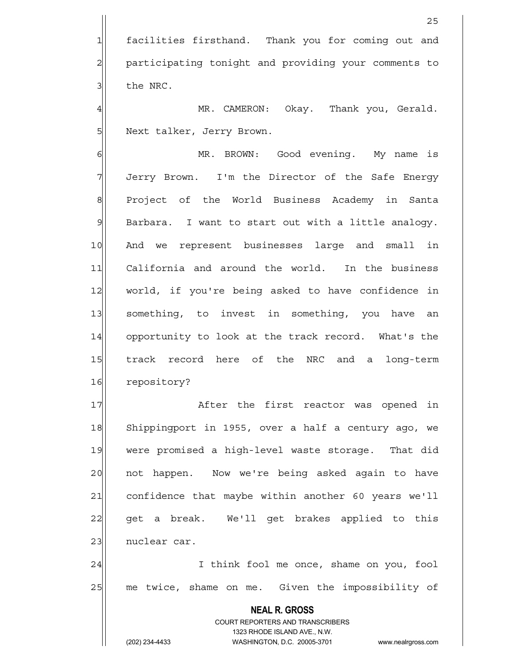1 facilities firsthand. Thank you for coming out and 2 participating tonight and providing your comments to  $3$  the NRC.

4 MR. CAMERON: Okay. Thank you, Gerald. 5 | Next talker, Jerry Brown.

6 MR. BROWN: Good evening. My name is 7 Jerry Brown. I'm the Director of the Safe Energy 8 | Project of the World Business Academy in Santa  $9$  Barbara. I want to start out with a little analogy. 10 And we represent businesses large and small in 11 California and around the world. In the business 12 world, if you're being asked to have confidence in 13 something, to invest in something, you have an 14 opportunity to look at the track record. What's the 15 track record here of the NRC and a long-term 16 repository?

17 and 17 and the first reactor was opened in 18 Shippingport in 1955, over a half a century ago, we 19 were promised a high-level waste storage. That did 20 | not happen. Now we're being asked again to have 21 confidence that maybe within another 60 years we'll 22 get a break. We'll get brakes applied to this 23 | nuclear car.

24 | I think fool me once, shame on you, fool 25 me twice, shame on me. Given the impossibility of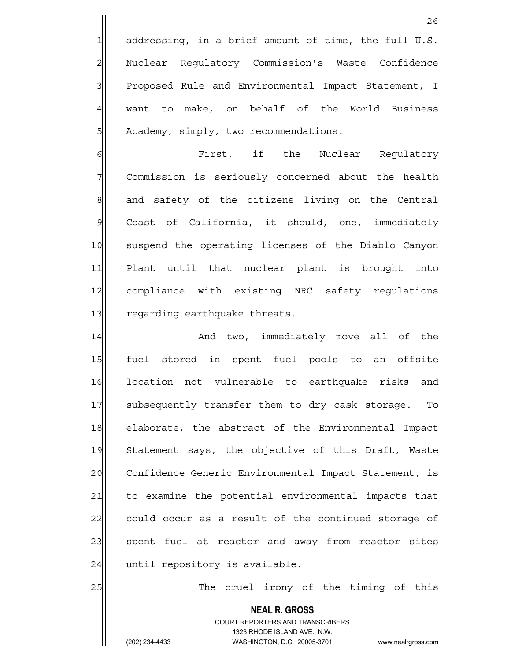$1$  addressing, in a brief amount of time, the full U.S. 2| Nuclear Regulatory Commission's Waste Confidence 3 | Proposed Rule and Environmental Impact Statement, I 4 want to make, on behalf of the World Business 5 | Academy, simply, two recommendations.

6 **6** First, if the Nuclear Requlatory 7 Commission is seriously concerned about the health  $8$  and safety of the citizens living on the Central 9 Coast of California, it should, one, immediately 10 suspend the operating licenses of the Diablo Canyon 11 Plant until that nuclear plant is brought into 12 compliance with existing NRC safety regulations 13 regarding earthquake threats.

14 and two, immediately move all of the 15 fuel stored in spent fuel pools to an offsite 16 location not vulnerable to earthquake risks and 17 subsequently transfer them to dry cask storage. To 18 elaborate, the abstract of the Environmental Impact 19 Statement says, the objective of this Draft, Waste 20 Confidence Generic Environmental Impact Statement, is 21 to examine the potential environmental impacts that 22 could occur as a result of the continued storage of 23| spent fuel at reactor and away from reactor sites  $24$  until repository is available.

25 The cruel irony of the timing of this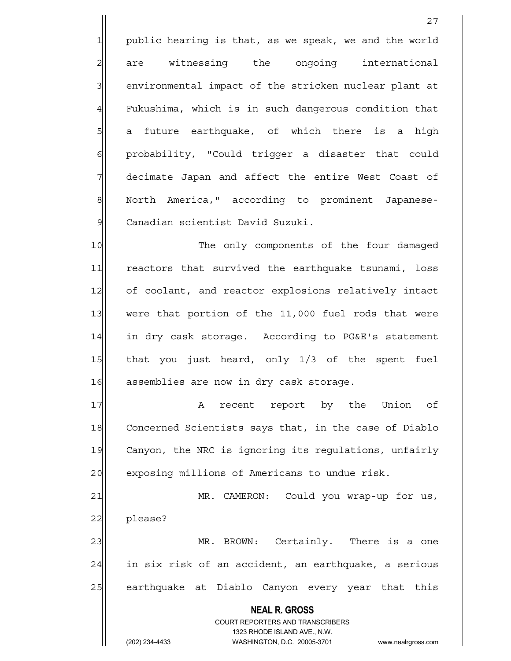1 public hearing is that, as we speak, we and the world 2 are witnessing the ongoing international 3 3 environmental impact of the stricken nuclear plant at  $4$  Fukushima, which is in such dangerous condition that 5 5 5 5 a future earthquake, of which there is a high 6 6 6 6 probability, "Could trigger a disaster that could 7 decimate Japan and affect the entire West Coast of 8 North America," according to prominent Japanese-9 | Canadian scientist David Suzuki.

10 The only components of the four damaged 11 reactors that survived the earthquake tsunami, loss 12 of coolant, and reactor explosions relatively intact 13 were that portion of the 11,000 fuel rods that were 14 in dry cask storage. According to PG&E's statement 15 that you just heard, only 1/3 of the spent fuel 16 assemblies are now in dry cask storage.

17 a recent report by the Union of 18 Concerned Scientists says that, in the case of Diablo 19 Canyon, the NRC is ignoring its regulations, unfairly 20 exposing millions of Americans to undue risk.

21 MR. CAMERON: Could you wrap-up for us, 22 please? 23 MR. BROWN: Certainly. There is a one  $24$  in six risk of an accident, an earthquake, a serious

25 earthquake at Diablo Canyon every year that this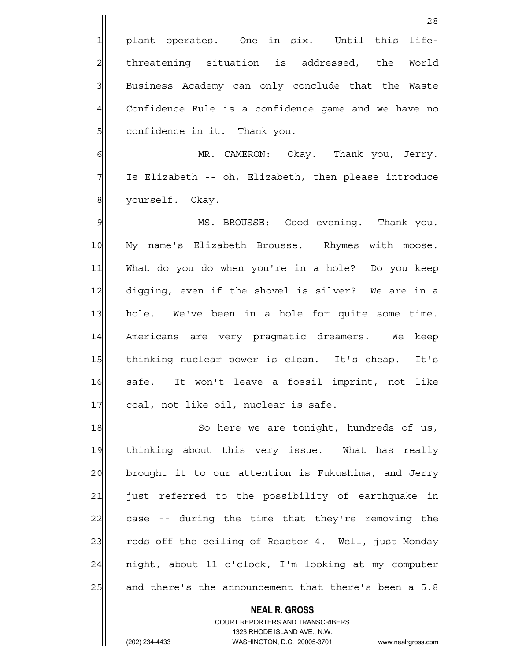1 plant operates. One in six. Until this life-2 all threatening situation is addressed, the World 3 Business Academy can only conclude that the Waste 4 Confidence Rule is a confidence game and we have no 5 | confidence in it. Thank you.

6 MR. CAMERON: Okay. Thank you, Jerry. 7 Is Elizabeth -- oh, Elizabeth, then please introduce 8 | vourself. Okay.

9 MS. BROUSSE: Good evening. Thank you. 10 My name's Elizabeth Brousse. Rhymes with moose. 11 What do you do when you're in a hole? Do you keep 12 digging, even if the shovel is silver? We are in a 13 hole. We've been in a hole for quite some time. 14 Americans are very pragmatic dreamers. We keep 15 thinking nuclear power is clean. It's cheap. It's 16 safe. It won't leave a fossil imprint, not like 17 coal, not like oil, nuclear is safe.

18 So here we are tonight, hundreds of us, 19 thinking about this very issue. What has really 20 brought it to our attention is Fukushima, and Jerry 21 | just referred to the possibility of earthquake in 22 case -- during the time that they're removing the 23 rods off the ceiling of Reactor 4. Well, just Monday  $24$  night, about 11 o'clock, I'm looking at my computer 25 and there's the announcement that there's been a 5.8

> COURT REPORTERS AND TRANSCRIBERS 1323 RHODE ISLAND AVE., N.W. (202) 234-4433 WASHINGTON, D.C. 20005-3701 www.nealrgross.com

 **NEAL R. GROSS**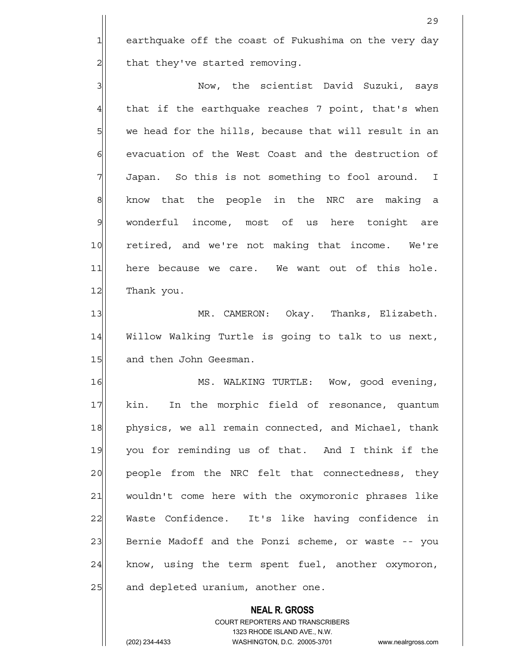1 earthquake off the coast of Fukushima on the very day  $2$  that they've started removing.

3 | Now, the scientist David Suzuki, says  $4$  that if the earthquake reaches 7 point, that's when 5 we head for the hills, because that will result in an 6 6 6 evacuation of the West Coast and the destruction of  $7$  Japan. So this is not something to fool around. I  $8$  know that the people in the NRC are making a 9 wonderful income, most of us here tonight are 10 retired, and we're not making that income. We're 11 here because we care. We want out of this hole. 12 Thank you.

13 MR. CAMERON: Okay. Thanks, Elizabeth. 14 Willow Walking Turtle is going to talk to us next, 15 and then John Geesman.

16 MS. WALKING TURTLE: Wow, good evening, 17 kin. In the morphic field of resonance, quantum 18 physics, we all remain connected, and Michael, thank 19 you for reminding us of that. And I think if the 20 people from the NRC felt that connectedness, they 21 wouldn't come here with the oxymoronic phrases like 22 Waste Confidence. It's like having confidence in 23 Bernie Madoff and the Ponzi scheme, or waste -- you  $24$  know, using the term spent fuel, another oxymoron, 25 and depleted uranium, another one.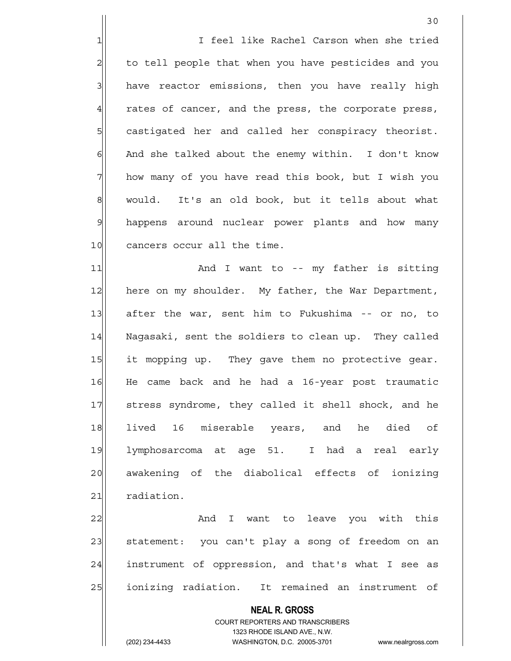1 I feel like Rachel Carson when she tried 2 to tell people that when you have pesticides and you  $3$  have reactor emissions, then you have really high  $4$  rates of cancer, and the press, the corporate press, 5 Squares castigated her and called her conspiracy theorist.  $6$  And she talked about the enemy within. I don't know 7 how many of you have read this book, but I wish you 8 would. It's an old book, but it tells about what 9 happens around nuclear power plants and how many 10 cancers occur all the time.

11 and I want to -- my father is sitting 12 here on my shoulder. My father, the War Department, 13 after the war, sent him to Fukushima -- or no, to 14 Nagasaki, sent the soldiers to clean up. They called 15 it mopping up. They gave them no protective gear. 16 He came back and he had a 16-year post traumatic 17 stress syndrome, they called it shell shock, and he 18 lived 16 miserable years, and he died of 19 lymphosarcoma at age 51. I had a real early 20 awakening of the diabolical effects of ionizing 21 radiation.

22 And I want to leave you with this 23 statement: you can't play a song of freedom on an 24 instrument of oppression, and that's what I see as 25 | ionizing radiation. It remained an instrument of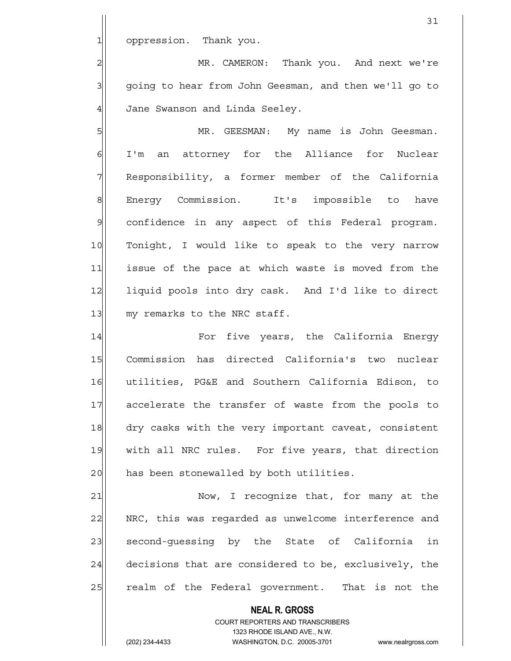1 oppression. Thank you.

2 MR. CAMERON: Thank you. And next we're 3 going to hear from John Geesman, and then we'll go to 4 Jane Swanson and Linda Seeley.

5 MR. GEESMAN: My name is John Geesman. 6| I'm an attorney for the Alliance for Nuclear 7 Responsibility, a former member of the California 8 Energy Commission. It's impossible to have  $9$  confidence in any aspect of this Federal program. 10 Tonight, I would like to speak to the very narrow 11 issue of the pace at which waste is moved from the 12 liquid pools into dry cask. And I'd like to direct 13 my remarks to the NRC staff.

14 | For five years, the California Energy 15 Commission has directed California's two nuclear 16 utilities, PG&E and Southern California Edison, to 17 accelerate the transfer of waste from the pools to 18 dry casks with the very important caveat, consistent 19 with all NRC rules. For five years, that direction 20 has been stonewalled by both utilities.

21 Now, I recognize that, for many at the 22 NRC, this was regarded as unwelcome interference and 23 second-quessing by the State of California in  $24$  decisions that are considered to be, exclusively, the 25 realm of the Federal government. That is not the

> **NEAL R. GROSS** COURT REPORTERS AND TRANSCRIBERS 1323 RHODE ISLAND AVE., N.W. (202) 234-4433 WASHINGTON, D.C. 20005-3701 www.nealrgross.com

31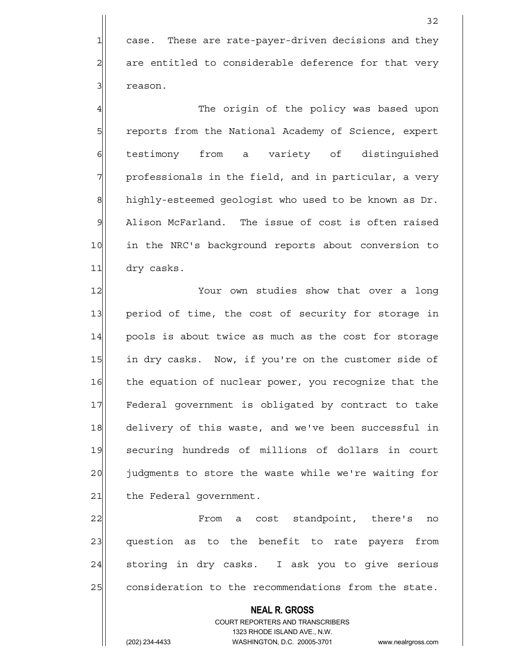1 case. These are rate-payer-driven decisions and they  $2$  are entitled to considerable deference for that very 31 reason.

4 The origin of the policy was based upon 5 5 5 5 5 reports from the National Academy of Science, expert 6 festimony from a variety of distinguished  $7$  professionals in the field, and in particular, a very 8 highly-esteemed geologist who used to be known as Dr. 9 Alison McFarland. The issue of cost is often raised 10 in the NRC's background reports about conversion to 11 dry casks.

12 Your own studies show that over a long 13 period of time, the cost of security for storage in 14 pools is about twice as much as the cost for storage 15 in dry casks. Now, if you're on the customer side of 16 the equation of nuclear power, you recognize that the 17 Federal government is obligated by contract to take 18 delivery of this waste, and we've been successful in 19 securing hundreds of millions of dollars in court 20 judgments to store the waste while we're waiting for 21 the Federal government.

22 From a cost standpoint, there's no 23 question as to the benefit to rate payers from 24 storing in dry casks. I ask you to give serious 25 consideration to the recommendations from the state.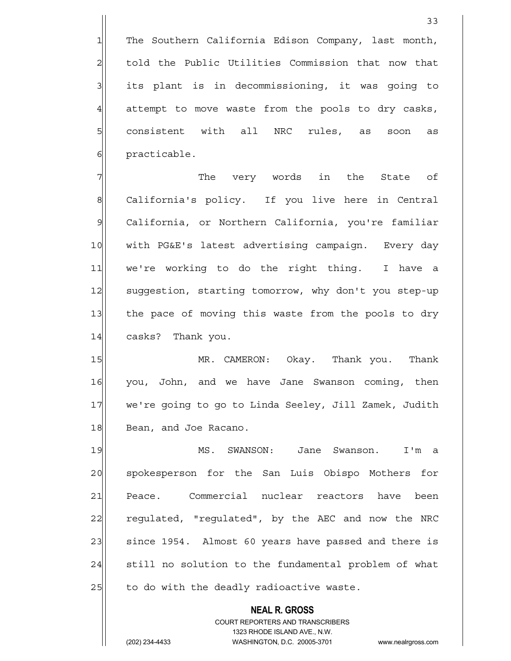1 The Southern California Edison Company, last month, 2 | told the Public Utilities Commission that now that 3| its plant is in decommissioning, it was going to 4 attempt to move waste from the pools to dry casks, 5 consistent with all NRC rules, as soon as 6 **practicable**.

7 The very words in the State of 8 California's policy. If you live here in Central 9 California, or Northern California, you're familiar 10 | with PG&E's latest advertising campaign. Every day 11| we're working to do the right thing. I have a 12 suggestion, starting tomorrow, why don't you step-up 13 the pace of moving this waste from the pools to dry 14 casks? Thank you.

15 MR. CAMERON: Okay. Thank you. Thank 16 you, John, and we have Jane Swanson coming, then 17 we're going to go to Linda Seeley, Jill Zamek, Judith 18 Bean, and Joe Racano.

19 MS. SWANSON: Jane Swanson. I'm a 20 | spokesperson for the San Luis Obispo Mothers for 21 Peace. Commercial nuclear reactors have been 22 regulated, "regulated", by the AEC and now the NRC 23 since 1954. Almost 60 years have passed and there is 24 still no solution to the fundamental problem of what  $25$  to do with the deadly radioactive waste.

> **NEAL R. GROSS** COURT REPORTERS AND TRANSCRIBERS

1323 RHODE ISLAND AVE., N.W.

(202) 234-4433 WASHINGTON, D.C. 20005-3701 www.nealrgross.com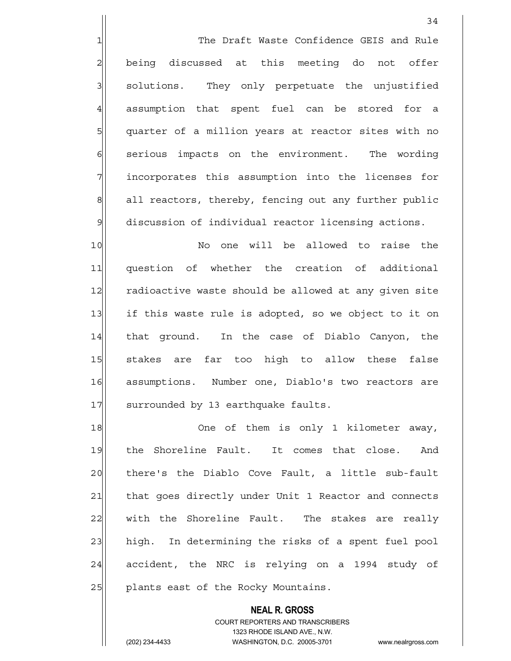1 The Draft Waste Confidence GEIS and Rule  $2$  being discussed at this meeting do not offer 3 3 solutions. They only perpetuate the unjustified 4 assumption that spent fuel can be stored for a 5 | quarter of a million years at reactor sites with no 6 serious impacts on the environment. The wording 7 incorporates this assumption into the licenses for 8 all reactors, thereby, fencing out any further public 9 discussion of individual reactor licensing actions.

10 No one will be allowed to raise the 11 question of whether the creation of additional 12 radioactive waste should be allowed at any given site 13 if this waste rule is adopted, so we object to it on 14 that ground. In the case of Diablo Canyon, the 15 stakes are far too high to allow these false 16 assumptions. Number one, Diablo's two reactors are 17 surrounded by 13 earthquake faults.

18 One of them is only 1 kilometer away, 19 the Shoreline Fault. It comes that close. And 20 | there's the Diablo Cove Fault, a little sub-fault 21 that goes directly under Unit 1 Reactor and connects  $22$  with the Shoreline Fault. The stakes are really 23 high. In determining the risks of a spent fuel pool 24 accident, the NRC is relying on a 1994 study of 25 | plants east of the Rocky Mountains.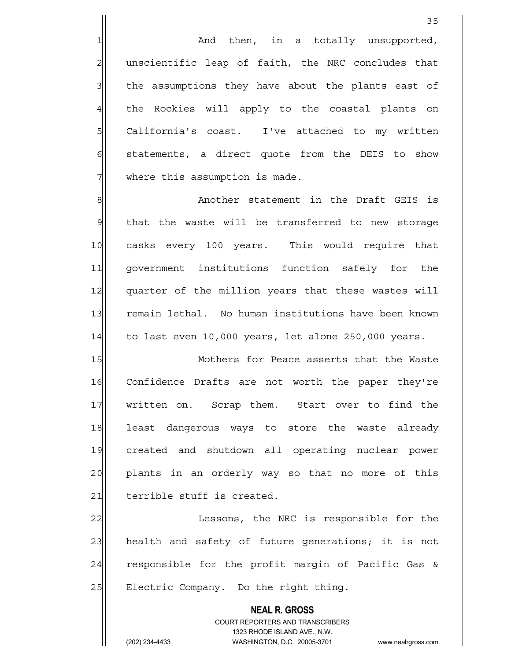$1$  and then, in a totally unsupported, 2 | unscientific leap of faith, the NRC concludes that 3 3 1 the assumptions they have about the plants east of 4 the Rockies will apply to the coastal plants on 5 SQL California's coast. I've attached to my written  $6$  statements, a direct quote from the DEIS to show  $7$  where this assumption is made.

8 8 Another statement in the Draft GEIS is  $9$  that the waste will be transferred to new storage 10 casks every 100 years. This would require that 11 government institutions function safely for the 12 quarter of the million years that these wastes will 13 remain lethal. No human institutions have been known  $14$  to last even 10,000 years, let alone 250,000 years.

15 Mothers for Peace asserts that the Waste 16 Confidence Drafts are not worth the paper they're 17 written on. Scrap them. Start over to find the 18 least dangerous ways to store the waste already 19 created and shutdown all operating nuclear power 20 plants in an orderly way so that no more of this 21 terrible stuff is created.

22 Lessons, the NRC is responsible for the 23 health and safety of future generations; it is not 24 responsible for the profit margin of Pacific Gas & 25 | Electric Company. Do the right thing.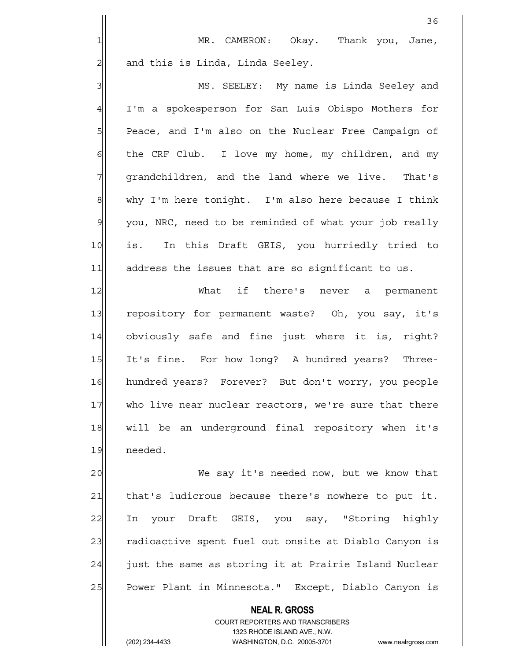$36$ 

3 MS. SEELEY: My name is Linda Seeley and 4 I'm a spokesperson for San Luis Obispo Mothers for 5 | Peace, and I'm also on the Nuclear Free Campaign of  $6$  the CRF Club. I love my home, my children, and my 7 || grandchildren, and the land where we live. That's  $8$  why I'm here tonight. I'm also here because I think 9 you, NRC, need to be reminded of what your job really 10 is. In this Draft GEIS, you hurriedly tried to 11 address the issues that are so significant to us.

12 What if there's never a permanent 13 repository for permanent waste? Oh, you say, it's 14 obviously safe and fine just where it is, right? 15 It's fine. For how long? A hundred years? Three-16 hundred years? Forever? But don't worry, you people 17 who live near nuclear reactors, we're sure that there 18 will be an underground final repository when it's 19 needed.

20 We say it's needed now, but we know that 21 that's ludicrous because there's nowhere to put it. 22 In your Draft GEIS, you say, "Storing highly 23 radioactive spent fuel out onsite at Diablo Canyon is  $24$  just the same as storing it at Prairie Island Nuclear 25 Power Plant in Minnesota." Except, Diablo Canyon is

> **NEAL R. GROSS** COURT REPORTERS AND TRANSCRIBERS 1323 RHODE ISLAND AVE., N.W.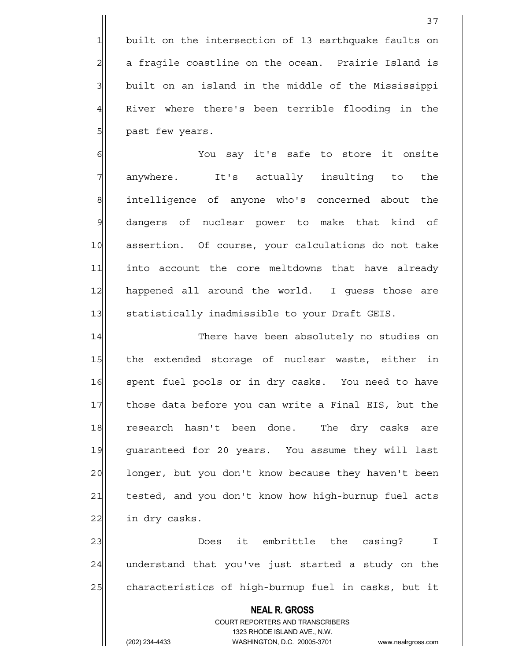1 built on the intersection of 13 earthquake faults on  $2$  a fragile coastline on the ocean. Prairie Island is 3 | built on an island in the middle of the Mississippi 4 River where there's been terrible flooding in the 5 | past few years.

6 6 You say it's safe to store it onsite 7 anywhere. It's actually insulting to the 8| intelligence of anyone who's concerned about the 9 dangers of nuclear power to make that kind of 10 assertion. Of course, your calculations do not take 11 into account the core meltdowns that have already 12 happened all around the world. I guess those are 13 Statistically inadmissible to your Draft GEIS.

14 There have been absolutely no studies on 15 the extended storage of nuclear waste, either in 16 spent fuel pools or in dry casks. You need to have 17 those data before you can write a Final EIS, but the 18 research hasn't been done. The dry casks are 19 guaranteed for 20 years. You assume they will last 20 | longer, but you don't know because they haven't been 21 tested, and you don't know how high-burnup fuel acts  $22$  in dry casks.

23 Does it embrittle the casing? I  $24$  understand that you've just started a study on the 25 characteristics of high-burnup fuel in casks, but it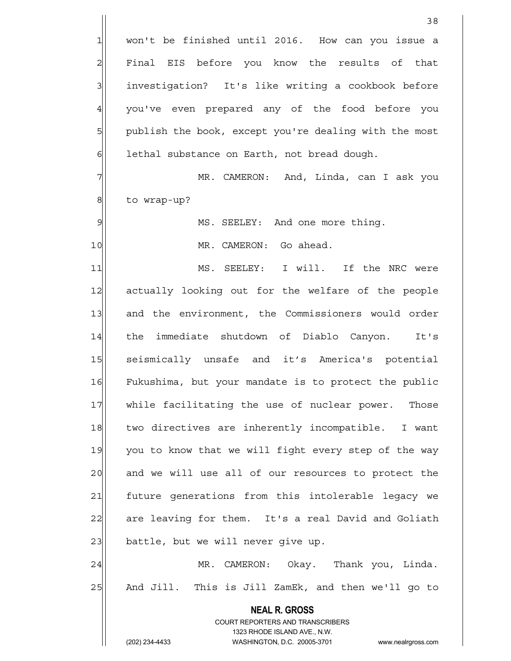**NEAL R. GROSS** COURT REPORTERS AND TRANSCRIBERS 1323 RHODE ISLAND AVE., N.W. (202) 234-4433 WASHINGTON, D.C. 20005-3701 www.nealrgross.com <u>38</u> 1 won't be finished until 2016. How can you issue a 2 | Final EIS before you know the results of that 3 3 investigation? It's like writing a cookbook before 4| you've even prepared any of the food before you 5 | publish the book, except you're dealing with the most 6 6 lethal substance on Earth, not bread dough. 7 MR. CAMERON: And, Linda, can I ask you 8 | to wrap-up? 9 MS. SEELEY: And one more thing. 10 MR. CAMERON: Go ahead. 11 MS. SEELEY: I will. If the NRC were 12 actually looking out for the welfare of the people 13 and the environment, the Commissioners would order 14 the immediate shutdown of Diablo Canyon. It's 15 seismically unsafe and it's America's potential 16 Fukushima, but your mandate is to protect the public 17 while facilitating the use of nuclear power. Those 18 two directives are inherently incompatible. I want 19 you to know that we will fight every step of the way 20 and we will use all of our resources to protect the 21 future generations from this intolerable legacy we 22 are leaving for them. It's a real David and Goliath 23 | battle, but we will never give up. 24 MR. CAMERON: Okay. Thank you, Linda. 25 And Jill. This is Jill ZamEk, and then we'll go to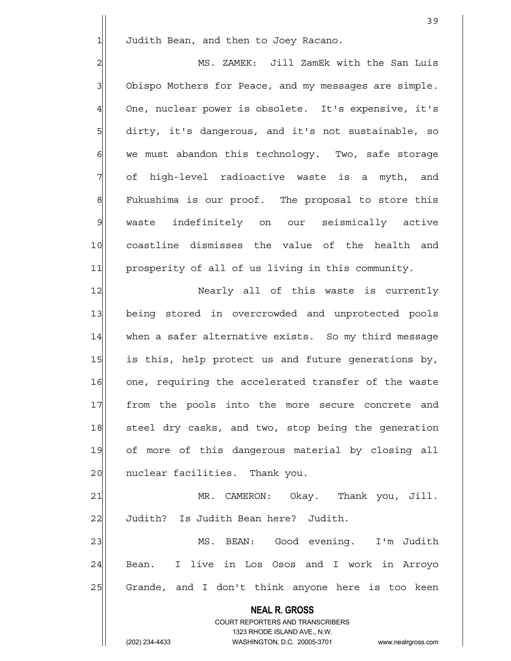1 Judith Bean, and then to Joey Racano.

2 MS. ZAMEK: Jill ZamEk with the San Luis 3 Obispo Mothers for Peace, and my messages are simple. 4 One, nuclear power is obsolete. It's expensive, it's 5 6 5 dirty, it's dangerous, and it's not sustainable, so 6 6 we must abandon this technology. Two, safe storage 7 of high-level radioactive waste is a myth, and 8 Fukushima is our proof. The proposal to store this 9 waste indefinitely on our seismically active 10 coastline dismisses the value of the health and 11 prosperity of all of us living in this community.

12 Nearly all of this waste is currently 13 being stored in overcrowded and unprotected pools 14 when a safer alternative exists. So my third message 15 is this, help protect us and future generations by, 16 one, requiring the accelerated transfer of the waste 17 | from the pools into the more secure concrete and 18 steel dry casks, and two, stop being the generation 19 of more of this dangerous material by closing all 20 | nuclear facilities. Thank you.

21 MR. CAMERON: Okay. Thank you, Jill. 22 Judith? Is Judith Bean here? Judith.

23 MS. BEAN: Good evening. I'm Judith 24 Bean. I live in Los Osos and I work in Arroyo 25 Grande, and I don't think anyone here is too keen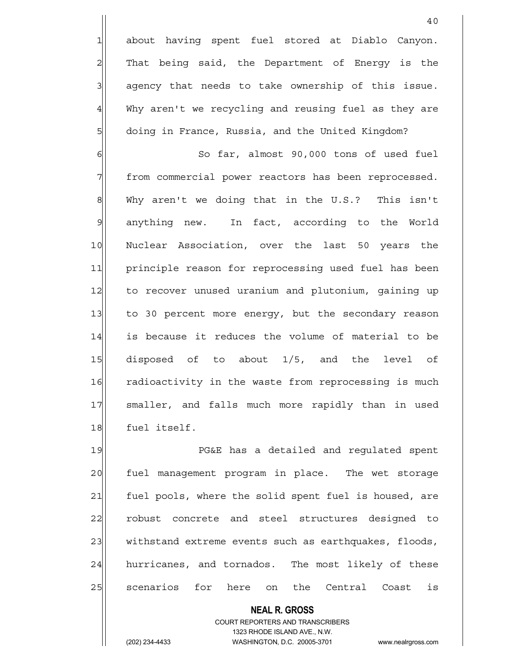1 about having spent fuel stored at Diablo Canyon.  $2$  That being said, the Department of Energy is the  $3$  agency that needs to take ownership of this issue. 4 Why aren't we recycling and reusing fuel as they are 5 | doing in France, Russia, and the United Kingdom?

6 6 So far, almost 90,000 tons of used fuel 7 | from commercial power reactors has been reprocessed.  $8$  Why aren't we doing that in the U.S.? This isn't 9 anything new. In fact, according to the World 10 Nuclear Association, over the last 50 years the 11 principle reason for reprocessing used fuel has been 12 to recover unused uranium and plutonium, gaining up 13 to 30 percent more energy, but the secondary reason 14 is because it reduces the volume of material to be 15 disposed of to about 1/5, and the level of 16 radioactivity in the waste from reprocessing is much 17 smaller, and falls much more rapidly than in used 18 fuel itself.

19 **PG&E** has a detailed and requlated spent 20 fuel management program in place. The wet storage 21 fuel pools, where the solid spent fuel is housed, are 22 robust concrete and steel structures designed to 23 withstand extreme events such as earthquakes, floods, 24 hurricanes, and tornados. The most likely of these 25 scenarios for here on the Central Coast is

> **NEAL R. GROSS** COURT REPORTERS AND TRANSCRIBERS 1323 RHODE ISLAND AVE., N.W. (202) 234-4433 WASHINGTON, D.C. 20005-3701 www.nealrgross.com

40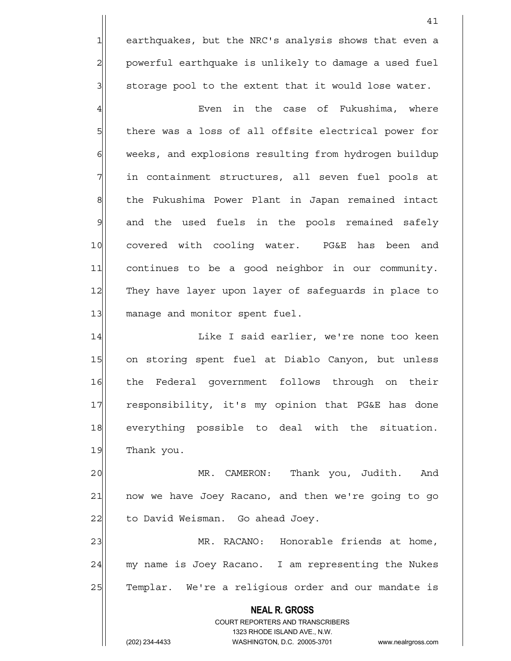1 earthquakes, but the NRC's analysis shows that even a 2 powerful earthquake is unlikely to damage a used fuel 3| storage pool to the extent that it would lose water.

4 Even in the case of Fukushima, where 5 5 5 5 there was a loss of all offsite electrical power for 6 weeks, and explosions resulting from hydrogen buildup 7 in containment structures, all seven fuel pools at 8 6 8 the Fukushima Power Plant in Japan remained intact 9 and the used fuels in the pools remained safely 10 covered with cooling water. PG&E has been and 11 continues to be a good neighbor in our community. 12 They have layer upon layer of safeguards in place to 13 manage and monitor spent fuel.

14 Like I said earlier, we're none too keen 15 on storing spent fuel at Diablo Canyon, but unless 16 the Federal government follows through on their 17 responsibility, it's my opinion that PG&E has done 18 everything possible to deal with the situation. 19 Thank you.

20 MR. CAMERON: Thank you, Judith. And 21 | now we have Joey Racano, and then we're going to go 22 to David Weisman. Go ahead Joey.

23 MR. RACANO: Honorable friends at home, 24 my name is Joey Racano. I am representing the Nukes 25 Templar. We're a religious order and our mandate is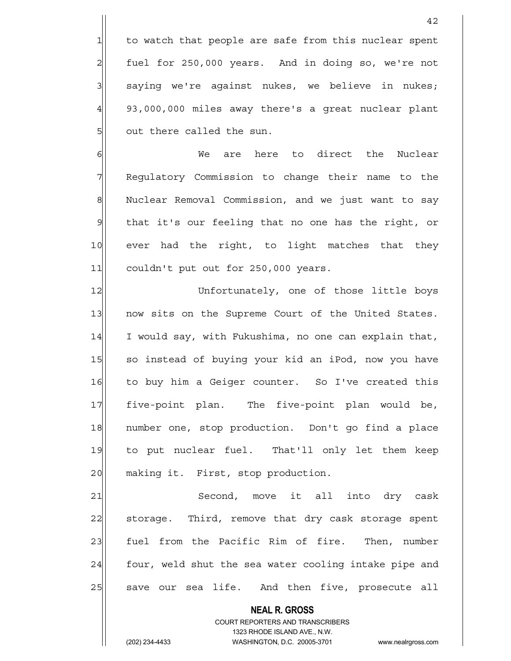1 to watch that people are safe from this nuclear spent  $2$  fuel for 250,000 years. And in doing so, we're not  $3$  saying we're against nukes, we believe in nukes;  $4$  93,000,000 miles away there's a great nuclear plant 5 out there called the sun.

6 6 Me are here to direct the Nuclear 7 Regulatory Commission to change their name to the 8 Nuclear Removal Commission, and we just want to say 9 that it's our feeling that no one has the right, or 10 ever had the right, to light matches that they 11 couldn't put out for 250,000 years.

12 Unfortunately, one of those little boys 13 now sits on the Supreme Court of the United States. 14 I would say, with Fukushima, no one can explain that, 15 so instead of buying your kid an iPod, now you have 16 to buy him a Geiger counter. So I've created this 17 five-point plan. The five-point plan would be, 18 | number one, stop production. Don't go find a place 19 to put nuclear fuel. That'll only let them keep 20 making it. First, stop production.

21 Second, move it all into dry cask 22 storage. Third, remove that dry cask storage spent 23 fuel from the Pacific Rim of fire. Then, number  $24$  four, weld shut the sea water cooling intake pipe and 25 Save our sea life. And then five, prosecute all

> **NEAL R. GROSS** COURT REPORTERS AND TRANSCRIBERS 1323 RHODE ISLAND AVE., N.W. (202) 234-4433 WASHINGTON, D.C. 20005-3701 www.nealrgross.com

42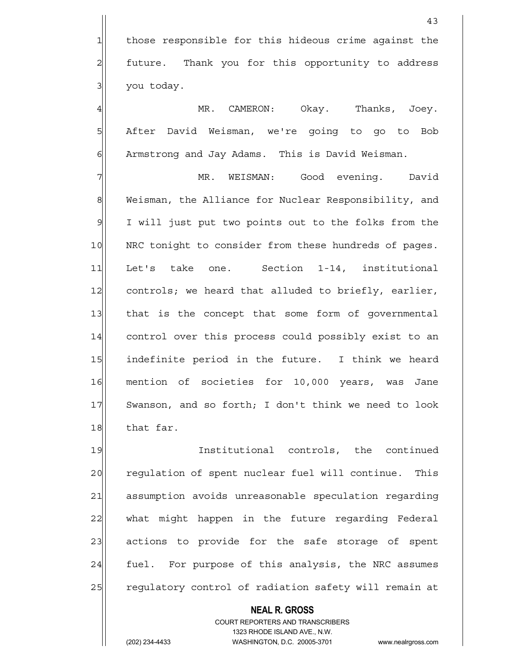43

4 MR. CAMERON: Okay. Thanks, Joey. 5 After David Weisman, we're going to go to Bob 6 | Armstrong and Jay Adams. This is David Weisman.

7 | MR. WEISMAN: Good evening. David 8 Weisman, the Alliance for Nuclear Responsibility, and 9 I will just put two points out to the folks from the 10 | NRC tonight to consider from these hundreds of pages. 11 Let's take one. Section 1-14, institutional 12 controls; we heard that alluded to briefly, earlier, 13 that is the concept that some form of governmental 14 control over this process could possibly exist to an 15 indefinite period in the future. I think we heard 16 mention of societies for 10,000 years, was Jane 17 Swanson, and so forth; I don't think we need to look 18 that far.

19 Institutional controls, the continued 20 requiation of spent nuclear fuel will continue. This 21 assumption avoids unreasonable speculation regarding 22 what might happen in the future regarding Federal 23 actions to provide for the safe storage of spent 24 fuel. For purpose of this analysis, the NRC assumes 25 regulatory control of radiation safety will remain at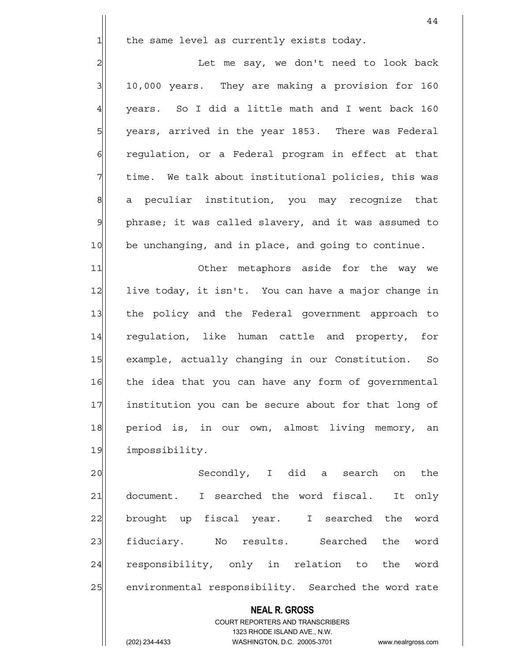$1$  the same level as currently exists today.

2 | Let me say, we don't need to look back  $3$  10,000 years. They are making a provision for 160  $4$  vears. So I did a little math and I went back 160 5 | years, arrived in the year 1853. There was Federal 6 6 6 6 regulation, or a Federal program in effect at that  $7$  time. We talk about institutional policies, this was 8 a peculiar institution, you may recognize that 9 phrase; it was called slavery, and it was assumed to 10 be unchanging, and in place, and going to continue.

11 Other metaphors aside for the way we 12 live today, it isn't. You can have a major change in 13 the policy and the Federal government approach to 14 requlation, like human cattle and property, for 15 example, actually changing in our Constitution. So 16 the idea that you can have any form of governmental 17 institution you can be secure about for that long of 18 period is, in our own, almost living memory, an 19 impossibility.

20 Secondly, I did a search on the 21 document. I searched the word fiscal. It only 22 brought up fiscal year. I searched the word 23 fiduciary. No results. Searched the word 24 responsibility, only in relation to the word 25 environmental responsibility. Searched the word rate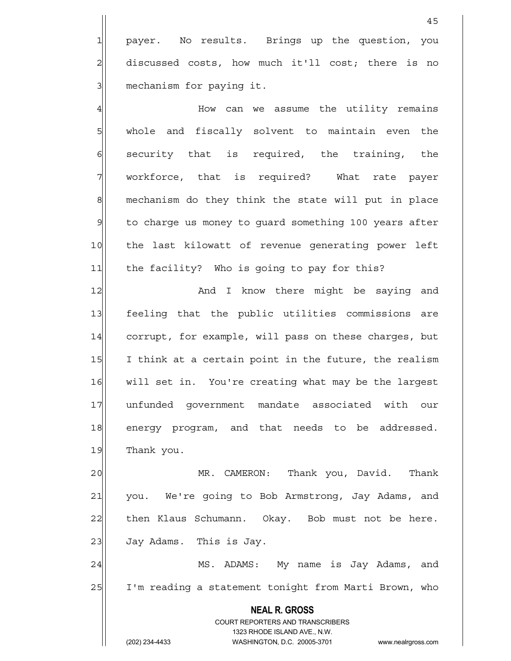1 payer. No results. Brings up the question, you 2 discussed costs, how much it'll cost; there is no 3 mechanism for paying it.

4 How can we assume the utility remains 5 | whole and fiscally solvent to maintain even the  $6$  security that is required, the training, the 7 | workforce, that is required? What rate payer 8 mechanism do they think the state will put in place 9 to charge us money to quard something 100 years after 10 the last kilowatt of revenue generating power left 11 the facility? Who is going to pay for this?

12 and I know there might be saying and 13 feeling that the public utilities commissions are 14 corrupt, for example, will pass on these charges, but 15 I think at a certain point in the future, the realism 16 will set in. You're creating what may be the largest 17 unfunded government mandate associated with our 18 energy program, and that needs to be addressed. 19 Thank you.

20 MR. CAMERON: Thank you, David. Thank 21 you. We're going to Bob Armstrong, Jay Adams, and 22 then Klaus Schumann. Okay. Bob must not be here. 23 Jay Adams. This is Jay.

24 | MS. ADAMS: My name is Jay Adams, and 25 I'm reading a statement tonight from Marti Brown, who

> **NEAL R. GROSS** COURT REPORTERS AND TRANSCRIBERS 1323 RHODE ISLAND AVE., N.W. (202) 234-4433 WASHINGTON, D.C. 20005-3701 www.nealrgross.com

45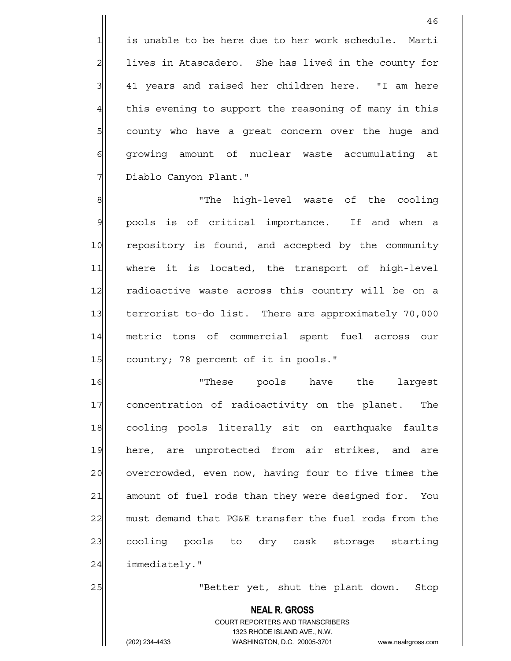1 is unable to be here due to her work schedule. Marti 2 lives in Atascadero. She has lived in the county for  $3$  41 years and raised her children here.  $"I$  am here 4 this evening to support the reasoning of many in this 5 5 5 5 county who have a great concern over the huge and 6 growing amount of nuclear waste accumulating at 7 | Diablo Canyon Plant."

8 8 Note the high-level waste of the cooling 9 pools is of critical importance. If and when a 10 repository is found, and accepted by the community 11 where it is located, the transport of high-level 12 radioactive waste across this country will be on a 13 terrorist to-do list. There are approximately 70,000 14 metric tons of commercial spent fuel across our 15 country; 78 percent of it in pools."

16 | Internal University of the largest 17 concentration of radioactivity on the planet. The 18 cooling pools literally sit on earthquake faults 19 here, are unprotected from air strikes, and are 20 overcrowded, even now, having four to five times the 21 amount of fuel rods than they were designed for. You 22 must demand that PG&E transfer the fuel rods from the 23 cooling pools to dry cask storage starting 24 immediately."

25 | Tetter yet, shut the plant down. Stop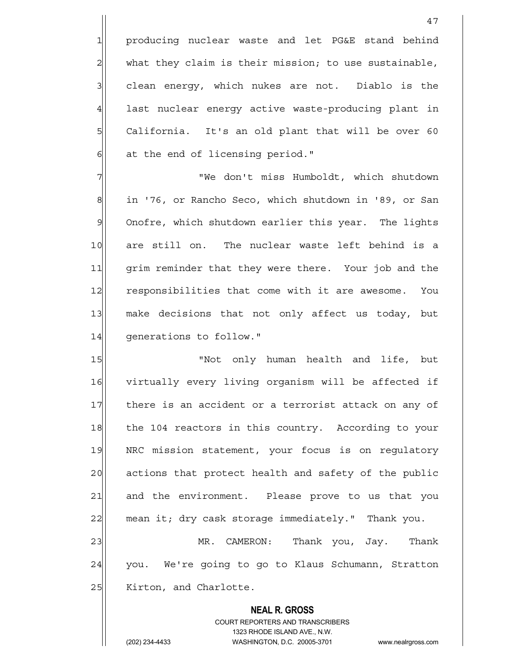1 producing nuclear waste and let PG&E stand behind  $2$  what they claim is their mission; to use sustainable, 3 3 clean energy, which nukes are not. Diablo is the 4 last nuclear energy active waste-producing plant in 5 | California. It's an old plant that will be over 60  $6$  at the end of licensing period."

7 "We don't miss Humboldt, which shutdown 8 in '76, or Rancho Seco, which shutdown in '89, or San 9 Onofre, which shutdown earlier this year. The lights 10 are still on. The nuclear waste left behind is a 11 | grim reminder that they were there. Your job and the 12 responsibilities that come with it are awesome. You 13 make decisions that not only affect us today, but 14 generations to follow."

15 | Not only human health and life, but 16 virtually every living organism will be affected if 17 there is an accident or a terrorist attack on any of 18 the 104 reactors in this country. According to your 19 NRC mission statement, your focus is on requlatory 20 actions that protect health and safety of the public 21 and the environment. Please prove to us that you 22 mean it; dry cask storage immediately." Thank you.

23 MR. CAMERON: Thank you, Jay. Thank 24 you. We're going to go to Klaus Schumann, Stratton 25 | Kirton, and Charlotte.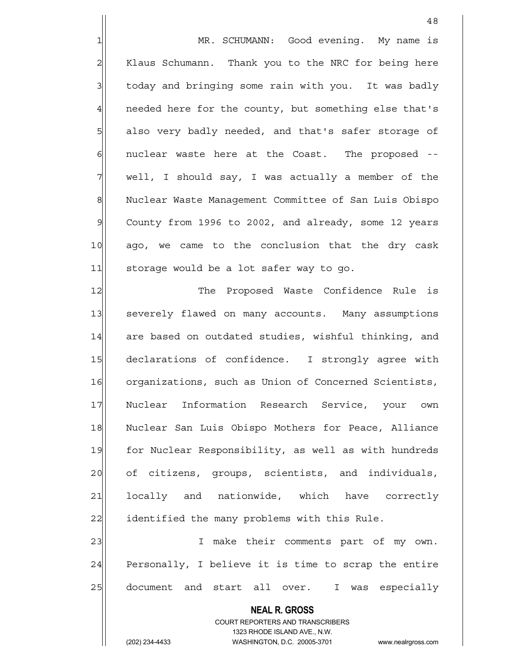1 MR. SCHUMANN: Good evening. My name is 2 | Klaus Schumann. Thank you to the NRC for being here 3 today and bringing some rain with you. It was badly 4 | needed here for the county, but something else that's 5 also very badly needed, and that's safer storage of 6 6 6 nuclear waste here at the Coast. The proposed -- $7$  well, I should say, I was actually a member of the 8 Nuclear Waste Management Committee of San Luis Obispo 9 County from 1996 to 2002, and already, some 12 years 10 ago, we came to the conclusion that the dry cask 11 storage would be a lot safer way to go.

12 The Proposed Waste Confidence Rule is 13 Severely flawed on many accounts. Many assumptions 14 are based on outdated studies, wishful thinking, and 15 declarations of confidence. I strongly agree with 16 organizations, such as Union of Concerned Scientists, 17 Nuclear Information Research Service, your own 18 Nuclear San Luis Obispo Mothers for Peace, Alliance 19 for Nuclear Responsibility, as well as with hundreds 20 of citizens, groups, scientists, and individuals, 21 locally and nationwide, which have correctly 22 identified the many problems with this Rule.

23|| T make their comments part of my own.  $24$  Personally, I believe it is time to scrap the entire 25 document and start all over. I was especially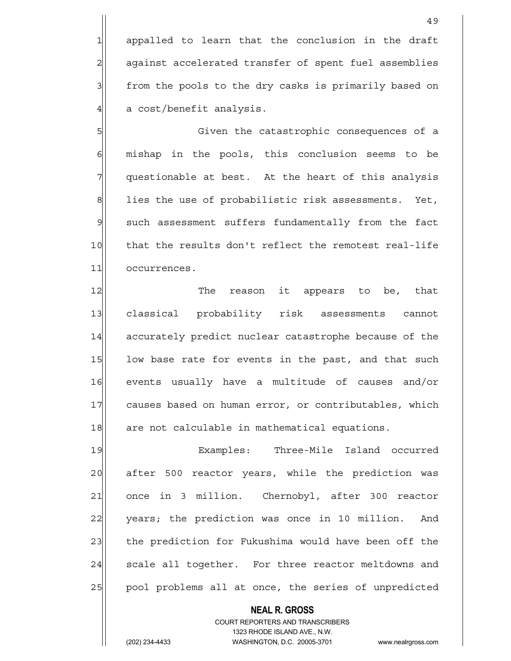1 appalled to learn that the conclusion in the draft 2 against accelerated transfer of spent fuel assemblies 3 from the pools to the dry casks is primarily based on  $4$  a cost/benefit analysis.

5 Given the catastrophic consequences of a  $6$  mishap in the pools, this conclusion seems to be  $7$  questionable at best. At the heart of this analysis  $8$  lies the use of probabilistic risk assessments. Yet, 9 such assessment suffers fundamentally from the fact 10 that the results don't reflect the remotest real-life 11 occurrences.

12 The reason it appears to be, that 13 classical probability risk assessments cannot 14 accurately predict nuclear catastrophe because of the 15 low base rate for events in the past, and that such 16 events usually have a multitude of causes and/or 17 causes based on human error, or contributables, which 18 are not calculable in mathematical equations.

19 Examples: Three-Mile Island occurred 20 after 500 reactor years, while the prediction was 21 once in 3 million. Chernobyl, after 300 reactor 22 years; the prediction was once in 10 million. And 23 the prediction for Fukushima would have been off the 24 Scale all together. For three reactor meltdowns and 25 | pool problems all at once, the series of unpredicted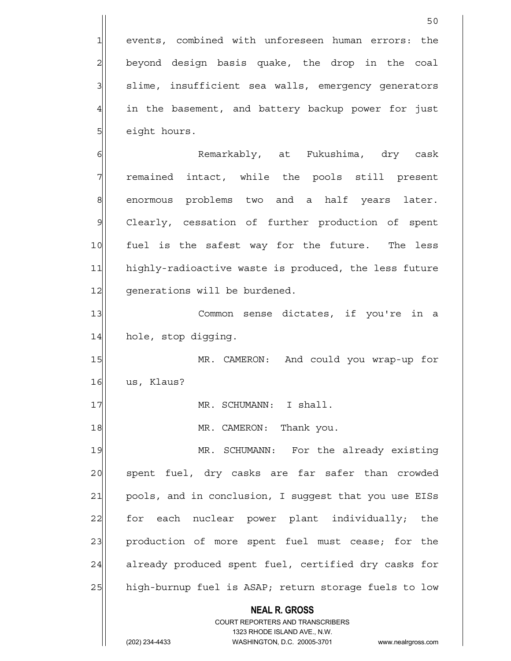**NEAL R. GROSS** COURT REPORTERS AND TRANSCRIBERS 1323 RHODE ISLAND AVE., N.W. 50 1 events, combined with unforeseen human errors: the 2 beyond design basis quake, the drop in the coal 3 slime, insufficient sea walls, emergency generators 4 in the basement, and battery backup power for just 5 eight hours. 6 | Kemarkably, at Fukushima, dry cask 7 Temained intact, while the pools still present 8 enormous problems two and a half years later. 9 Clearly, cessation of further production of spent 10 fuel is the safest way for the future. The less 11 highly-radioactive waste is produced, the less future 12 | qenerations will be burdened. 13 Common sense dictates, if you're in a 14 hole, stop digging. 15 MR. CAMERON: And could you wrap-up for 16 us, Klaus? 17 MR. SCHUMANN: I shall. 18 MR. CAMERON: Thank you. 19 MR. SCHUMANN: For the already existing 20 spent fuel, dry casks are far safer than crowded 21 pools, and in conclusion, I suggest that you use EISs 22 for each nuclear power plant individually; the 23 production of more spent fuel must cease; for the 24 already produced spent fuel, certified dry casks for 25 high-burnup fuel is ASAP; return storage fuels to low

(202) 234-4433 WASHINGTON, D.C. 20005-3701 www.nealrgross.com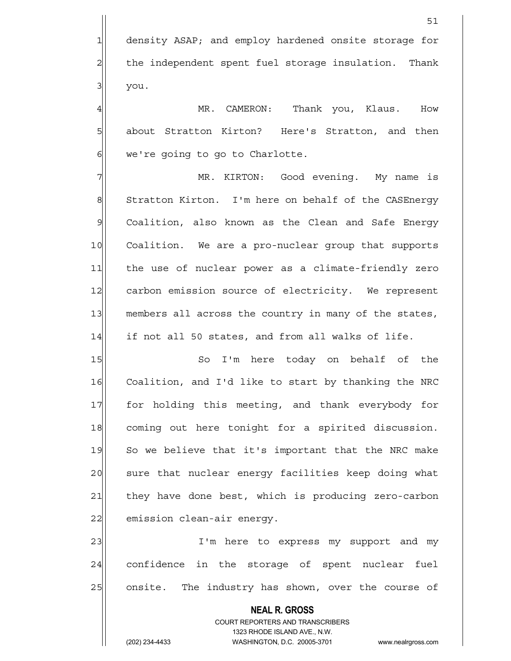4 A MR. CAMERON: Thank you, Klaus. How 5 5 5 about Stratton Kirton? Here's Stratton, and then  $6$  we're going to go to Charlotte.

7 | MR. KIRTON: Good evening. My name is 8 Stratton Kirton. I'm here on behalf of the CASEnergy 9 Coalition, also known as the Clean and Safe Energy 10 Coalition. We are a pro-nuclear group that supports 11 the use of nuclear power as a climate-friendly zero 12 carbon emission source of electricity. We represent 13 members all across the country in many of the states,  $14$  if not all 50 states, and from all walks of life.

15 So I'm here today on behalf of the 16 Coalition, and I'd like to start by thanking the NRC 17 for holding this meeting, and thank everybody for 18 coming out here tonight for a spirited discussion. 19 So we believe that it's important that the NRC make 20 sure that nuclear energy facilities keep doing what 21 they have done best, which is producing zero-carbon 22 emission clean-air energy.

23 and T'm here to express my support and my 24 confidence in the storage of spent nuclear fuel 25 onsite. The industry has shown, over the course of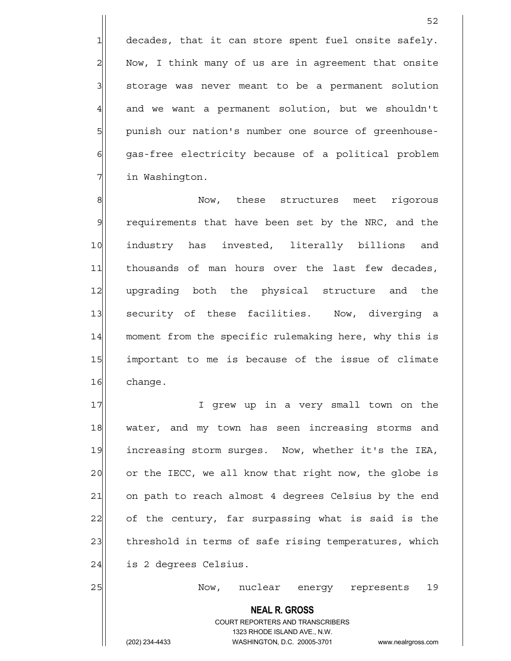$1$  decades, that it can store spent fuel onsite safely. 2 Now, I think many of us are in agreement that onsite 3 | storage was never meant to be a permanent solution  $4$  and we want a permanent solution, but we shouldn't 5 | punish our nation's number one source of greenhouse-6 gas-free electricity because of a political problem 7 in Washington.

8 8 Now, these structures meet rigorous 9 requirements that have been set by the NRC, and the 10 industry has invested, literally billions and 11 thousands of man hours over the last few decades, 12 upgrading both the physical structure and the 13 security of these facilities. Now, diverging a 14 moment from the specific rulemaking here, why this is 15 important to me is because of the issue of climate 16 change.

17 I grew up in a very small town on the 18 water, and my town has seen increasing storms and 19 increasing storm surges. Now, whether it's the IEA, 20 or the IECC, we all know that right now, the globe is 21 on path to reach almost 4 degrees Celsius by the end 22 of the century, far surpassing what is said is the 23 threshold in terms of safe rising temperatures, which 24 is 2 degrees Celsius.

25 Now, nuclear energy represents 19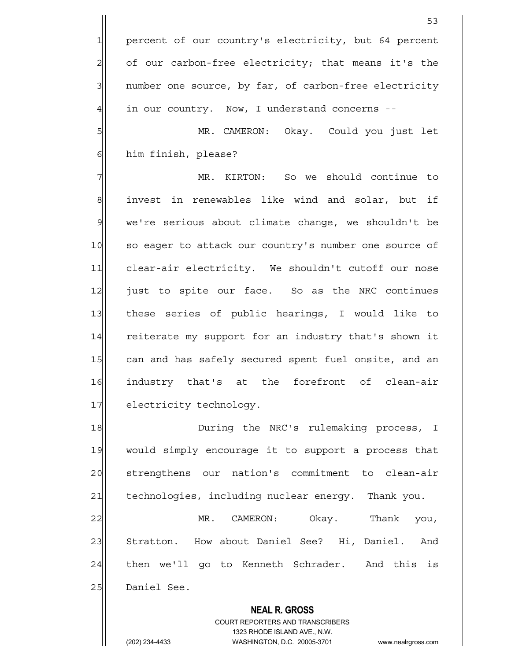1 percent of our country's electricity, but 64 percent  $2$  of our carbon-free electricity; that means it's the 3 number one source, by far, of carbon-free electricity  $4$  in our country. Now, I understand concerns --

5 MR. CAMERON: Okay. Could you just let 6 him finish, please?

7| MR. KIRTON: So we should continue to 8 8 invest in renewables like wind and solar, but if 9 we're serious about climate change, we shouldn't be 10 so eager to attack our country's number one source of 11 clear-air electricity. We shouldn't cutoff our nose 12 just to spite our face. So as the NRC continues 13 these series of public hearings, I would like to 14 reiterate my support for an industry that's shown it 15 can and has safely secured spent fuel onsite, and an 16 industry that's at the forefront of clean-air 17 electricity technology.

18 During the NRC's rulemaking process, I 19 would simply encourage it to support a process that 20 strengthens our nation's commitment to clean-air 21 | technologies, including nuclear energy. Thank you.

22 MR. CAMERON: Okay. Thank you, 23 Stratton. How about Daniel See? Hi, Daniel. And 24 then we'll go to Kenneth Schrader. And this is 25 Daniel See.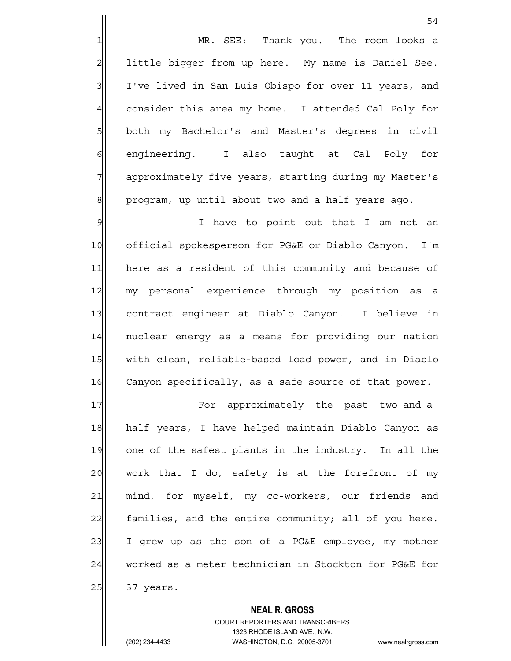1 MR. SEE: Thank you. The room looks a 2 | little bigger from up here. My name is Daniel See. 3 I've lived in San Luis Obispo for over 11 years, and 4 consider this area my home. I attended Cal Poly for 5 both my Bachelor's and Master's degrees in civil 6 6 engineering. I also taught at Cal Poly for 7 approximately five years, starting during my Master's  $8$  program, up until about two and a half years ago.

9 I have to point out that I am not an 10 official spokesperson for PG&E or Diablo Canyon. I'm 11 here as a resident of this community and because of 12 my personal experience through my position as a 13 contract engineer at Diablo Canyon. I believe in 14 | nuclear energy as a means for providing our nation 15 with clean, reliable-based load power, and in Diablo 16 Canyon specifically, as a safe source of that power.

17 For approximately the past two-and-a-18 half years, I have helped maintain Diablo Canyon as 19 one of the safest plants in the industry. In all the  $20$  work that I do, safety is at the forefront of my 21 mind, for myself, my co-workers, our friends and 22 families, and the entire community; all of you here.  $23$  I grew up as the son of a PG&E employee, my mother 24 worked as a meter technician in Stockton for PG&E for 25 37 years.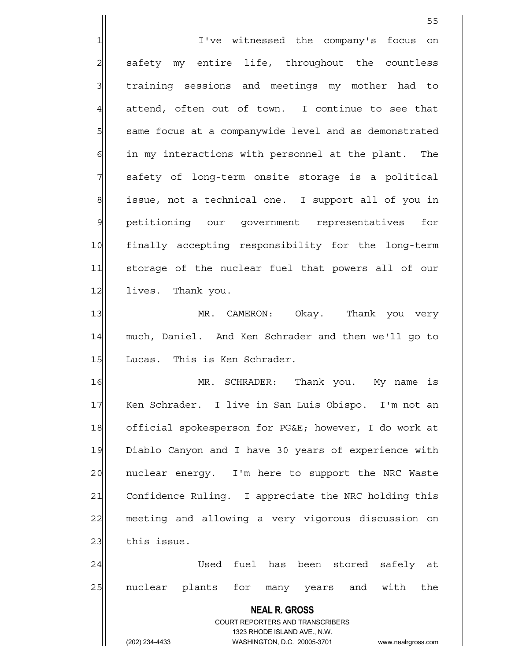1 I've witnessed the company's focus on 2 safety my entire life, throughout the countless 3 3 1 training sessions and meetings my mother had to  $4$  attend, often out of town. I continue to see that 5 same focus at a companywide level and as demonstrated  $6$  in my interactions with personnel at the plant. The 7 || safety of long-term onsite storage is a political 8 issue, not a technical one. I support all of you in 9 petitioning our government representatives for 10 finally accepting responsibility for the long-term 11 storage of the nuclear fuel that powers all of our 12 lives. Thank you. 13 MR. CAMERON: Okay. Thank you very 14 much, Daniel. And Ken Schrader and then we'll go to 15 | Lucas. This is Ken Schrader.

16 MR. SCHRADER: Thank you. My name is 17 | Ken Schrader. I live in San Luis Obispo. I'm not an 18 official spokesperson for PG&E; however, I do work at 19 Diablo Canyon and I have 30 years of experience with 20 | nuclear energy. I'm here to support the NRC Waste 21 Confidence Ruling. I appreciate the NRC holding this 22 meeting and allowing a very vigorous discussion on  $23$  this issue.

24 Used fuel has been stored safely at 25 nuclear plants for many years and with the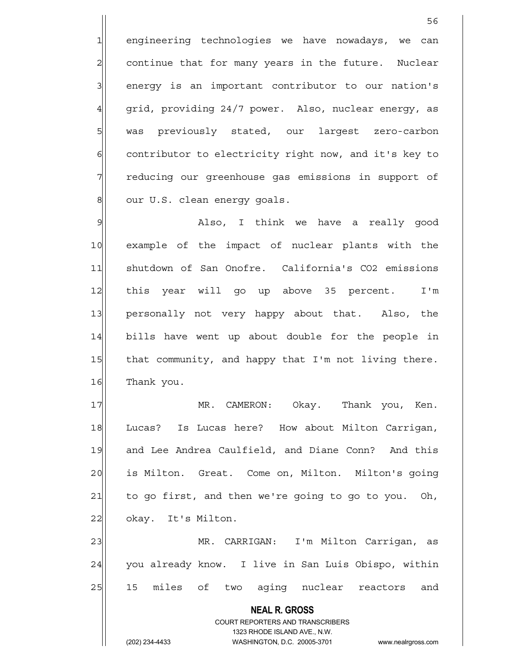1 engineering technologies we have nowadays, we can 2 continue that for many years in the future. Nuclear 3| energy is an important contributor to our nation's 4 grid, providing 24/7 power. Also, nuclear energy, as 5 | was previously stated, our largest zero-carbon 6 contributor to electricity right now, and it's key to 7 Teducing our greenhouse gas emissions in support of 8 our U.S. clean energy goals.

9 Metally Report in think we have a really good 10 example of the impact of nuclear plants with the 11 Shutdown of San Onofre. California's CO2 emissions 12 this year will go up above 35 percent. I'm 13 personally not very happy about that. Also, the 14 bills have went up about double for the people in 15 that community, and happy that I'm not living there. 16 Thank you.

17 MR. CAMERON: Okay. Thank you, Ken. 18 Lucas? Is Lucas here? How about Milton Carrigan, 19 and Lee Andrea Caulfield, and Diane Conn? And this 20 is Milton. Great. Come on, Milton. Milton's going  $21$  to go first, and then we're going to go to you. Oh, 22 | okay. It's Milton.

23 MR. CARRIGAN: I'm Milton Carrigan, as 24 you already know. I live in San Luis Obispo, within 25 15 miles of two aging nuclear reactors and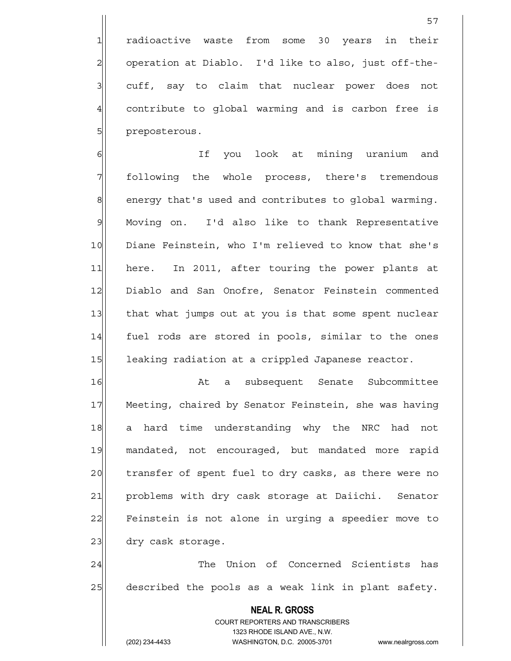1 radioactive waste from some 30 years in their 2 | operation at Diablo. I'd like to also, just off-the-3 3 cuff, say to claim that nuclear power does not 4 contribute to global warming and is carbon free is 5 | preposterous.

6 | If you look at mining uranium and 7 **1** following the whole process, there's tremendous 8 energy that's used and contributes to global warming. 9 Moving on. I'd also like to thank Representative 10 Diane Feinstein, who I'm relieved to know that she's 11 here. In 2011, after touring the power plants at 12 Diablo and San Onofre, Senator Feinstein commented 13 that what jumps out at you is that some spent nuclear 14 fuel rods are stored in pools, similar to the ones 15 leaking radiation at a crippled Japanese reactor.

16 a subsequent Senate Subcommittee 17 Meeting, chaired by Senator Feinstein, she was having 18 a hard time understanding why the NRC had not 19 mandated, not encouraged, but mandated more rapid 20 transfer of spent fuel to dry casks, as there were no 21 problems with dry cask storage at Daiichi. Senator 22 Feinstein is not alone in urging a speedier move to 23 dry cask storage.

24 and 24 The Union of Concerned Scientists has 25 described the pools as a weak link in plant safety.

> **NEAL R. GROSS** COURT REPORTERS AND TRANSCRIBERS

1323 RHODE ISLAND AVE., N.W.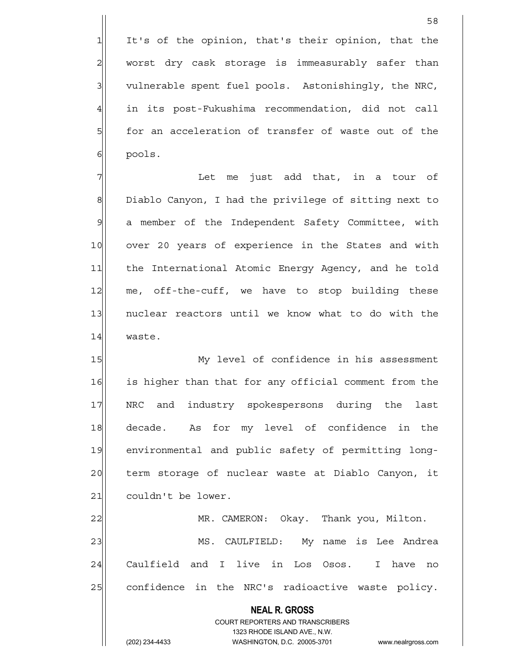1 It's of the opinion, that's their opinion, that the  $2$  worst dry cask storage is immeasurably safer than 3 3 vulnerable spent fuel pools. Astonishingly, the NRC, 4 in its post-Fukushima recommendation, did not call 5 for an acceleration of transfer of waste out of the 6 pools.

 $7$  Tet me just add that, in a tour of 8 Diablo Canyon, I had the privilege of sitting next to 9 a member of the Independent Safety Committee, with 10 over 20 years of experience in the States and with 11 the International Atomic Energy Agency, and he told 12 me, off-the-cuff, we have to stop building these 13 | nuclear reactors until we know what to do with the 14 waste.

15 My level of confidence in his assessment 16 is higher than that for any official comment from the 17 NRC and industry spokespersons during the last 18 decade. As for my level of confidence in the 19 environmental and public safety of permitting long-20 term storage of nuclear waste at Diablo Canyon, it 21 couldn't be lower.

22 MR. CAMERON: Okay. Thank you, Milton. 23 MS. CAULFIELD: My name is Lee Andrea 24 Caulfield and I live in Los Osos. I have no 25 confidence in the NRC's radioactive waste policy.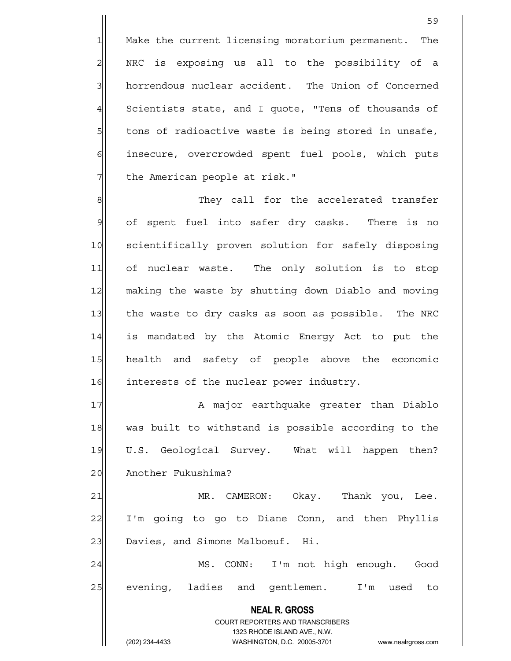1 Make the current licensing moratorium permanent. The 2 | NRC is exposing us all to the possibility of a 3 horrendous nuclear accident. The Union of Concerned  $4$  Scientists state, and I quote, "Tens of thousands of 5 5 5 5 tons of radioactive waste is being stored in unsafe, 6 6 insecure, overcrowded spent fuel pools, which puts 7 The American people at risk."

8 8 Mey call for the accelerated transfer 9 of spent fuel into safer dry casks. There is no 10 scientifically proven solution for safely disposing 11 of nuclear waste. The only solution is to stop 12 making the waste by shutting down Diablo and moving 13 the waste to dry casks as soon as possible. The NRC 14 is mandated by the Atomic Energy Act to put the 15 health and safety of people above the economic 16 interests of the nuclear power industry.

17 A major earthquake greater than Diablo 18 was built to withstand is possible according to the 19 U.S. Geological Survey. What will happen then? 20 Another Fukushima?

21 MR. CAMERON: Okay. Thank you, Lee. 22 I'm going to go to Diane Conn, and then Phyllis 23 Davies, and Simone Malboeuf. Hi.

24 MS. CONN: I'm not high enough. Good 25 evening, ladies and gentlemen. I'm used to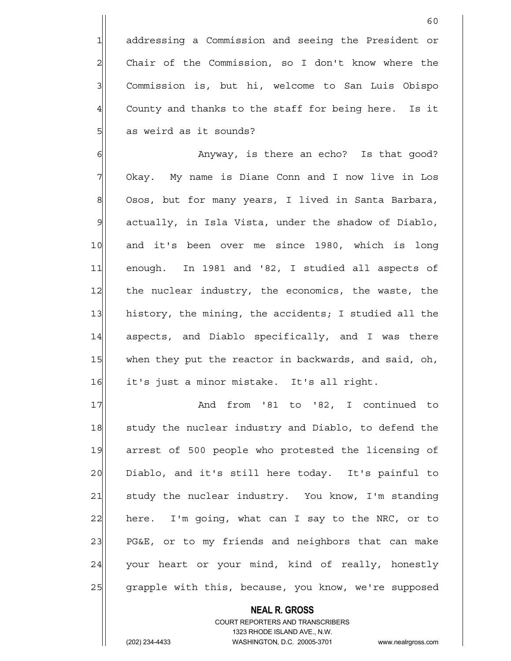1 addressing a Commission and seeing the President or 2 Chair of the Commission, so I don't know where the 3 | Commission is, but hi, welcome to San Luis Obispo  $4$  County and thanks to the staff for being here. Is it 5| as weird as it sounds?

60

6 6 Anyway, is there an echo? Is that good? 7 Okay. My name is Diane Conn and I now live in Los 8 Osos, but for many years, I lived in Santa Barbara,  $9$  actually, in Isla Vista, under the shadow of Diablo, 10 and it's been over me since 1980, which is long 11 enough. In 1981 and '82, I studied all aspects of 12 the nuclear industry, the economics, the waste, the 13 history, the mining, the accidents; I studied all the 14 aspects, and Diablo specifically, and I was there 15 when they put the reactor in backwards, and said, oh, 16 it's just a minor mistake. It's all right.

17 and from '81 to '82, I continued to 18 study the nuclear industry and Diablo, to defend the 19 arrest of 500 people who protested the licensing of 20 Diablo, and it's still here today. It's painful to 21 Study the nuclear industry. You know, I'm standing  $22$  here. I'm going, what can I say to the NRC, or to 23 PG&E, or to my friends and neighbors that can make 24 your heart or your mind, kind of really, honestly 25 grapple with this, because, you know, we're supposed

> COURT REPORTERS AND TRANSCRIBERS 1323 RHODE ISLAND AVE., N.W. (202) 234-4433 WASHINGTON, D.C. 20005-3701 www.nealrgross.com

 **NEAL R. GROSS**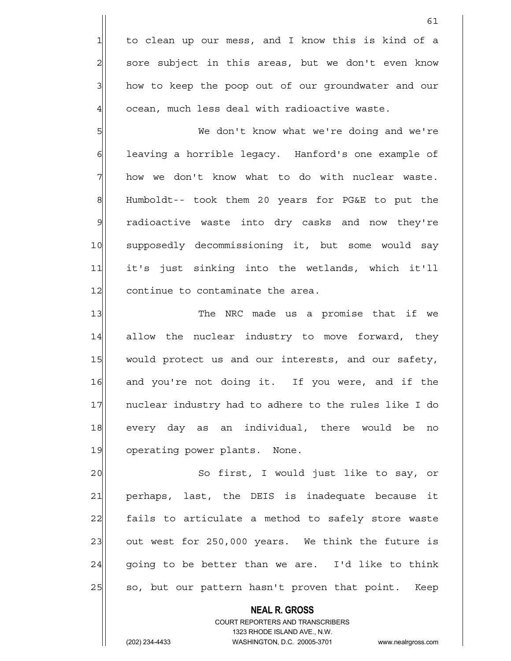1 to clean up our mess, and I know this is kind of a  $2$  sore subject in this areas, but we don't even know 3 how to keep the poop out of our groundwater and our  $4$   $\vert$  ocean, much less deal with radioactive waste.

5 We don't know what we're doing and we're 6 6 6 leaving a horrible legacy. Hanford's one example of  $7$  how we don't know what to do with nuclear waste. 8 Humboldt-- took them 20 years for PG&E to put the 9 radioactive waste into dry casks and now they're 10 supposedly decommissioning it, but some would say 11 it's just sinking into the wetlands, which it'll 12 continue to contaminate the area.

13 The NRC made us a promise that if we 14 allow the nuclear industry to move forward, they 15 would protect us and our interests, and our safety, 16 and you're not doing it. If you were, and if the 17 | nuclear industry had to adhere to the rules like I do 18 every day as an individual, there would be no 19 operating power plants. None.

20 So first, I would just like to say, or 21 perhaps, last, the DEIS is inadequate because it 22 fails to articulate a method to safely store waste 23 out west for 250,000 years. We think the future is  $24$  going to be better than we are. I'd like to think 25 so, but our pattern hasn't proven that point. Keep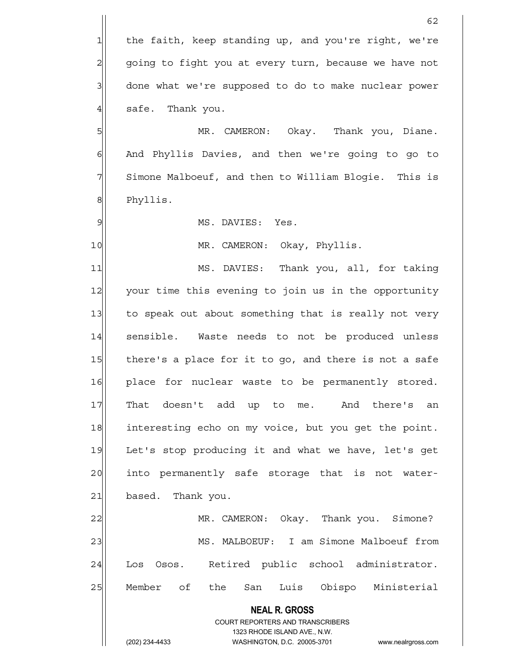1 the faith, keep standing up, and you're right, we're 2 going to fight you at every turn, because we have not 3 done what we're supposed to do to make nuclear power  $4$  safe. Thank you.

62

5 MR. CAMERON: Okay. Thank you, Diane. 6 And Phyllis Davies, and then we're going to go to 7 Simone Malboeuf, and then to William Blogie. This is 8 Phyllis.

9 MS. DAVIES: Yes.

10 MR. CAMERON: Okay, Phyllis.

11 MS. DAVIES: Thank you, all, for taking 12 your time this evening to join us in the opportunity 13 to speak out about something that is really not very 14 sensible. Waste needs to not be produced unless 15 there's a place for it to go, and there is not a safe 16 place for nuclear waste to be permanently stored. 17 That doesn't add up to me. And there's an 18 interesting echo on my voice, but you get the point. 19 Let's stop producing it and what we have, let's get 20 anto permanently safe storage that is not water-21 based. Thank you.

22 MR. CAMERON: Okay. Thank you. Simone? 23 MS. MALBOEUF: I am Simone Malboeuf from 24 Los Osos. Retired public school administrator. 25 | Member of the San Luis Obispo Ministerial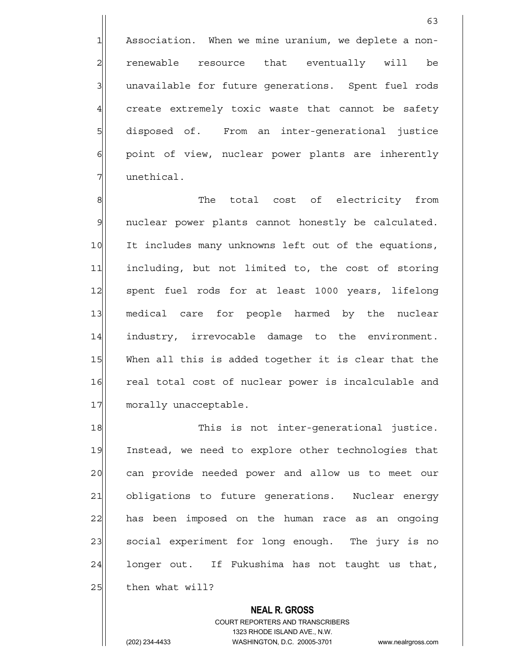1 Association. When we mine uranium, we deplete a non-2 renewable resource that eventually will be 3 3 unavailable for future generations. Spent fuel rods 4 create extremely toxic waste that cannot be safety 5 5 5 5 disposed of. From an inter-generational justice  $\left| \cdot \right|$  point of view, nuclear power plants are inherently 7 unethical.

8 8 Reference The total cost of electricity from 9| nuclear power plants cannot honestly be calculated. 10 It includes many unknowns left out of the equations, 11 including, but not limited to, the cost of storing 12 spent fuel rods for at least 1000 years, lifelong 13 medical care for people harmed by the nuclear 14 industry, irrevocable damage to the environment. 15 When all this is added together it is clear that the 16 real total cost of nuclear power is incalculable and 17 morally unacceptable.

18 This is not inter-generational justice. 19 Instead, we need to explore other technologies that 20 can provide needed power and allow us to meet our 21 obligations to future generations. Nuclear energy 22 has been imposed on the human race as an ongoing 23 social experiment for long enough. The jury is no 24 longer out. If Fukushima has not taught us that,  $25$  then what will?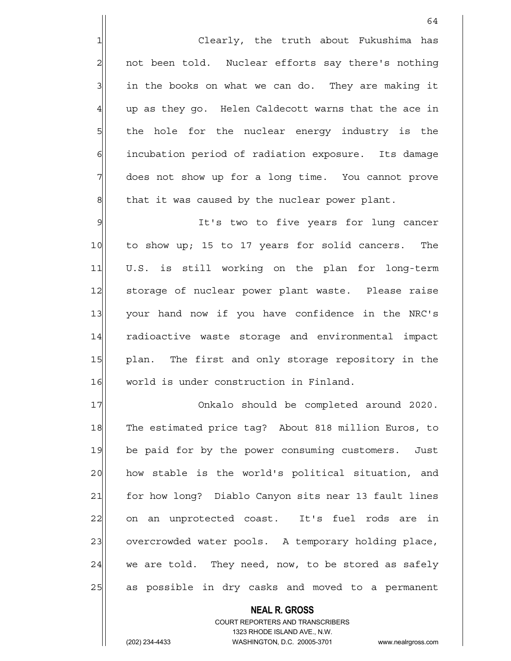1 Clearly, the truth about Fukushima has  $2$  not been told. Nuclear efforts say there's nothing  $3$  in the books on what we can do. They are making it  $4$  up as they go. Helen Caldecott warns that the ace in 5 5 5 5 the hole for the nuclear energy industry is the 6 6 6 incubation period of radiation exposure. Its damage 7 does not show up for a long time. You cannot prove  $8$  that it was caused by the nuclear power plant.

9 9 It's two to five years for lung cancer 10 to show up; 15 to 17 years for solid cancers. The 11 U.S. is still working on the plan for long-term 12 storage of nuclear power plant waste. Please raise 13 your hand now if you have confidence in the NRC's 14 radioactive waste storage and environmental impact 15 plan. The first and only storage repository in the 16 | world is under construction in Finland.

17 Onkalo should be completed around 2020. 18 The estimated price tag? About 818 million Euros, to 19 be paid for by the power consuming customers. Just 20 how stable is the world's political situation, and 21 for how long? Diablo Canyon sits near 13 fault lines 22 on an unprotected coast. It's fuel rods are in 23 overcrowded water pools. A temporary holding place,  $24$  we are told. They need, now, to be stored as safely 25 as possible in dry casks and moved to a permanent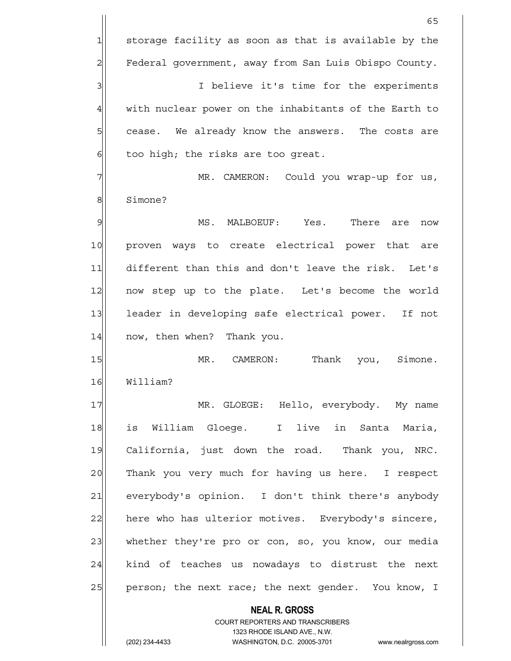**NEAL R. GROSS**  $65$  $1$  storage facility as soon as that is available by the 2 Federal government, away from San Luis Obispo County. 3 3 I believe it's time for the experiments 4 with nuclear power on the inhabitants of the Earth to 5 5 5 5 sease. We already know the answers. The costs are  $6$  too high; the risks are too great. 7 MR. CAMERON: Could you wrap-up for us, 8 Simone? 9 I MS. MALBOEUF: Yes. There are now 10 proven ways to create electrical power that are 11 different than this and don't leave the risk. Let's 12 now step up to the plate. Let's become the world 13 leader in developing safe electrical power. If not 14 now, then when? Thank you. 15 | MR. CAMERON: Thank you, Simone. 16 William? 17 MR. GLOEGE: Hello, everybody. My name 18 is William Gloege. I live in Santa Maria, 19 California, just down the road. Thank you, NRC. 20 Thank you very much for having us here. I respect 21 everybody's opinion. I don't think there's anybody 22 here who has ulterior motives. Everybody's sincere, 23 whether they're pro or con, so, you know, our media  $24$  kind of teaches us nowadays to distrust the next 25 person; the next race; the next gender. You know, I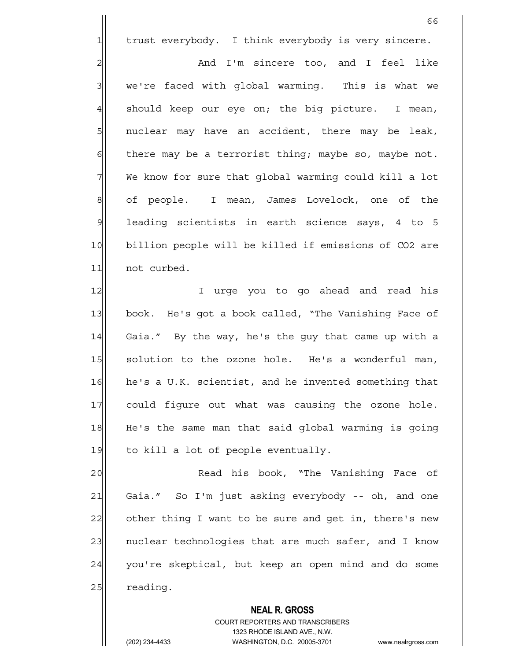1 trust everybody. I think everybody is very sincere.

2 and I'm sincere too, and I feel like 3 We're faced with global warming. This is what we  $4$  should keep our eye on; the big picture. I mean,  $5$  nuclear may have an accident, there may be leak,  $6$  there may be a terrorist thing; maybe so, maybe not. 7 We know for sure that global warming could kill a lot 8 of people. I mean, James Lovelock, one of the  $9$  leading scientists in earth science says, 4 to 5 10 billion people will be killed if emissions of CO2 are 11 not curbed.

12 I urge you to go ahead and read his 13 book. He's got a book called, "The Vanishing Face of 14 Gaia." By the way, he's the guy that came up with a 15 solution to the ozone hole. He's a wonderful man, 16 he's a U.K. scientist, and he invented something that 17 could figure out what was causing the ozone hole. 18 He's the same man that said global warming is going  $19$  to kill a lot of people eventually.

20 Read his book, "The Vanishing Face of 21 Gaia." So I'm just asking everybody -- oh, and one 22 other thing I want to be sure and get in, there's new 23 | nuclear technologies that are much safer, and I know 24 you're skeptical, but keep an open mind and do some 25 reading.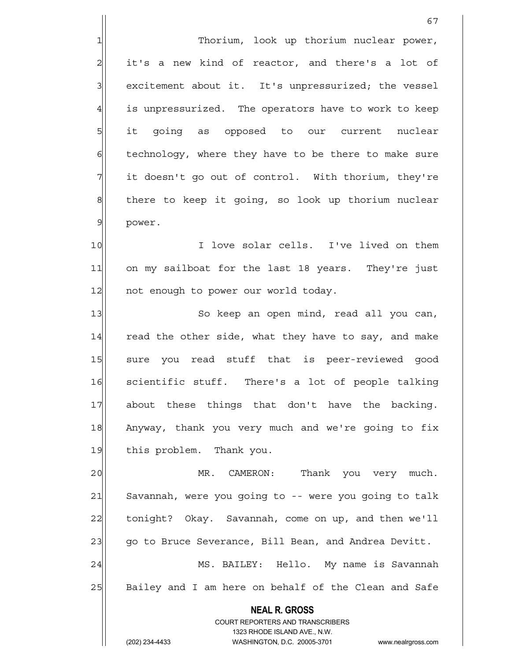1 Thorium, look up thorium nuclear power,  $2\vert$  it's a new kind of reactor, and there's a lot of 3 excitement about it. It's unpressurized; the vessel 4 is unpressurized. The operators have to work to keep 5 it going as opposed to our current nuclear 6 6 fechnology, where they have to be there to make sure 7 1 it doesn't go out of control. With thorium, they're 8 there to keep it going, so look up thorium nuclear 9 power.

10 I love solar cells. I've lived on them 11 on my sailboat for the last 18 years. They're just 12 not enough to power our world today.

13 So keep an open mind, read all you can, 14 read the other side, what they have to say, and make 15 sure you read stuff that is peer-reviewed good 16 scientific stuff. There's a lot of people talking 17 about these things that don't have the backing. 18 Anyway, thank you very much and we're going to fix 19 this problem. Thank you.

20 MR. CAMERON: Thank you very much. 21 Savannah, were you going to -- were you going to talk 22 tonight? Okay. Savannah, come on up, and then we'll 23 go to Bruce Severance, Bill Bean, and Andrea Devitt. 24 MS. BAILEY: Hello. My name is Savannah 25 Bailey and I am here on behalf of the Clean and Safe

> **NEAL R. GROSS** COURT REPORTERS AND TRANSCRIBERS 1323 RHODE ISLAND AVE., N.W.

(202) 234-4433 WASHINGTON, D.C. 20005-3701 www.nealrgross.com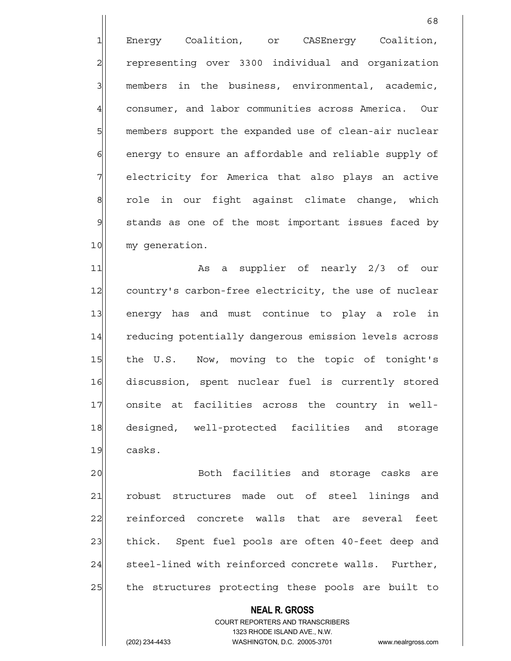1 Energy Coalition, or CASEnergy Coalition, 2 representing over 3300 individual and organization  $3$  members in the business, environmental, academic, 4 consumer, and labor communities across America. Our 5 members support the expanded use of clean-air nuclear 6 6 6 6 energy to ensure an affordable and reliable supply of 7 | electricity for America that also plays an active 8 role in our fight against climate change, which 9 stands as one of the most important issues faced by 10 my generation.

68

11 and the supplier of nearly 2/3 of our 12 country's carbon-free electricity, the use of nuclear 13 energy has and must continue to play a role in 14 reducing potentially dangerous emission levels across 15 the U.S. Now, moving to the topic of tonight's 16 discussion, spent nuclear fuel is currently stored 17 onsite at facilities across the country in well-18 designed, well-protected facilities and storage 19 casks.

20 Both facilities and storage casks are 21 robust structures made out of steel linings and 22 reinforced concrete walls that are several feet 23 thick. Spent fuel pools are often 40-feet deep and 24 steel-lined with reinforced concrete walls. Further, 25 the structures protecting these pools are built to

> **NEAL R. GROSS** COURT REPORTERS AND TRANSCRIBERS 1323 RHODE ISLAND AVE., N.W.

(202) 234-4433 WASHINGTON, D.C. 20005-3701 www.nealrgross.com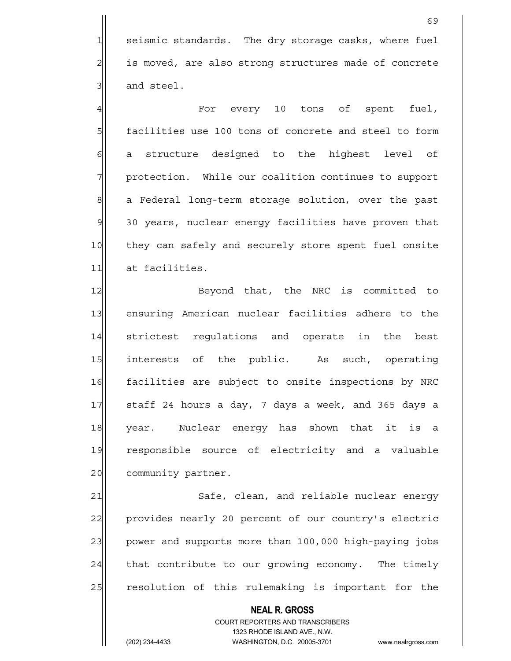1 seismic standards. The dry storage casks, where fuel 2 is moved, are also strong structures made of concrete 3 and steel.

4 and the spent fuel, the spent fuel, the spent fuel, the spent spent fuel, 5 facilities use 100 tons of concrete and steel to form 6 6 structure designed to the highest level of 7 | protection. While our coalition continues to support 8 a Federal long-term storage solution, over the past 9 30 years, nuclear energy facilities have proven that 10 they can safely and securely store spent fuel onsite 11 at facilities.

12 Beyond that, the NRC is committed to 13 ensuring American nuclear facilities adhere to the 14 strictest requlations and operate in the best 15 interests of the public. As such, operating 16 facilities are subject to onsite inspections by NRC 17 staff 24 hours a day, 7 days a week, and 365 days a 18 year. Nuclear energy has shown that it is a 19 responsible source of electricity and a valuable 20 community partner.

21 Safe, clean, and reliable nuclear energy 22 provides nearly 20 percent of our country's electric 23 power and supports more than 100,000 high-paying jobs  $24$  that contribute to our growing economy. The timely 25 resolution of this rulemaking is important for the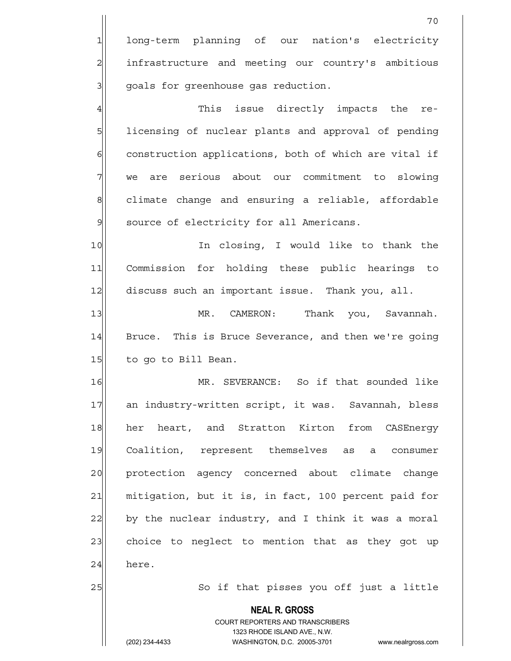1 long-term planning of our nation's electricity 2 21 infrastructure and meeting our country's ambitious 3 | goals for greenhouse gas reduction.

4 This issue directly impacts the re-5 | licensing of nuclear plants and approval of pending 6 construction applications, both of which are vital if 7 we are serious about our commitment to slowing 8 8 climate change and ensuring a reliable, affordable 9 source of electricity for all Americans.

10 In closing, I would like to thank the 11 Commission for holding these public hearings to 12 discuss such an important issue. Thank you, all.

13 | MR. CAMERON: Thank you, Savannah. 14 Bruce. This is Bruce Severance, and then we're going 15 to go to Bill Bean.

16 MR. SEVERANCE: So if that sounded like 17 an industry-written script, it was. Savannah, bless 18 her heart, and Stratton Kirton from CASEnergy 19 Coalition, represent themselves as a consumer 20 protection agency concerned about climate change 21 mitigation, but it is, in fact, 100 percent paid for  $22$  by the nuclear industry, and I think it was a moral 23 choice to neglect to mention that as they got up  $24$  here.

25 So if that pisses you off just a little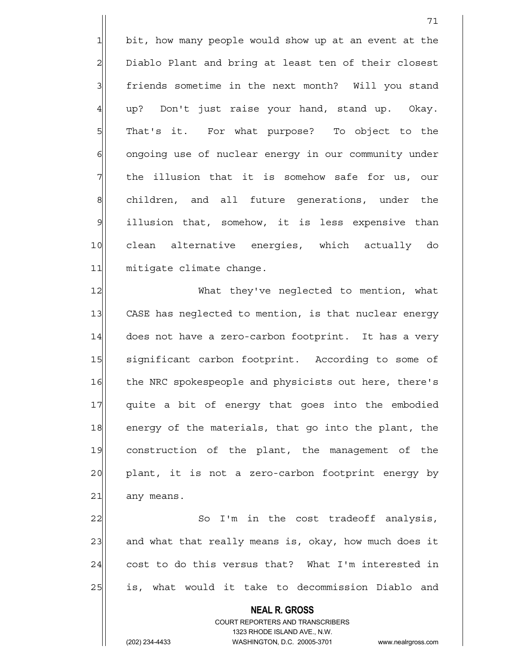1 bit, how many people would show up at an event at the 2 Diablo Plant and bring at least ten of their closest 3 3 friends sometime in the next month? Will you stand  $4$  up? Don't just raise your hand, stand up. Okay. 5| That's it. For what purpose? To object to the 6 ongoing use of nuclear energy in our community under  $7$  the illusion that it is somehow safe for us, our 8 children, and all future generations, under the 9 illusion that, somehow, it is less expensive than 10 clean alternative energies, which actually do 11 mitigate climate change.

71

12 What they've neglected to mention, what 13 CASE has neglected to mention, is that nuclear energy 14 does not have a zero-carbon footprint. It has a very 15 Significant carbon footprint. According to some of 16 the NRC spokespeople and physicists out here, there's 17 quite a bit of energy that goes into the embodied 18 energy of the materials, that go into the plant, the 19 construction of the plant, the management of the 20| plant, it is not a zero-carbon footprint energy by 21| any means.

22 So I'm in the cost tradeoff analysis, 23 and what that really means is, okay, how much does it  $24$  cost to do this versus that? What I'm interested in 25 also is, what would it take to decommission Diablo and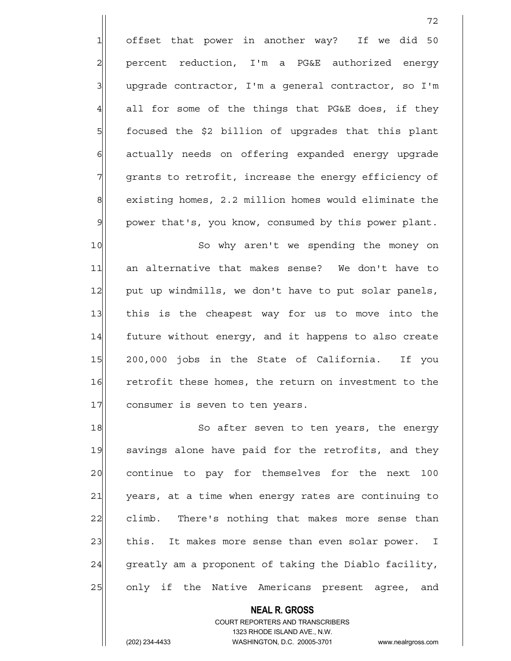1 offset that power in another way? If we did 50 2 percent reduction, I'm a PG&E authorized energy  $3$  upgrade contractor, I'm a general contractor, so I'm  $4$  all for some of the things that PG&E does, if they 5 5 5 focused the \$2 billion of upgrades that this plant 6 6 6 6 actually needs on offering expanded energy upgrade 7 grants to retrofit, increase the energy efficiency of 8 existing homes, 2.2 million homes would eliminate the 9 | power that's, you know, consumed by this power plant.

72

10 So why aren't we spending the money on 11 an alternative that makes sense? We don't have to 12 put up windmills, we don't have to put solar panels, 13 this is the cheapest way for us to move into the 14 future without energy, and it happens to also create 15 200,000 jobs in the State of California. If you 16 retrofit these homes, the return on investment to the 17 consumer is seven to ten years.

18 So after seven to ten years, the energy 19 savings alone have paid for the retrofits, and they 20 continue to pay for themselves for the next 100 21 years, at a time when energy rates are continuing to 22 climb. There's nothing that makes more sense than 23 this. It makes more sense than even solar power. I  $24$  greatly am a proponent of taking the Diablo facility, 25 only if the Native Americans present agree, and

> **NEAL R. GROSS** COURT REPORTERS AND TRANSCRIBERS

1323 RHODE ISLAND AVE., N.W.

(202) 234-4433 WASHINGTON, D.C. 20005-3701 www.nealrgross.com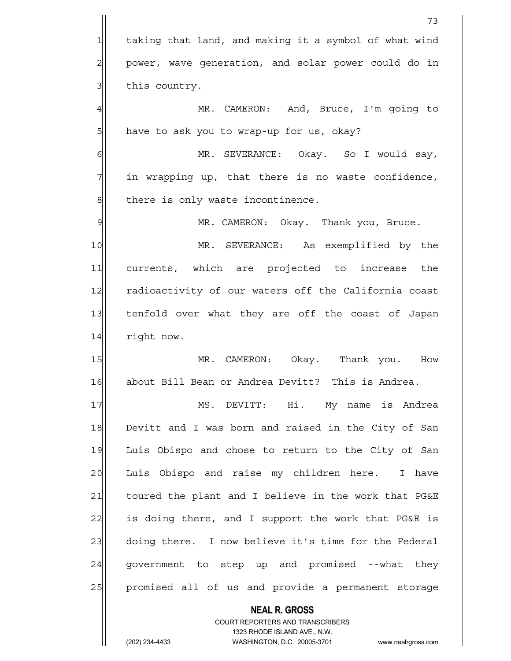**NEAL R. GROSS** COURT REPORTERS AND TRANSCRIBERS 73 1 taking that land, and making it a symbol of what wind 2 power, wave generation, and solar power could do in  $3$  this country. 4 MR. CAMERON: And, Bruce, I'm going to 5 5 have to ask you to wrap-up for us, okay? 6 MR. SEVERANCE: Okay. So I would say,  $7$  in wrapping up, that there is no waste confidence,  $8$  there is only waste incontinence. 9 MR. CAMERON: Okay. Thank you, Bruce. 10 MR. SEVERANCE: As exemplified by the 11 currents, which are projected to increase the 12 radioactivity of our waters off the California coast 13 tenfold over what they are off the coast of Japan 14 right now. 15 MR. CAMERON: Okay. Thank you. How 16 about Bill Bean or Andrea Devitt? This is Andrea. 17 MS. DEVITT: Hi. My name is Andrea 18 Devitt and I was born and raised in the City of San 19 Luis Obispo and chose to return to the City of San 20 Luis Obispo and raise my children here. I have 21 toured the plant and I believe in the work that PG&E 22 is doing there, and I support the work that PG&E is 23 doing there. I now believe it's time for the Federal  $24$  government to step up and promised --what they 25 promised all of us and provide a permanent storage

1323 RHODE ISLAND AVE., N.W.

(202) 234-4433 WASHINGTON, D.C. 20005-3701 www.nealrgross.com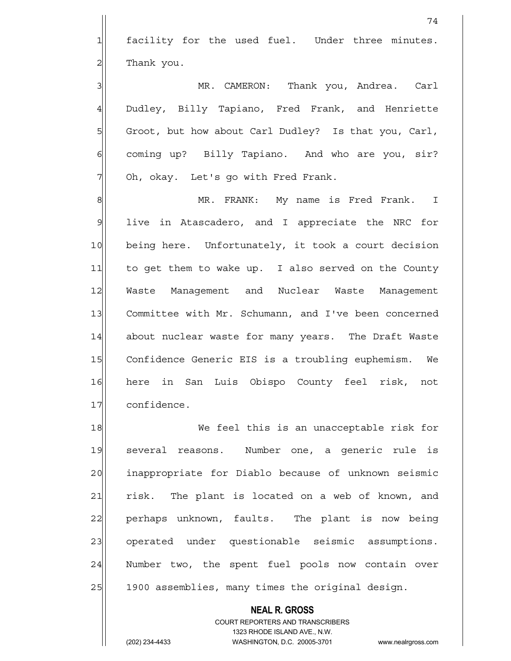1 facility for the used fuel. Under three minutes.  $2$  Thank you.

3 | MR. CAMERON: Thank you, Andrea. Carl 4 Dudley, Billy Tapiano, Fred Frank, and Henriette 5 Groot, but how about Carl Dudley? Is that you, Carl, 6 6 coming up? Billy Tapiano. And who are you, sir? 7 Oh, okay. Let's go with Fred Frank.

8 MR. FRANK: My name is Fred Frank. I 9 live in Atascadero, and I appreciate the NRC for 10 being here. Unfortunately, it took a court decision 11 to get them to wake up. I also served on the County 12 Waste Management and Nuclear Waste Management 13 Committee with Mr. Schumann, and I've been concerned 14 about nuclear waste for many years. The Draft Waste 15 Confidence Generic EIS is a troubling euphemism. We 16 here in San Luis Obispo County feel risk, not 17 confidence.

18 We feel this is an unacceptable risk for 19 several reasons. Number one, a generic rule is 20 inappropriate for Diablo because of unknown seismic 21 risk. The plant is located on a web of known, and 22 perhaps unknown, faults. The plant is now being 23 operated under questionable seismic assumptions. 24 Number two, the spent fuel pools now contain over 25 | 1900 assemblies, many times the original design.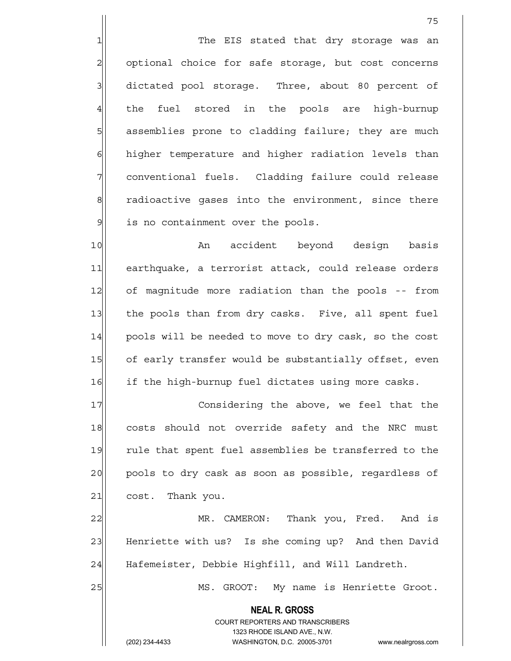1 The EIS stated that dry storage was an 2 optional choice for safe storage, but cost concerns 3 3 dictated pool storage. Three, about 80 percent of 4 the fuel stored in the pools are high-burnup 5 5 5 5 5 assemblies prone to cladding failure; they are much 6 6 6 higher temperature and higher radiation levels than 7 conventional fuels. Cladding failure could release 8 8 8 radioactive gases into the environment, since there 9 is no containment over the pools.

10 an accident beyond design basis 11| earthquake, a terrorist attack, could release orders 12 of magnitude more radiation than the pools -- from 13 the pools than from dry casks. Five, all spent fuel 14 pools will be needed to move to dry cask, so the cost 15 of early transfer would be substantially offset, even 16 if the high-burnup fuel dictates using more casks.

17 Considering the above, we feel that the 18 costs should not override safety and the NRC must 19 rule that spent fuel assemblies be transferred to the 20 pools to dry cask as soon as possible, regardless of  $21$  cost. Thank you.

22 MR. CAMERON: Thank you, Fred. And is 23 Henriette with us? Is she coming up? And then David 24 Hafemeister, Debbie Highfill, and Will Landreth.

25 MS. GROOT: My name is Henriette Groot.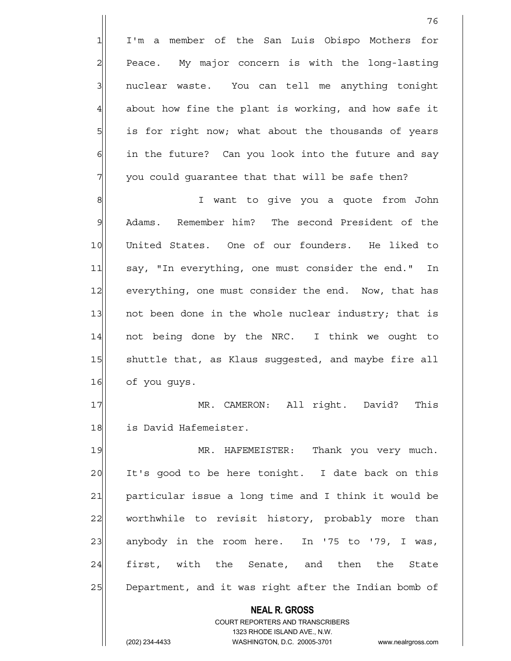1 I'm a member of the San Luis Obispo Mothers for 2 Peace. My major concern is with the long-lasting 3 3 nuclear waste. You can tell me anything tonight  $4$  about how fine the plant is working, and how safe it 5 | is for right now; what about the thousands of years  $6$  in the future? Can you look into the future and say  $7$  you could guarantee that that will be safe then?

8 8 I want to give you a quote from John 9 Adams. Remember him? The second President of the 10 United States. One of our founders. He liked to 11 say, "In everything, one must consider the end." In 12 everything, one must consider the end. Now, that has 13 13 not been done in the whole nuclear industry; that is 14 not being done by the NRC. I think we ought to 15 Shuttle that, as Klaus suggested, and maybe fire all 16 of you guys.

17 MR. CAMERON: All right. David? This 18 is David Hafemeister.

19 MR. HAFEMEISTER: Thank you very much. 20 It's good to be here tonight. I date back on this 21 particular issue a long time and I think it would be 22| worthwhile to revisit history, probably more than 23 anybody in the room here. In '75 to '79, I was, 24 first, with the Senate, and then the State 25 Department, and it was right after the Indian bomb of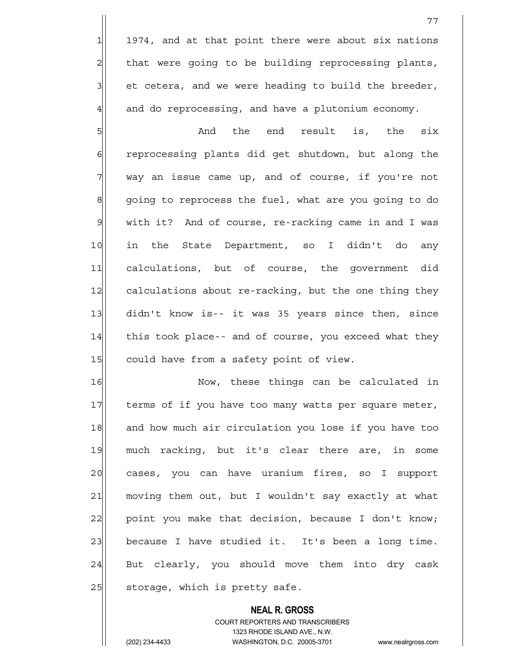1974, and at that point there were about six nations 2 | that were going to be building reprocessing plants, et cetera, and we were heading to build the breeder, and do reprocessing, and have a plutonium economy.

 $5$  And the end result is, the six 6 6 6 6 reprocessing plants did get shutdown, but along the  $7$  way an issue came up, and of course, if you're not 8 going to reprocess the fuel, what are you going to do 9 | with it? And of course, re-racking came in and I was 10 in the State Department, so I didn't do any 11 calculations, but of course, the government did 12 calculations about re-racking, but the one thing they 13 didn't know is-- it was 35 years since then, since 14 this took place-- and of course, you exceed what they 15 could have from a safety point of view.

16 Now, these things can be calculated in 17 terms of if you have too many watts per square meter, 18 and how much air circulation you lose if you have too 19 much racking, but it's clear there are, in some 20 cases, you can have uranium fires, so I support 21 moving them out, but I wouldn't say exactly at what  $22$  point you make that decision, because I don't know; 23 because I have studied it. It's been a long time.  $24$  But clearly, you should move them into dry cask  $25$  storage, which is pretty safe.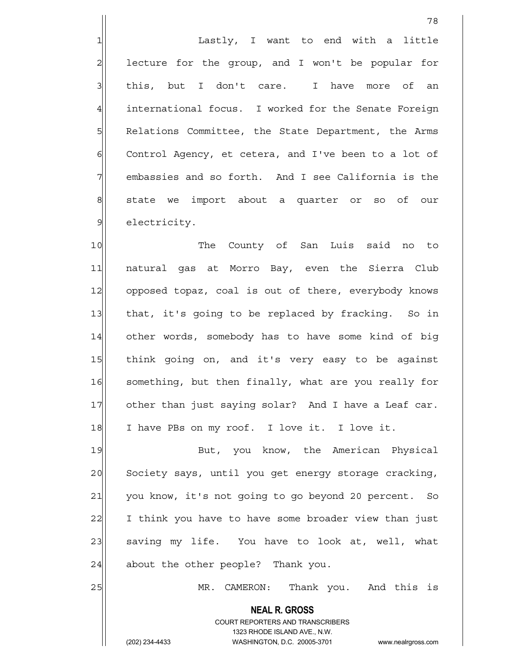1| Lastly, I want to end with a little 2 lecture for the group, and I won't be popular for 3 | this, but I don't care. I have more of an 4 international focus. I worked for the Senate Foreign 5 | Relations Committee, the State Department, the Arms 6 Control Agency, et cetera, and I've been to a lot of 7 embassies and so forth. And I see California is the 8 state we import about a quarter or so of our 9 electricity.

10 The County of San Luis said no to 11 natural gas at Morro Bay, even the Sierra Club 12 opposed topaz, coal is out of there, everybody knows 13 that, it's going to be replaced by fracking. So in 14 other words, somebody has to have some kind of big 15 think going on, and it's very easy to be against 16 something, but then finally, what are you really for 17 other than just saying solar? And I have a Leaf car. 18 I have PBs on my roof. I love it. I love it.

19 But, you know, the American Physical 20 Society says, until you get energy storage cracking, 21 you know, it's not going to go beyond 20 percent. So 22 I think you have to have some broader view than just 23 saving my life. You have to look at, well, what  $24$  about the other people? Thank you.

> **NEAL R. GROSS** COURT REPORTERS AND TRANSCRIBERS 1323 RHODE ISLAND AVE., N.W.

25 | MR. CAMERON: Thank you. And this is

(202) 234-4433 WASHINGTON, D.C. 20005-3701 www.nealrgross.com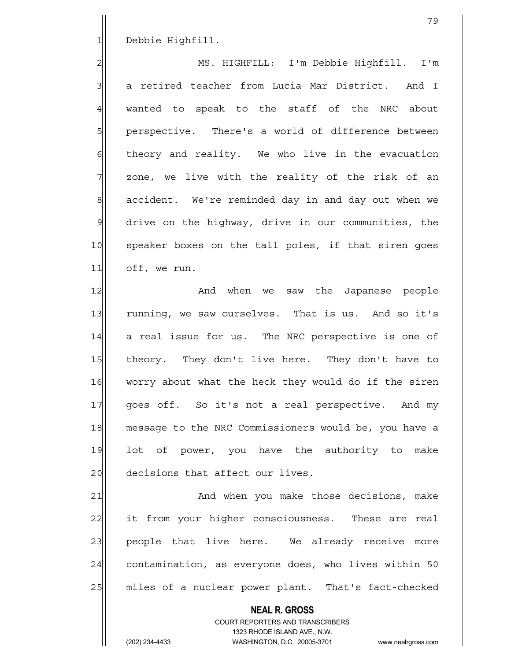1 Debbie Highfill.

2 MS. HIGHFILL: I'm Debbie Highfill. I'm 3 | 3 a retired teacher from Lucia Mar District. And I  $4$  wanted to speak to the staff of the NRC about 5| perspective. There's a world of difference between  $6$  theory and reality. We who live in the evacuation  $7$  zone, we live with the reality of the risk of an 8 accident. We're reminded day in and day out when we 9 drive on the highway, drive in our communities, the 10 speaker boxes on the tall poles, if that siren goes 11 off, we run.

12 and when we saw the Japanese people 13 running, we saw ourselves. That is us. And so it's 14 a real issue for us. The NRC perspective is one of 15 theory. They don't live here. They don't have to 16 worry about what the heck they would do if the siren 17 goes off. So it's not a real perspective. And my 18 message to the NRC Commissioners would be, you have a 19 lot of power, you have the authority to make 20 decisions that affect our lives.

21 and when you make those decisions, make 22 it from your higher consciousness. These are real 23 people that live here. We already receive more 24 contamination, as everyone does, who lives within 50 25 miles of a nuclear power plant. That's fact-checked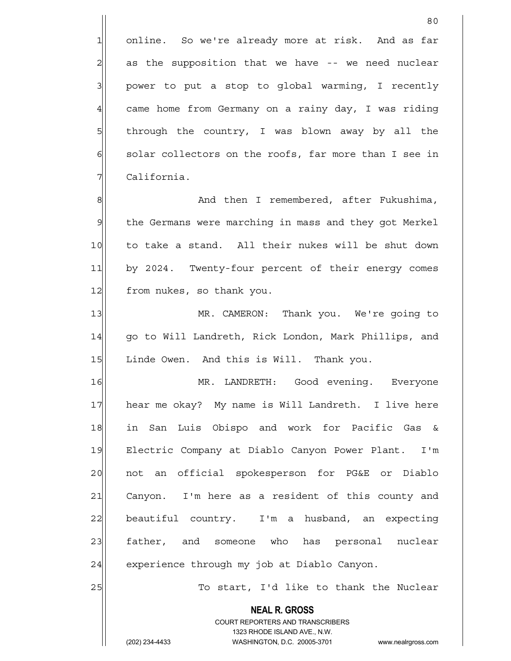1 online. So we're already more at risk. And as far  $2$  as the supposition that we have  $-$  we need nuclear  $3$  power to put a stop to global warming, I recently 4 came home from Germany on a rainy day, I was riding 5 5 5 5 through the country, I was blown away by all the 6| solar collectors on the roofs, far more than I see in 7 | California.

8 8 And then I remembered, after Fukushima, 9 the Germans were marching in mass and they got Merkel 10 to take a stand. All their nukes will be shut down 11 by 2024. Twenty-four percent of their energy comes 12 from nukes, so thank you.

13 MR. CAMERON: Thank you. We're going to 14 | qo to Will Landreth, Rick London, Mark Phillips, and 15 Linde Owen. And this is Will. Thank you.

16 MR. LANDRETH: Good evening. Everyone 17 hear me okay? My name is Will Landreth. I live here 18 in San Luis Obispo and work for Pacific Gas & 19 Electric Company at Diablo Canyon Power Plant. I'm 20 | not an official spokesperson for PG&E or Diablo  $21$  Canyon. I'm here as a resident of this county and 22 beautiful country. I'm a husband, an expecting 23 father, and someone who has personal nuclear 24 experience through my job at Diablo Canyon.

25 To start, I'd like to thank the Nuclear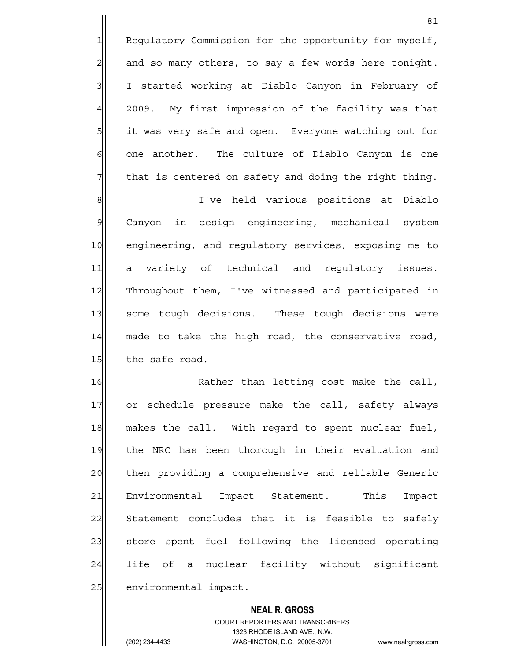1 Regulatory Commission for the opportunity for myself,  $2$  and so many others, to say a few words here tonight. 3 I started working at Diablo Canyon in February of 4 2009. My first impression of the facility was that 5 5 it was very safe and open. Everyone watching out for  $6$  one another. The culture of Diablo Canyon is one 7 The that is centered on safety and doing the right thing.

81

8 8 I've held various positions at Diablo 9 Canyon in design engineering, mechanical system 10 engineering, and regulatory services, exposing me to 11 a variety of technical and regulatory issues. 12 Throughout them, I've witnessed and participated in 13 some tough decisions. These tough decisions were 14 made to take the high road, the conservative road, 15 the safe road.

16 Rather than letting cost make the call, 17 or schedule pressure make the call, safety always 18 makes the call. With regard to spent nuclear fuel, 19 the NRC has been thorough in their evaluation and 20 then providing a comprehensive and reliable Generic 21 Environmental Impact Statement. This Impact 22 Statement concludes that it is feasible to safely 23 store spent fuel following the licensed operating 24 life of a nuclear facility without significant 25 environmental impact.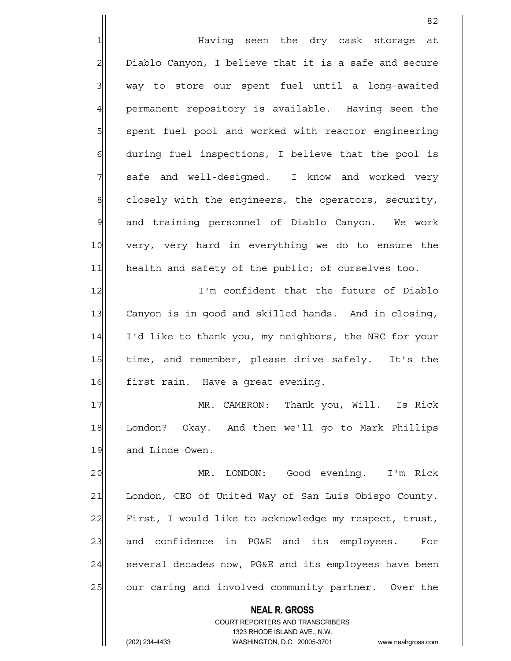**NEAL R. GROSS** COURT REPORTERS AND TRANSCRIBERS <u>82</u> 1 Having seen the dry cask storage at 2| Diablo Canyon, I believe that it is a safe and secure 3 | way to store our spent fuel until a long-awaited 4 permanent repository is available. Having seen the 5 | spent fuel pool and worked with reactor engineering  $6$  during fuel inspections, I believe that the pool is 7 safe and well-designed. I know and worked very  $8$  closely with the engineers, the operators, security, 9 and training personnel of Diablo Canyon. We work 10 very, very hard in everything we do to ensure the 11 health and safety of the public; of ourselves too. 12 I'm confident that the future of Diablo 13 Canyon is in good and skilled hands. And in closing, 14 I'd like to thank you, my neighbors, the NRC for your 15 time, and remember, please drive safely. It's the 16 first rain. Have a great evening. 17 MR. CAMERON: Thank you, Will. Is Rick 18 London? Okay. And then we'll go to Mark Phillips 19 and Linde Owen. 20| MR. LONDON: Good evening. I'm Rick 21 London, CEO of United Way of San Luis Obispo County. 22 First, I would like to acknowledge my respect, trust, 23 and confidence in PG&E and its employees. For 24 several decades now, PG&E and its employees have been 25 our caring and involved community partner. Over the

1323 RHODE ISLAND AVE., N.W.

(202) 234-4433 WASHINGTON, D.C. 20005-3701 www.nealrgross.com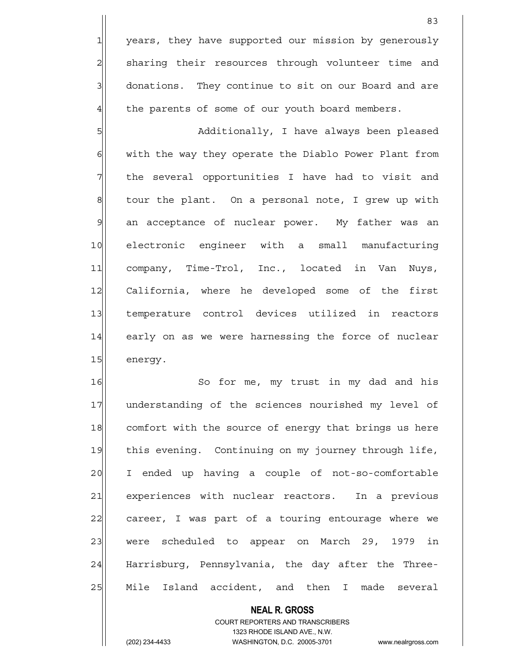1 years, they have supported our mission by generously 2| sharing their resources through volunteer time and 3 3 donations. They continue to sit on our Board and are  $4$  the parents of some of our youth board members.

5 | Solomaally, I have always been pleased 6 with the way they operate the Diablo Power Plant from 7 The several opportunities I have had to visit and  $8$  tour the plant. On a personal note, I grew up with 9 an acceptance of nuclear power. My father was an 10 electronic engineer with a small manufacturing 11 company, Time-Trol, Inc., located in Van Nuys, 12 California, where he developed some of the first 13 temperature control devices utilized in reactors 14 early on as we were harnessing the force of nuclear 15 energy.

16 So for me, my trust in my dad and his 17 understanding of the sciences nourished my level of 18 comfort with the source of energy that brings us here 19 this evening. Continuing on my journey through life, 20 I ended up having a couple of not-so-comfortable 21 experiences with nuclear reactors. In a previous 22 career, I was part of a touring entourage where we 23 were scheduled to appear on March 29, 1979 in 24 Harrisburg, Pennsylvania, the day after the Three-25 Mile Island accident, and then I made several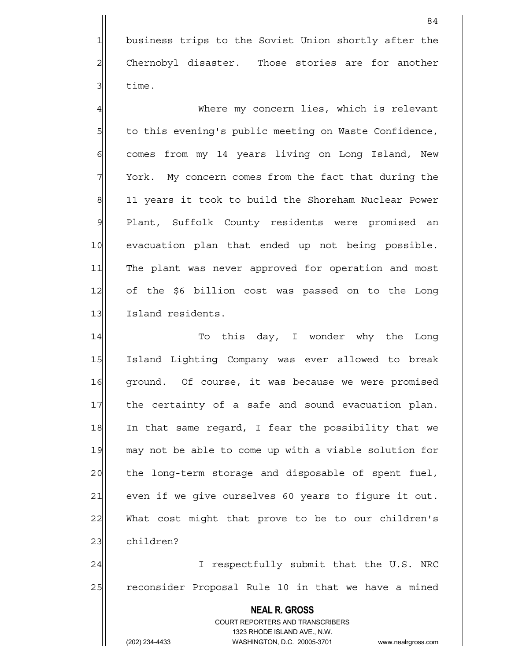1 business trips to the Soviet Union shortly after the 2 Chernobyl disaster. Those stories are for another  $3$  time.

4 Where my concern lies, which is relevant 5 to this evening's public meeting on Waste Confidence, 6 6 comes from my 14 years living on Long Island, New 7 York. My concern comes from the fact that during the 8 11 years it took to build the Shoreham Nuclear Power 9 Plant, Suffolk County residents were promised an 10 evacuation plan that ended up not being possible. 11 The plant was never approved for operation and most 12 of the \$6 billion cost was passed on to the Long 13 Island residents.

14 To this day, I wonder why the Long 15 Island Lighting Company was ever allowed to break 16 ground. Of course, it was because we were promised 17 the certainty of a safe and sound evacuation plan. 18 In that same regard, I fear the possibility that we 19 may not be able to come up with a viable solution for 20 the long-term storage and disposable of spent fuel, 21 even if we give ourselves 60 years to figure it out. 22 What cost might that prove to be to our children's 23 children? 24 | I respectfully submit that the U.S. NRC

25 reconsider Proposal Rule 10 in that we have a mined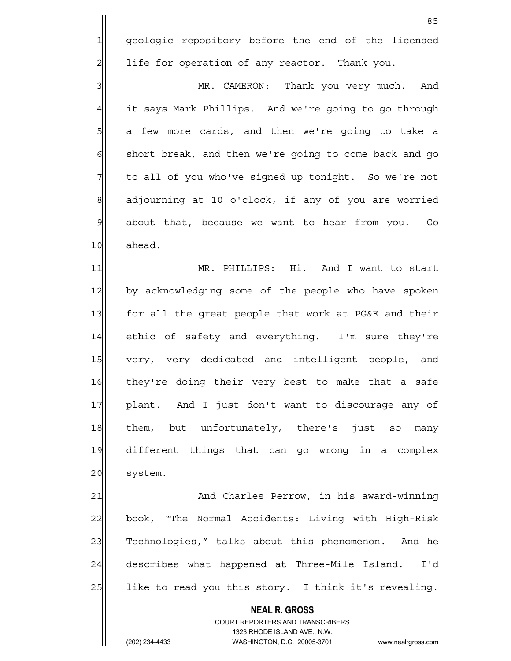1 geologic repository before the end of the licensed  $2$  life for operation of any reactor. Thank you.

3 MR. CAMERON: Thank you very much. And 4 it says Mark Phillips. And we're going to go through 5 a few more cards, and then we're going to take a  $6$  short break, and then we're going to come back and go 7 to all of you who've signed up tonight. So we're not 8 adjourning at 10 o'clock, if any of you are worried 9 about that, because we want to hear from you. Go 10 ahead.

11 MR. PHILLIPS: Hi. And I want to start 12 by acknowledging some of the people who have spoken 13 for all the great people that work at PG&E and their 14 ethic of safety and everything. I'm sure they're 15 very, very dedicated and intelligent people, and 16 they're doing their very best to make that a safe 17 plant. And I just don't want to discourage any of 18 them, but unfortunately, there's just so many 19 different things that can go wrong in a complex 20 system.

21 And Charles Perrow, in his award-winning 22 book, "The Normal Accidents: Living with High-Risk 23 Technologies," talks about this phenomenon. And he 24 describes what happened at Three-Mile Island. I'd  $25$  like to read you this story. I think it's revealing.

> **NEAL R. GROSS** COURT REPORTERS AND TRANSCRIBERS 1323 RHODE ISLAND AVE., N.W. (202) 234-4433 WASHINGTON, D.C. 20005-3701 www.nealrgross.com

<u>85 and 2001 and 2001 and 2001 and 2001 and 2001 and 2001 and 2001 and 2001 and 2001 and 2001 and 2001 and 200</u>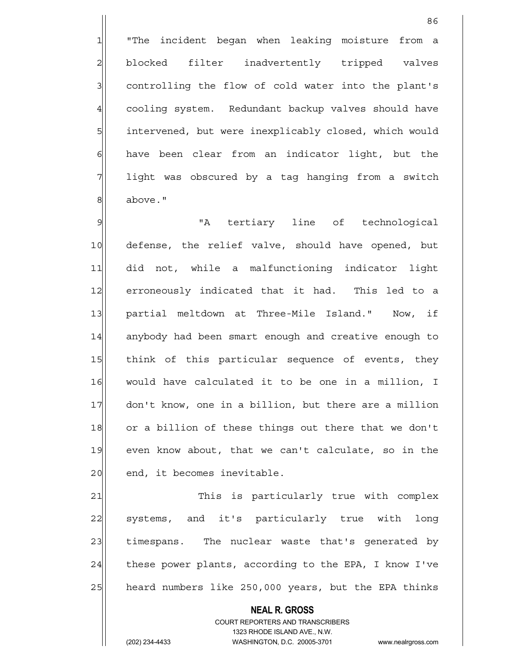1 "The incident began when leaking moisture from a 2 blocked filter inadvertently tripped valves 3 3 3 controlling the flow of cold water into the plant's 4 cooling system. Redundant backup valves should have 5 | intervened, but were inexplicably closed, which would  $6$  have been clear from an indicator light, but the 7 light was obscured by a tag hanging from a switch 8 above."

9 | Manuel The of technological was the monomed with the monomed variable was vertical to the monomed variable 10 defense, the relief valve, should have opened, but 11 did not, while a malfunctioning indicator light 12 erroneously indicated that it had. This led to a 13 partial meltdown at Three-Mile Island." Now, if 14 anybody had been smart enough and creative enough to 15 think of this particular sequence of events, they 16 would have calculated it to be one in a million, I 17 don't know, one in a billion, but there are a million 18 or a billion of these things out there that we don't 19 even know about, that we can't calculate, so in the 20 end, it becomes inevitable.

21 This is particularly true with complex 22 systems, and it's particularly true with long 23 timespans. The nuclear waste that's generated by  $24$  these power plants, according to the EPA, I know I've 25 heard numbers like 250,000 years, but the EPA thinks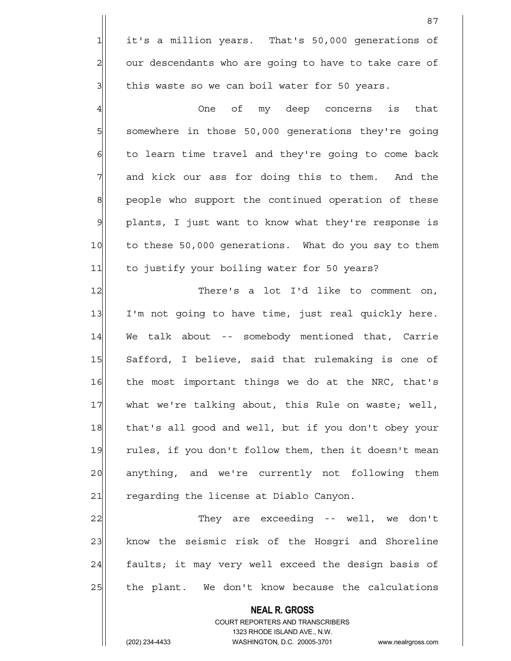1 it's a million years. That's 50,000 generations of 2 our descendants who are going to have to take care of  $3$  this waste so we can boil water for 50 years.

4 and the offic my deep concerns is that 5 somewhere in those 50,000 generations they're going  $6$  to learn time travel and they're going to come back 7 and kick our ass for doing this to them. And the 8 | people who support the continued operation of these 9 plants, I just want to know what they're response is 10 to these 50,000 generations. What do you say to them 11 to justify your boiling water for 50 years?

12 There's a lot I'd like to comment on, 13 I'm not going to have time, just real quickly here. 14 We talk about -- somebody mentioned that, Carrie 15 Safford, I believe, said that rulemaking is one of 16 the most important things we do at the NRC, that's 17 what we're talking about, this Rule on waste; well, 18 that's all good and well, but if you don't obey your 19 rules, if you don't follow them, then it doesn't mean 20 anything, and we're currently not following them 21 regarding the license at Diablo Canyon.

22 They are exceeding -- well, we don't 23 know the seismic risk of the Hosgri and Shoreline 24 faults; it may very well exceed the design basis of  $25$  the plant. We don't know because the calculations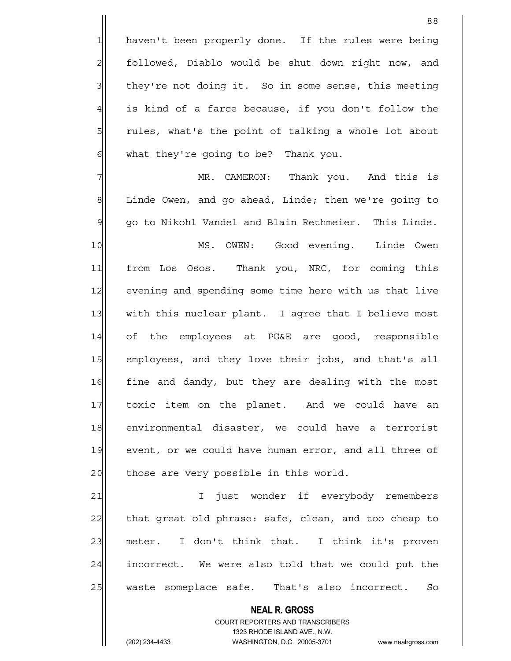1 haven't been properly done. If the rules were being 2 followed, Diablo would be shut down right now, and 3 | they're not doing it. So in some sense, this meeting  $4$  is kind of a farce because, if you don't follow the 5 5 5 5 5 rules, what's the point of talking a whole lot about  $6$  what they're going to be? Thank you.

7 MR. CAMERON: Thank you. And this is 8 Linde Owen, and go ahead, Linde; then we're going to 9 go to Nikohl Vandel and Blain Rethmeier. This Linde.

10 MS. OWEN: Good evening. Linde Owen 11 | from Los Osos. Thank you, NRC, for coming this 12 evening and spending some time here with us that live 13 with this nuclear plant. I agree that I believe most 14 of the employees at PG&E are good, responsible 15 employees, and they love their jobs, and that's all 16 fine and dandy, but they are dealing with the most 17 toxic item on the planet. And we could have an 18 environmental disaster, we could have a terrorist 19 event, or we could have human error, and all three of 20 those are very possible in this world.

21 | I just wonder if everybody remembers 22 that great old phrase: safe, clean, and too cheap to 23 meter. I don't think that. I think it's proven  $24$  incorrect. We were also told that we could put the 25 | waste someplace safe. That's also incorrect. So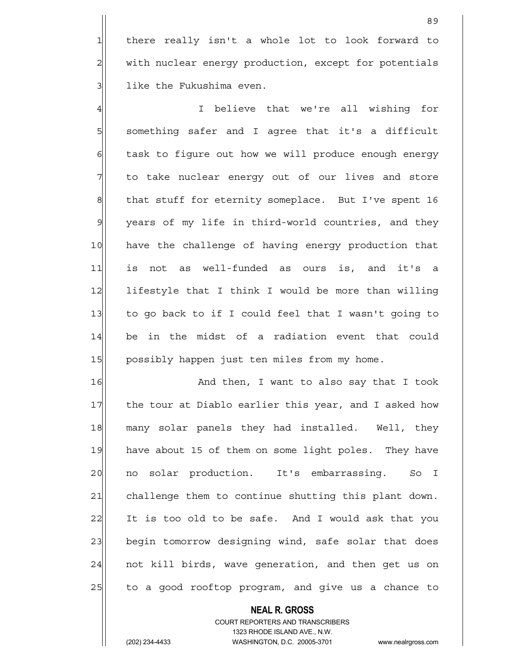1 there really isn't a whole lot to look forward to 2 with nuclear energy production, except for potentials 3 | like the Fukushima even.

4 and the state of that we're all wishing for 5 something safer and I agree that it's a difficult 6 6 6 6 task to figure out how we will produce enough energy  $7$  to take nuclear energy out of our lives and store 8 that stuff for eternity someplace. But I've spent 16  $\mathcal{Y}$  years of my life in third-world countries, and they 10 have the challenge of having energy production that 11 is not as well-funded as ours is, and it's a 12 lifestyle that I think I would be more than willing 13 to go back to if I could feel that I wasn't going to 14 be in the midst of a radiation event that could 15 | possibly happen just ten miles from my home.

16 And then, I want to also say that I took 17 the tour at Diablo earlier this year, and I asked how 18 many solar panels they had installed. Well, they 19 have about 15 of them on some light poles. They have 20 no solar production. It's embarrassing. So I 21 challenge them to continue shutting this plant down. 22 It is too old to be safe. And I would ask that you 23 begin tomorrow designing wind, safe solar that does 24 | not kill birds, wave generation, and then get us on 25 to a good rooftop program, and give us a chance to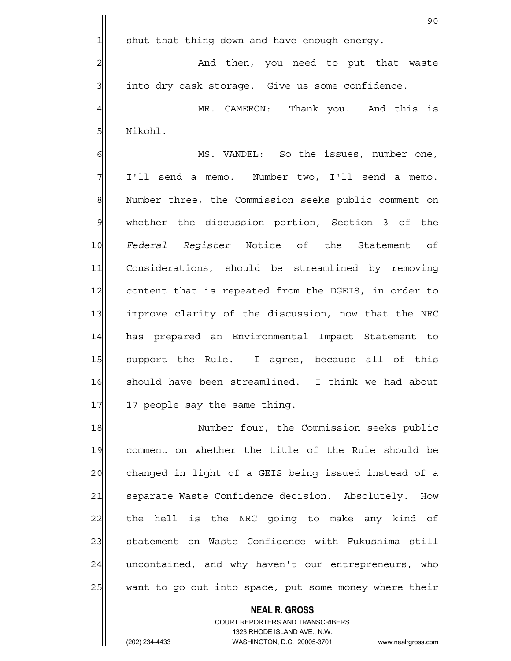90

 $1$  shut that thing down and have enough energy.

2 and then, you need to put that waste  $3$  into dry cask storage. Give us some confidence.

4 MR. CAMERON: Thank you. And this is 5 | Nikohl.

6 MS. VANDEL: So the issues, number one, 7 I'll send a memo. Number two, I'll send a memo. 8 Number three, the Commission seeks public comment on 9 whether the discussion portion, Section 3 of the 10 *Federal Register* Notice of the Statement of 11 Considerations, should be streamlined by removing 12 content that is repeated from the DGEIS, in order to 13 improve clarity of the discussion, now that the NRC 14 has prepared an Environmental Impact Statement to 15 Support the Rule. I agree, because all of this 16 should have been streamlined. I think we had about 17 17 people say the same thing.

18 Number four, the Commission seeks public 19 comment on whether the title of the Rule should be 20 changed in light of a GEIS being issued instead of a 21 Separate Waste Confidence decision. Absolutely. How  $22$  the hell is the NRC going to make any kind of 23 Statement on Waste Confidence with Fukushima still 24 uncontained, and why haven't our entrepreneurs, who 25 want to go out into space, put some money where their

## COURT REPORTERS AND TRANSCRIBERS 1323 RHODE ISLAND AVE., N.W. (202) 234-4433 WASHINGTON, D.C. 20005-3701 www.nealrgross.com

 **NEAL R. GROSS**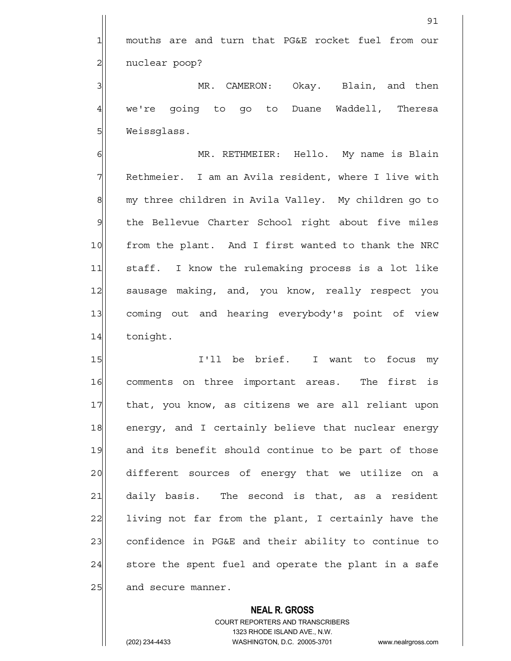1 mouths are and turn that PG&E rocket fuel from our 2 | nuclear poop?

3 MR. CAMERON: Okay. Blain, and then 4 we're going to go to Duane Waddell, Theresa 5 Weissglass.

6| MR. RETHMEIER: Hello. My name is Blain 7 Rethmeier. I am an Avila resident, where I live with 8 my three children in Avila Valley. My children go to 9 the Bellevue Charter School right about five miles 10 from the plant. And I first wanted to thank the NRC 11 staff. I know the rulemaking process is a lot like 12 sausage making, and, you know, really respect you 13 coming out and hearing everybody's point of view 14 tonight.

15 I'll be brief. I want to focus my 16 comments on three important areas. The first is 17 that, you know, as citizens we are all reliant upon 18 energy, and I certainly believe that nuclear energy 19 and its benefit should continue to be part of those 20 different sources of energy that we utilize on a 21 daily basis. The second is that, as a resident 22 living not far from the plant, I certainly have the 23 confidence in PG&E and their ability to continue to  $24$  store the spent fuel and operate the plant in a safe 25 and secure manner.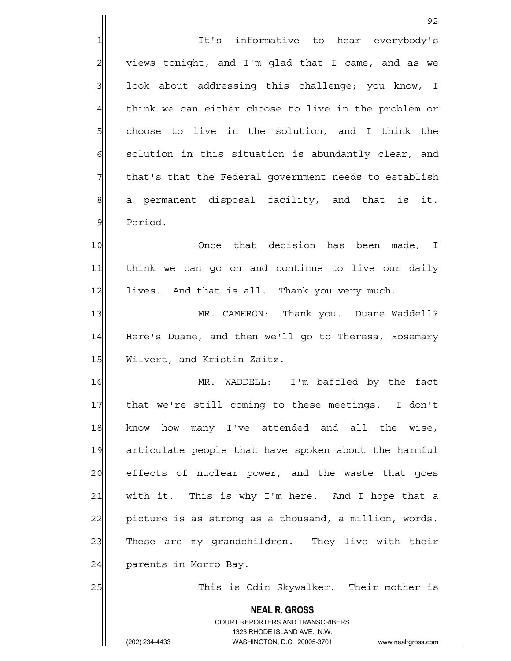1 It's informative to hear everybody's  $2$  views tonight, and I'm glad that I came, and as we 3| look about addressing this challenge; you know, I  $4$  think we can either choose to live in the problem or 5 5 5 5 choose to live in the solution, and I think the  $6$  solution in this situation is abundantly clear, and 7 The that's that the Federal government needs to establish  $8$  a permanent disposal facility, and that is it. 9 Period. 10 Once that decision has been made, I 11 think we can go on and continue to live our daily

12 lives. And that is all. Thank you very much.

13 MR. CAMERON: Thank you. Duane Waddell? 14 Here's Duane, and then we'll go to Theresa, Rosemary 15 Wilvert, and Kristin Zaitz.

16 MR. WADDELL: I'm baffled by the fact 17 | that we're still coming to these meetings. I don't 18 know how many I've attended and all the wise, 19 articulate people that have spoken about the harmful 20 effects of nuclear power, and the waste that goes 21 | with it. This is why I'm here. And I hope that a 22 picture is as strong as a thousand, a million, words. 23 These are my grandchildren. They live with their 24 parents in Morro Bay.

25 This is Odin Skywalker. Their mother is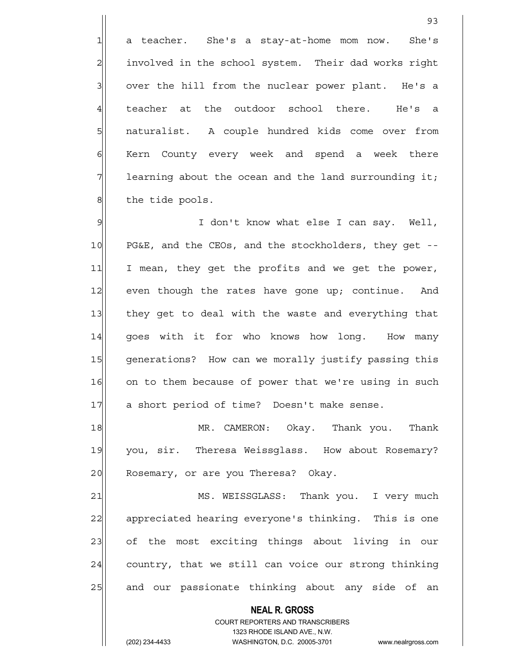1 a teacher. She's a stay-at-home mom now. She's 2 2 involved in the school system. Their dad works right  $3$  over the hill from the nuclear power plant. He's a 4 teacher at the outdoor school there. He's a 5 | naturalist. A couple hundred kids come over from 6 Kern County every week and spend a week there  $7$  learning about the ocean and the land surrounding it; 8 | the tide pools.

<u>93 and 200 minutes and 200 minutes and 200 minutes and 200 minutes and 200 minutes and 200 minutes and 200 minutes and 200 minutes and 200 minutes and 200 minutes and 200 minutes and 200 minutes and 200 minutes and 200 mi</u>

9 I don't know what else I can say. Well, 10 PG&E, and the CEOs, and the stockholders, they get --11 I mean, they get the profits and we get the power, 12 even though the rates have gone up; continue. And 13 they get to deal with the waste and everything that 14 qoes with it for who knows how long. How many 15 generations? How can we morally justify passing this 16 on to them because of power that we're using in such 17 a short period of time? Doesn't make sense.

18 MR. CAMERON: Okay. Thank you. Thank 19 you, sir. Theresa Weissglass. How about Rosemary? 20|| Rosemary, or are you Theresa? Okay.

21 MS. WEISSGLASS: Thank you. I very much 22 appreciated hearing everyone's thinking. This is one 23 of the most exciting things about living in our  $24$  country, that we still can voice our strong thinking 25 and our passionate thinking about any side of an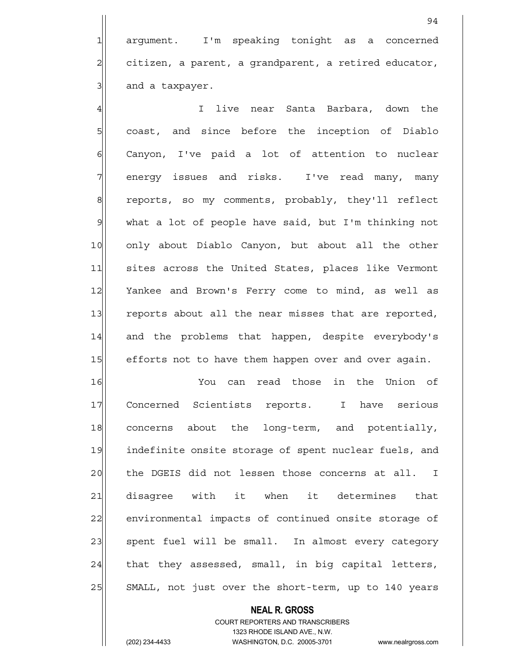1 argument. I'm speaking tonight as a concerned  $2$  citizen, a parent, a grandparent, a retired educator,  $3$  and a taxpayer.

4 I live near Santa Barbara, down the 5| coast, and since before the inception of Diablo 6 Ganyon, I've paid a lot of attention to nuclear 7 | energy issues and risks. I've read many, many 8 reports, so my comments, probably, they'll reflect 9 what a lot of people have said, but I'm thinking not 10 only about Diablo Canyon, but about all the other 11 sites across the United States, places like Vermont 12 Yankee and Brown's Ferry come to mind, as well as 13 reports about all the near misses that are reported, 14 and the problems that happen, despite everybody's 15 efforts not to have them happen over and over again.

16 You can read those in the Union of 17 Concerned Scientists reports. I have serious 18 concerns about the long-term, and potentially, 19 indefinite onsite storage of spent nuclear fuels, and 20 the DGEIS did not lessen those concerns at all. I 21 disagree with it when it determines that 22 environmental impacts of continued onsite storage of 23 spent fuel will be small. In almost every category  $24$  that they assessed, small, in big capital letters, 25 SMALL, not just over the short-term, up to 140 years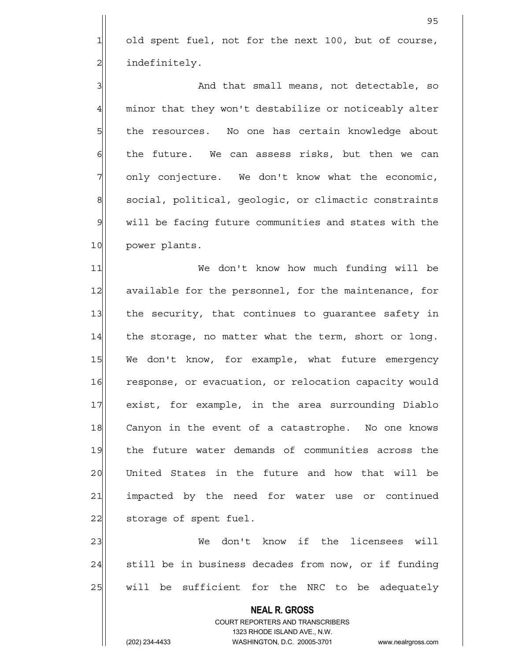$1$  old spent fuel, not for the next 100, but of course, 2 al indefinitely.

3 And that small means, not detectable, so 4 minor that they won't destabilize or noticeably alter 5 | the resources. No one has certain knowledge about  $6$  the future. We can assess risks, but then we can 7 only conjecture. We don't know what the economic, 8 social, political, geologic, or climactic constraints 9 will be facing future communities and states with the 10 power plants.

11| We don't know how much funding will be 12 available for the personnel, for the maintenance, for 13 the security, that continues to quarantee safety in  $14$  the storage, no matter what the term, short or long. 15 We don't know, for example, what future emergency 16 response, or evacuation, or relocation capacity would 17 exist, for example, in the area surrounding Diablo 18 Canyon in the event of a catastrophe. No one knows 19 the future water demands of communities across the 20 United States in the future and how that will be 21 | impacted by the need for water use or continued 22 storage of spent fuel.

23 We don't know if the licensees will  $24$  still be in business decades from now, or if funding 25 | will be sufficient for the NRC to be adequately

 **NEAL R. GROSS**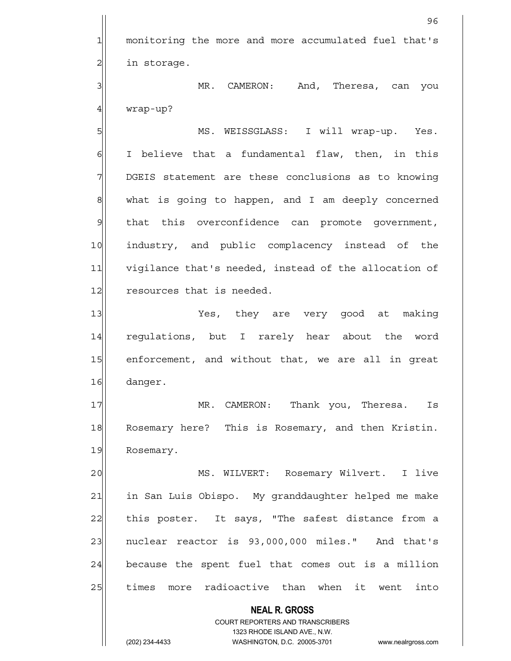1 monitoring the more and more accumulated fuel that's  $2$  in storage. 3 | MR. CAMERON: And, Theresa, can you  $4$  wrap-up?

5 MS. WEISSGLASS: I will wrap-up. Yes.  $6$  I believe that a fundamental flaw, then, in this 7 DGEIS statement are these conclusions as to knowing  $8$  what is going to happen, and I am deeply concerned 9 that this overconfidence can promote government, 10 industry, and public complacency instead of the 11 vigilance that's needed, instead of the allocation of 12 resources that is needed.

13 Yes, they are very good at making 14 requlations, but I rarely hear about the word 15 enforcement, and without that, we are all in great 16 danger.

17 MR. CAMERON: Thank you, Theresa. Is 18 Rosemary here? This is Rosemary, and then Kristin. 19 Rosemary.

20 | MS. WILVERT: Rosemary Wilvert. I live 21 in San Luis Obispo. My granddaughter helped me make 22| this poster. It says, "The safest distance from a 23 | nuclear reactor is 93,000,000 miles." And that's  $24$  because the spent fuel that comes out is a million 25 times more radioactive than when it went into

> COURT REPORTERS AND TRANSCRIBERS 1323 RHODE ISLAND AVE., N.W. (202) 234-4433 WASHINGTON, D.C. 20005-3701 www.nealrgross.com

 **NEAL R. GROSS**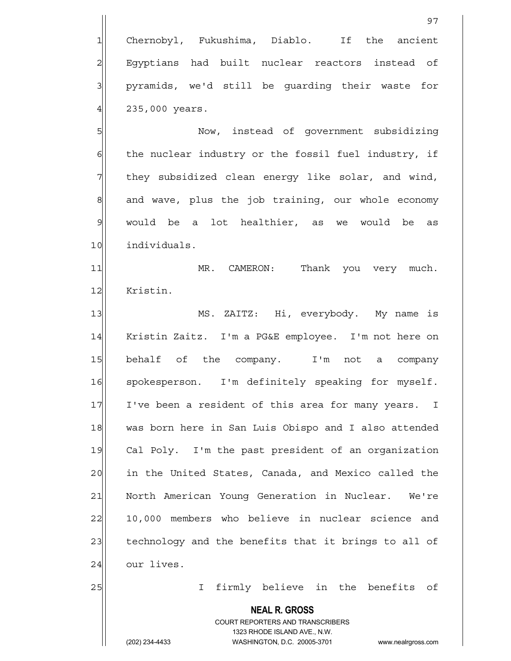5 Now, instead of government subsidizing  $6$  the nuclear industry or the fossil fuel industry, if 7 They subsidized clean energy like solar, and wind,  $8$  and wave, plus the job training, our whole economy 9 would be a lot healthier, as we would be as 10 individuals.

11 MR. CAMERON: Thank you very much. 12 Kristin.

13 | MS. ZAITZ: Hi, everybody. My name is 14 | Kristin Zaitz. I'm a PG&E employee. I'm not here on 15 behalf of the company. I'm not a company 16 spokesperson. I'm definitely speaking for myself. 17 I've been a resident of this area for many years. I 18 was born here in San Luis Obispo and I also attended 19 Cal Poly. I'm the past president of an organization 20 in the United States, Canada, and Mexico called the 21 North American Young Generation in Nuclear. We're 22 10,000 members who believe in nuclear science and 23 technology and the benefits that it brings to all of 24 our lives.

25 | I firmly believe in the benefits of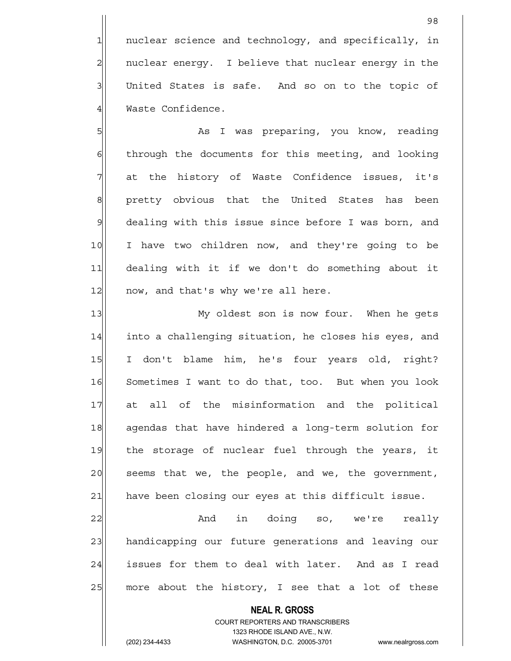1 nuclear science and technology, and specifically, in 2 | nuclear energy. I believe that nuclear energy in the 3 United States is safe. And so on to the topic of 4 Waste Confidence.

5 As I was preparing, you know, reading 6 6 6 6 through the documents for this meeting, and looking 7 at the history of Waste Confidence issues, it's 8 | pretty obvious that the United States has been 9 dealing with this issue since before I was born, and 10 I have two children now, and they're going to be 11 dealing with it if we don't do something about it 12 now, and that's why we're all here.

13 My oldest son is now four. When he gets 14 into a challenging situation, he closes his eyes, and 15 I don't blame him, he's four years old, right? 16 Sometimes I want to do that, too. But when you look 17 at all of the misinformation and the political 18 agendas that have hindered a long-term solution for 19 the storage of nuclear fuel through the years, it 20 seems that we, the people, and we, the government, 21 have been closing our eyes at this difficult issue.

 $22$   $\vert$  and in doing so, we're really 23 handicapping our future generations and leaving our 24 issues for them to deal with later. And as I read  $25$  more about the history, I see that a lot of these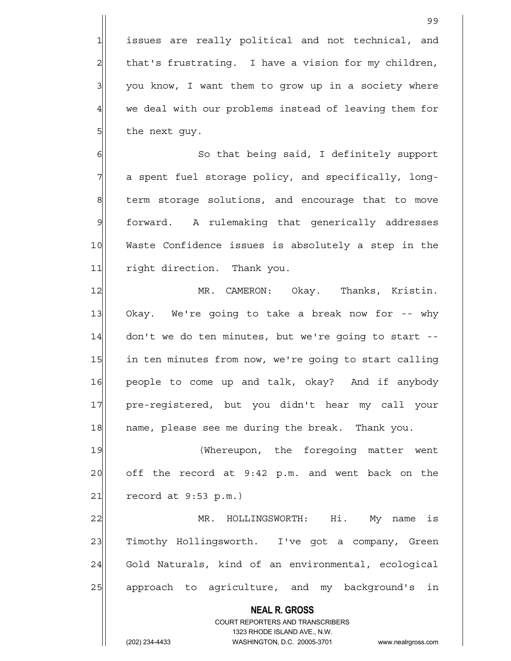1 issues are really political and not technical, and 2| that's frustrating. I have a vision for my children,  $3$  you know, I want them to grow up in a society where 4 we deal with our problems instead of leaving them for  $5$  the next guy.

6 | So that being said, I definitely support 7 a spent fuel storage policy, and specifically, long-8 term storage solutions, and encourage that to move 9 forward. A rulemaking that generically addresses 10 Waste Confidence issues is absolutely a step in the 11 right direction. Thank you.

12 MR. CAMERON: Okay. Thanks, Kristin. 13 Okay. We're going to take a break now for -- why 14 don't we do ten minutes, but we're going to start --15 in ten minutes from now, we're going to start calling 16 people to come up and talk, okay? And if anybody 17 pre-registered, but you didn't hear my call your 18 | name, please see me during the break. Thank you.

19 (Whereupon, the foregoing matter went  $20$  off the record at  $9:42$  p.m. and went back on the  $21$  record at 9:53 p.m.)

22 MR. HOLLINGSWORTH: Hi. My name is 23 Timothy Hollingsworth. I've got a company, Green 24 Gold Naturals, kind of an environmental, ecological 25 approach to agriculture, and my background's in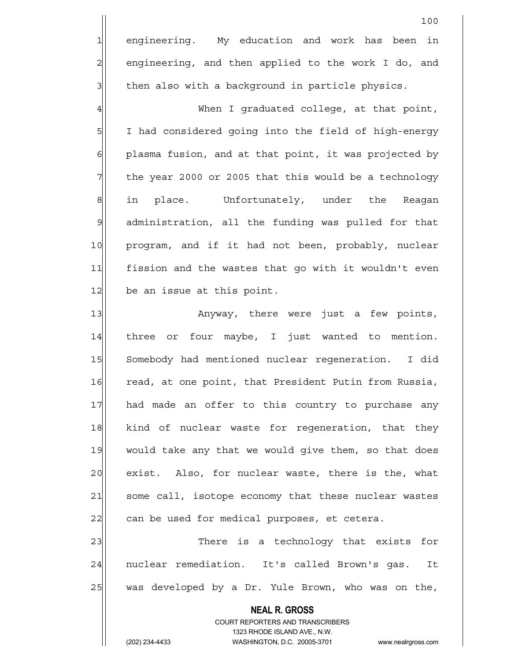1 engineering. My education and work has been in 2 engineering, and then applied to the work I do, and  $3$  then also with a background in particle physics.

4 When I graduated college, at that point, 5 | 5| I had considered going into the field of high-energy  $6$  plasma fusion, and at that point, it was projected by  $7$  the year 2000 or 2005 that this would be a technology 8 in place. Unfortunately, under the Reagan 9 administration, all the funding was pulled for that 10 program, and if it had not been, probably, nuclear 11 fission and the wastes that go with it wouldn't even 12 be an issue at this point.

13 | Anyway, there were just a few points, 14 three or four maybe, I just wanted to mention. 15 Somebody had mentioned nuclear regeneration. I did 16 read, at one point, that President Putin from Russia, 17 had made an offer to this country to purchase any 18 kind of nuclear waste for regeneration, that they 19 would take any that we would give them, so that does 20 exist. Also, for nuclear waste, there is the, what 21 some call, isotope economy that these nuclear wastes 22| can be used for medical purposes, et cetera.

23 There is a technology that exists for 24 | nuclear remediation. It's called Brown's gas. It 25 was developed by a Dr. Yule Brown, who was on the,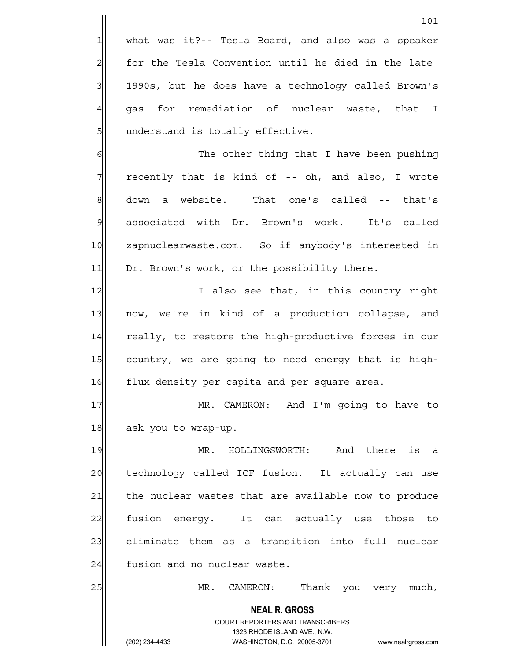$1$  what was it?-- Tesla Board, and also was a speaker 2 for the Tesla Convention until he died in the late-3 1990s, but he does have a technology called Brown's  $4$  qas for remediation of nuclear waste, that I 5 | understand is totally effective.

6 6 The other thing that I have been pushing  $7$  recently that is kind of -- oh, and also, I wrote 8 down a website. That one's called -- that's 9 associated with Dr. Brown's work. It's called 10 zapnuclearwaste.com. So if anybody's interested in 11 Dr. Brown's work, or the possibility there.

12 I also see that, in this country right 13 now, we're in kind of a production collapse, and 14 really, to restore the high-productive forces in our 15 country, we are going to need energy that is high-16 flux density per capita and per square area.

17 MR. CAMERON: And I'm going to have to 18 ask you to wrap-up.

19 MR. HOLLINGSWORTH: And there is a 20 technology called ICF fusion. It actually can use 21 | the nuclear wastes that are available now to produce 22 fusion energy. It can actually use those to 23 eliminate them as a transition into full nuclear 24 fusion and no nuclear waste.

25 MR. CAMERON: Thank you very much,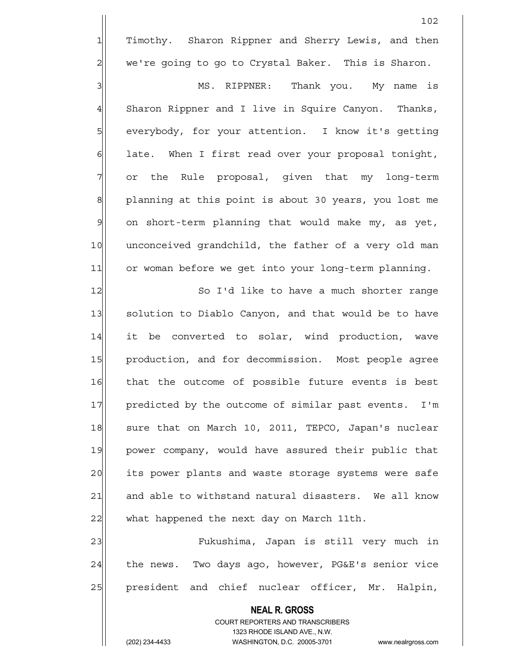1 Timothy. Sharon Rippner and Sherry Lewis, and then  $2 \parallel$  we're going to go to Crystal Baker. This is Sharon.

3 MS. RIPPNER: Thank you. My name is 4 Sharon Rippner and I live in Squire Canyon. Thanks, 5 | everybody, for your attention. I know it's getting  $6$  late. When I first read over your proposal tonight, 7 or the Rule proposal, given that my long-term 8 planning at this point is about 30 years, you lost me  $9$  on short-term planning that would make my, as yet, 10 unconceived grandchild, the father of a very old man 11 or woman before we get into your long-term planning.

12 So I'd like to have a much shorter range 13 solution to Diablo Canyon, and that would be to have 14 it be converted to solar, wind production, wave 15 production, and for decommission. Most people agree 16 that the outcome of possible future events is best 17 predicted by the outcome of similar past events. I'm 18 sure that on March 10, 2011, TEPCO, Japan's nuclear 19 power company, would have assured their public that 20 its power plants and waste storage systems were safe 21 and able to withstand natural disasters. We all know 22 what happened the next day on March 11th.

23 Fukushima, Japan is still very much in  $24$  the news. Two days ago, however, PG&E's senior vice 25 president and chief nuclear officer, Mr. Halpin,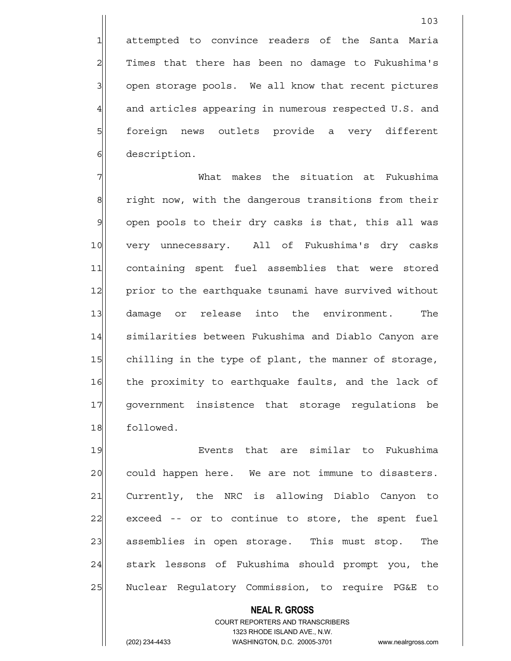1 attempted to convince readers of the Santa Maria 2| Times that there has been no damage to Fukushima's 3 3 open storage pools. We all know that recent pictures 4 and articles appearing in numerous respected U.S. and 5 | foreign news outlets provide a very different 6 description.

7 What makes the situation at Fukushima 8 8 right now, with the dangerous transitions from their 9 open pools to their dry casks is that, this all was 10 very unnecessary. All of Fukushima's dry casks 11 containing spent fuel assemblies that were stored 12 prior to the earthquake tsunami have survived without 13 damage or release into the environment. The 14 Similarities between Fukushima and Diablo Canyon are 15 chilling in the type of plant, the manner of storage, 16 the proximity to earthquake faults, and the lack of 17 government insistence that storage regulations be 18 followed.

19 Events that are similar to Fukushima 20 could happen here. We are not immune to disasters. 21 Currently, the NRC is allowing Diablo Canyon to 22 exceed -- or to continue to store, the spent fuel 23 assemblies in open storage. This must stop. The 24 stark lessons of Fukushima should prompt you, the 25 | Nuclear Regulatory Commission, to require PG&E to

## **NEAL R. GROSS**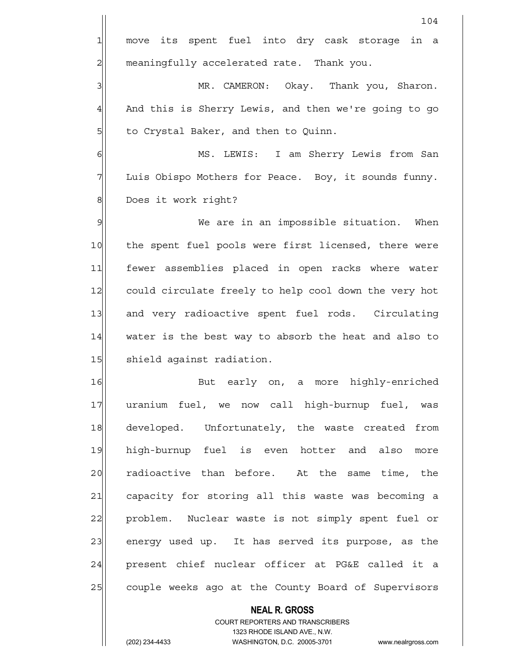**NEAL R. GROSS** COURT REPORTERS AND TRANSCRIBERS 104 1 move its spent fuel into dry cask storage in a 2 | meaningfully accelerated rate. Thank you. 3 MR. CAMERON: Okay. Thank you, Sharon. 4 And this is Sherry Lewis, and then we're going to go 5 5 5 5 to Crystal Baker, and then to Quinn. 6 MS. LEWIS: I am Sherry Lewis from San 7 Luis Obispo Mothers for Peace. Boy, it sounds funny. 8 | Does it work right? 9 We are in an impossible situation. When 10 the spent fuel pools were first licensed, there were 11 fewer assemblies placed in open racks where water 12 could circulate freely to help cool down the very hot 13 and very radioactive spent fuel rods. Circulating 14 water is the best way to absorb the heat and also to 15 shield against radiation. 16 But early on, a more highly-enriched 17 uranium fuel, we now call high-burnup fuel, was 18 developed. Unfortunately, the waste created from 19 high-burnup fuel is even hotter and also more 20 radioactive than before. At the same time, the 21 capacity for storing all this waste was becoming a 22 problem. Nuclear waste is not simply spent fuel or 23| energy used up. It has served its purpose, as the 24 present chief nuclear officer at PG&E called it a 25 couple weeks ago at the County Board of Supervisors

1323 RHODE ISLAND AVE., N.W.

(202) 234-4433 WASHINGTON, D.C. 20005-3701 www.nealrgross.com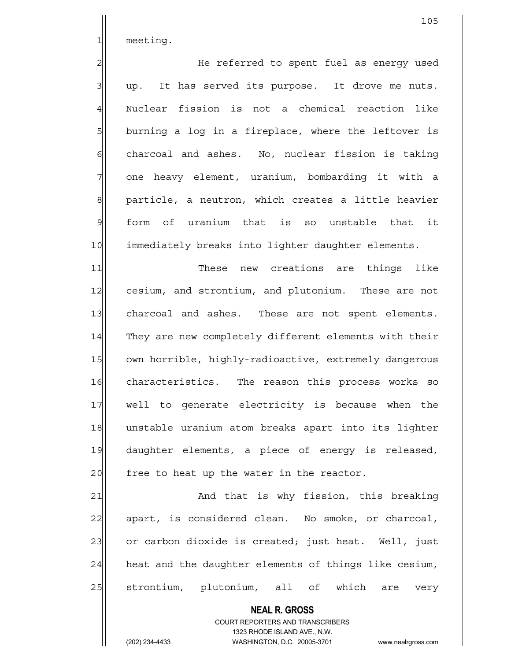1 meeting.

2 He referred to spent fuel as energy used  $3$  up. It has served its purpose. It drove me nuts. 4 Nuclear fission is not a chemical reaction like 5 burning a log in a fireplace, where the leftover is  $6$  charcoal and ashes. No, nuclear fission is taking 7 one heavy element, uranium, bombarding it with a 8 | particle, a neutron, which creates a little heavier 9 form of uranium that is so unstable that it 10 immediately breaks into lighter daughter elements.

11 These new creations are things like 12 cesium, and strontium, and plutonium. These are not 13 charcoal and ashes. These are not spent elements. 14 They are new completely different elements with their 15 own horrible, highly-radioactive, extremely dangerous 16 characteristics. The reason this process works so 17 well to generate electricity is because when the 18 unstable uranium atom breaks apart into its lighter 19 daughter elements, a piece of energy is released, 20 free to heat up the water in the reactor.

21 and that is why fission, this breaking 22 apart, is considered clean. No smoke, or charcoal, 23 or carbon dioxide is created; just heat. Well, just  $24$  heat and the daughter elements of things like cesium, 25 strontium, plutonium, all of which are very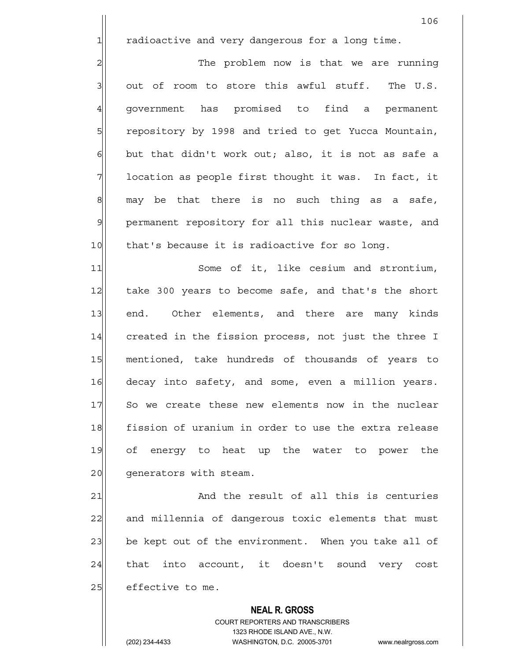1 1 radioactive and very dangerous for a long time.

2 2 The problem now is that we are running  $3$  out of room to store this awful stuff. The U.S. 4| government has promised to find a permanent 5 5 5 5 repository by 1998 and tried to get Yucca Mountain,  $6$  but that didn't work out; also, it is not as safe a  $7$  location as people first thought it was. In fact, it  $8$  may be that there is no such thing as a safe, 9 permanent repository for all this nuclear waste, and 10 that's because it is radioactive for so long.

11 Some of it, like cesium and strontium, 12 take 300 years to become safe, and that's the short 13 end. Other elements, and there are many kinds 14 created in the fission process, not just the three I 15 mentioned, take hundreds of thousands of years to 16 decay into safety, and some, even a million years. 17 So we create these new elements now in the nuclear 18 fission of uranium in order to use the extra release 19 of energy to heat up the water to power the 20 qenerators with steam.

21 and the result of all this is centuries 22 and millennia of dangerous toxic elements that must 23 be kept out of the environment. When you take all of 24 that into account, it doesn't sound very cost 25 effective to me.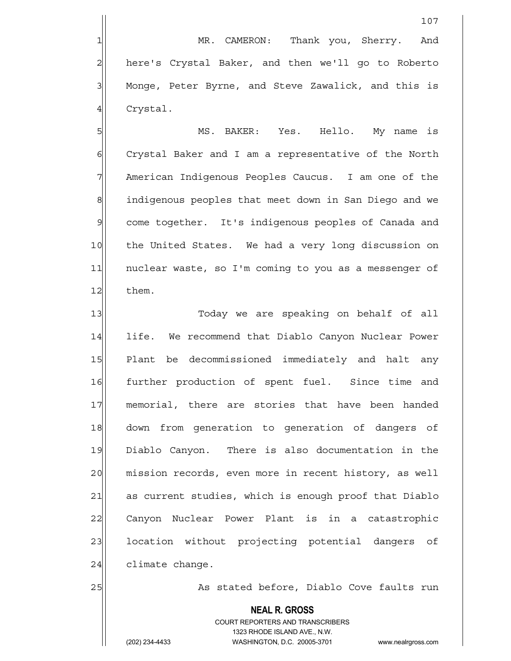1| MR. CAMERON: Thank you, Sherry. And 2 here's Crystal Baker, and then we'll go to Roberto 3 | Monge, Peter Byrne, and Steve Zawalick, and this is 4 Crystal.

5 MS. BAKER: Yes. Hello. My name is 6 6 Crystal Baker and I am a representative of the North 7 American Indigenous Peoples Caucus. I am one of the 8 8 indigenous peoples that meet down in San Diego and we 9 come together. It's indigenous peoples of Canada and 10 the United States. We had a very long discussion on 11 | nuclear waste, so I'm coming to you as a messenger of 12 them.

13 || Today we are speaking on behalf of all 14 life. We recommend that Diablo Canyon Nuclear Power 15 Plant be decommissioned immediately and halt any 16 further production of spent fuel. Since time and 17 memorial, there are stories that have been handed 18 down from generation to generation of dangers of 19 Diablo Canyon. There is also documentation in the 20 mission records, even more in recent history, as well 21 as current studies, which is enough proof that Diablo 22 Canyon Nuclear Power Plant is in a catastrophic 23 | location without projecting potential dangers of  $24$  climate change.

25 || As stated before, Diablo Cove faults run

## **NEAL R. GROSS**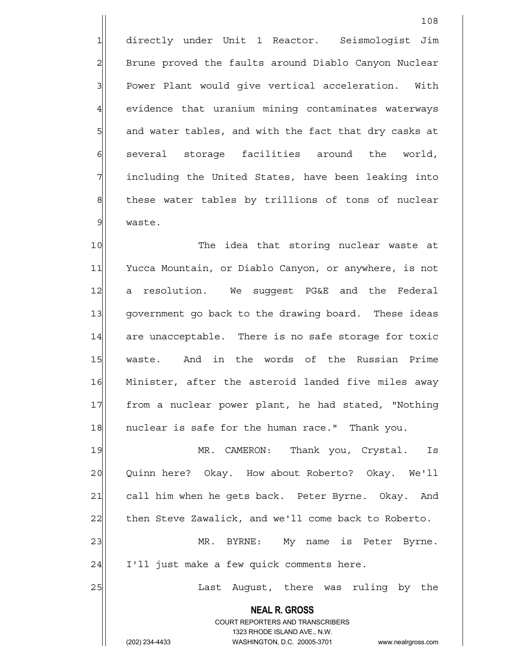1 directly under Unit 1 Reactor. Seismologist Jim 2 Brune proved the faults around Diablo Canyon Nuclear 3 | Power Plant would give vertical acceleration. With 4 evidence that uranium mining contaminates waterways 5 and water tables, and with the fact that dry casks at 6 several storage facilities around the world, 7 | including the United States, have been leaking into 8 these water tables by trillions of tons of nuclear 9 waste.

10 The idea that storing nuclear waste at 11 Yucca Mountain, or Diablo Canyon, or anywhere, is not 12 a resolution. We suggest PG&E and the Federal 13 government go back to the drawing board. These ideas 14 are unacceptable. There is no safe storage for toxic 15 waste. And in the words of the Russian Prime 16 Minister, after the asteroid landed five miles away 17 | from a nuclear power plant, he had stated, "Nothing 18 nuclear is safe for the human race." Thank you.

19 MR. CAMERON: Thank you, Crystal. Is 20 Quinn here? Okay. How about Roberto? Okay. We'll 21 call him when he gets back. Peter Byrne. Okay. And 22 then Steve Zawalick, and we'll come back to Roberto. 23 MR. BYRNE: My name is Peter Byrne.  $24$  I'll just make a few quick comments here.

25 | Last August, there was ruling by the

 **NEAL R. GROSS** COURT REPORTERS AND TRANSCRIBERS 1323 RHODE ISLAND AVE., N.W.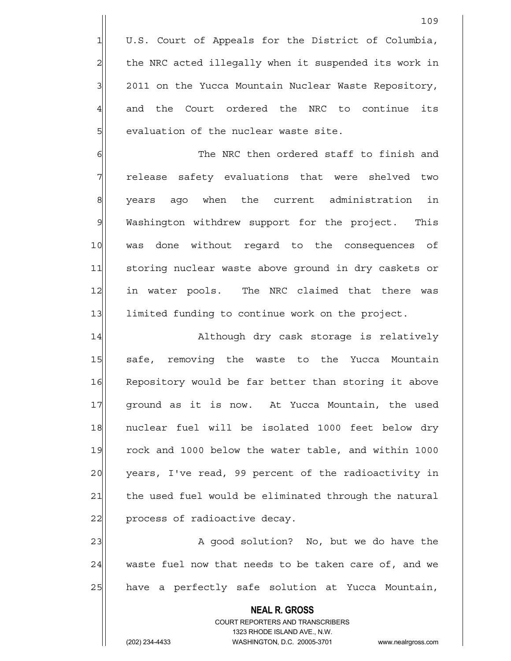1 U.S. Court of Appeals for the District of Columbia, 2 the NRC acted illegally when it suspended its work in 3 2011 on the Yucca Mountain Nuclear Waste Repository, 4 and the Court ordered the NRC to continue its 5 | staluation of the nuclear waste site.

6 **6** The NRC then ordered staff to finish and 7 release safety evaluations that were shelved two 8 years ago when the current administration in 9 Washington withdrew support for the project. This 10 was done without regard to the consequences of 11 storing nuclear waste above ground in dry caskets or 12 in water pools. The NRC claimed that there was 13 limited funding to continue work on the project.

14 Although dry cask storage is relatively 15 safe, removing the waste to the Yucca Mountain 16 Repository would be far better than storing it above 17 | qround as it is now. At Yucca Mountain, the used 18 nuclear fuel will be isolated 1000 feet below dry 19 rock and 1000 below the water table, and within 1000 20 years, I've read, 99 percent of the radioactivity in 21 the used fuel would be eliminated through the natural 22 process of radioactive decay.

23 A good solution? No, but we do have the 24 waste fuel now that needs to be taken care of, and we 25 have a perfectly safe solution at Yucca Mountain,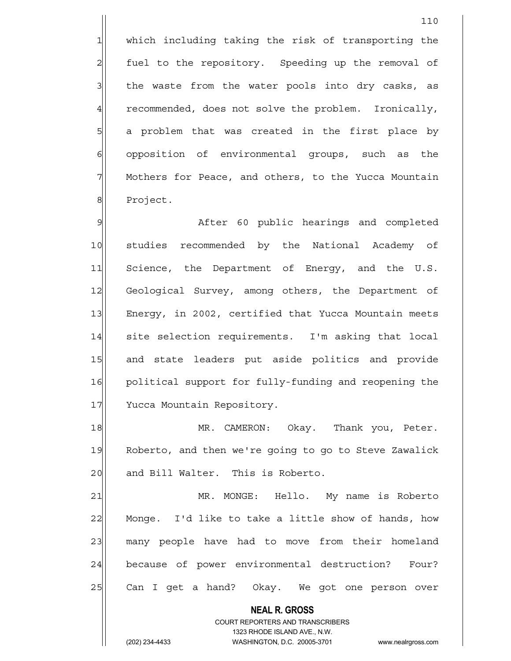1 which including taking the risk of transporting the 2 fuel to the repository. Speeding up the removal of  $3$  the waste from the water pools into dry casks, as 4 recommended, does not solve the problem. Ironically, 5| a problem that was created in the first place by 6 opposition of environmental groups, such as the 7 Mothers for Peace, and others, to the Yucca Mountain 8 Project.

9 Meter 60 public hearings and completed 10 studies recommended by the National Academy of 11 Science, the Department of Energy, and the U.S. 12 Geological Survey, among others, the Department of 13 Energy, in 2002, certified that Yucca Mountain meets 14 site selection requirements. I'm asking that local 15 and state leaders put aside politics and provide 16 political support for fully-funding and reopening the 17 Yucca Mountain Repository.

18 MR. CAMERON: Okay. Thank you, Peter. 19 Roberto, and then we're going to go to Steve Zawalick 20 and Bill Walter. This is Roberto.

21 MR. MONGE: Hello. My name is Roberto 22 Monge. I'd like to take a little show of hands, how 23 many people have had to move from their homeland 24 because of power environmental destruction? Four? 25 Can I get a hand? Okay. We got one person over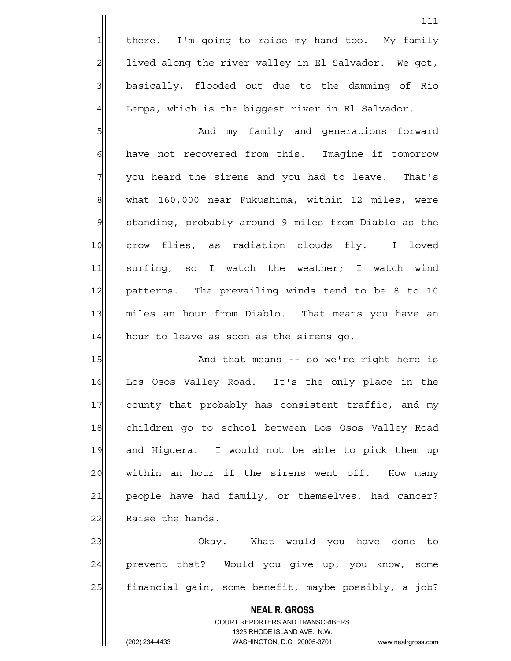1 there. I'm going to raise my hand too. My family  $2$  lived along the river valley in El Salvador. We got, 3 basically, flooded out due to the damming of Rio  $4$  Lempa, which is the biqqest river in El Salvador.

5 SM and my family and generations forward 6 6 have not recovered from this. Imagine if tomorrow  $7$  you heard the sirens and you had to leave. That's 8 what 160,000 near Fukushima, within 12 miles, were 9 standing, probably around 9 miles from Diablo as the 10 crow flies, as radiation clouds fly. I loved 11 surfing, so I watch the weather; I watch wind 12 patterns. The prevailing winds tend to be 8 to 10 13 miles an hour from Diablo. That means you have an 14 hour to leave as soon as the sirens go.

15 And that means -- so we're right here is 16 Los Osos Valley Road. It's the only place in the 17 county that probably has consistent traffic, and my 18 children go to school between Los Osos Valley Road 19 and Higuera. I would not be able to pick them up  $20$  within an hour if the sirens went off. How many 21 people have had family, or themselves, had cancer? 22 Raise the hands.

23 | Chay. What would you have done to 24 prevent that? Would you give up, you know, some 25 | financial gain, some benefit, maybe possibly, a job?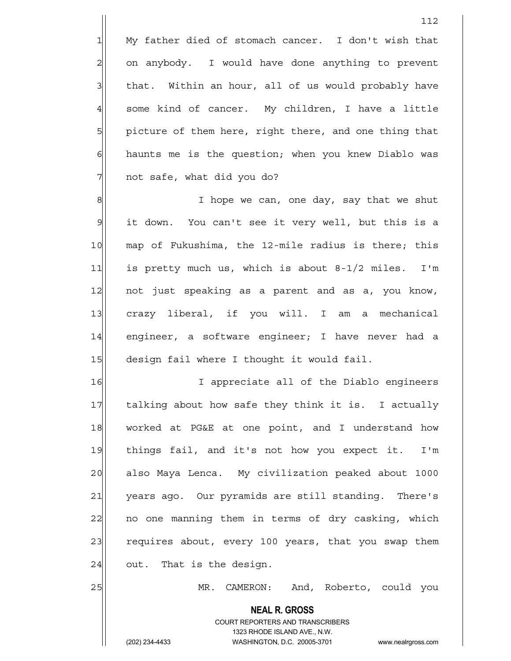1 My father died of stomach cancer. I don't wish that 2 on anybody. I would have done anything to prevent 3 | that. Within an hour, all of us would probably have  $4$  some kind of cancer. My children, I have a little 5 picture of them here, right there, and one thing that  $6$  haunts me is the question; when you knew Diablo was 7 | not safe, what did you do?

8| I hope we can, one day, say that we shut 9 it down. You can't see it very well, but this is a 10 map of Fukushima, the 12-mile radius is there; this 11 is pretty much us, which is about 8-1/2 miles. I'm 12 not just speaking as a parent and as a, you know, 13 crazy liberal, if you will. I am a mechanical 14 engineer, a software engineer; I have never had a 15 design fail where I thought it would fail.

16 I appreciate all of the Diablo engineers 17 | talking about how safe they think it is. I actually 18 worked at PG&E at one point, and I understand how 19 things fail, and it's not how you expect it. I'm 20 also Maya Lenca. My civilization peaked about 1000 21 years ago. Our pyramids are still standing. There's 22 | no one manning them in terms of dry casking, which 23 requires about, every 100 years, that you swap them  $24$  out. That is the design.

25 MR. CAMERON: And, Roberto, could you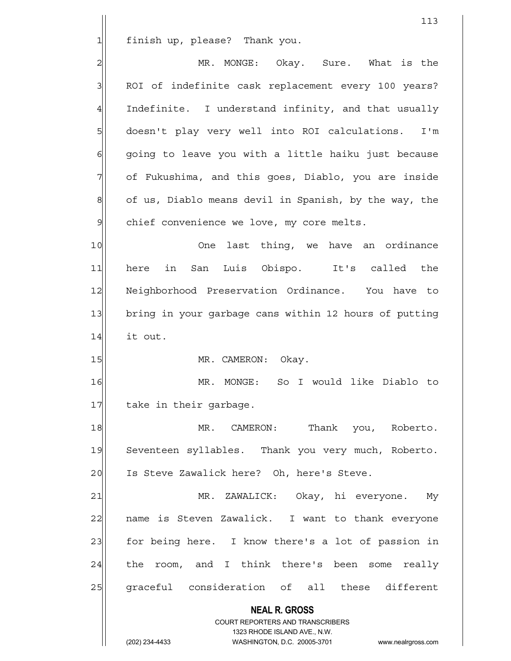1 finish up, please? Thank you.

2 MR. MONGE: Okay. Sure. What is the 3 | ROI of indefinite cask replacement every 100 years?  $4$  Indefinite. I understand infinity, and that usually 5 doesn't play very well into ROI calculations. I'm 6 6 6 going to leave you with a little haiku just because 7 of Fukushima, and this goes, Diablo, you are inside 8 of us, Diablo means devil in Spanish, by the way, the  $9$  chief convenience we love, my core melts.

10 One last thing, we have an ordinance 11 here in San Luis Obispo. It's called the 12 Neighborhood Preservation Ordinance. You have to 13 bring in your garbage cans within 12 hours of putting 14 it out.

15 MR. CAMERON: Okay.

16 MR. MONGE: So I would like Diablo to 17 take in their garbage.

18 MR. CAMERON: Thank you, Roberto. 19 Seventeen syllables. Thank you very much, Roberto. 20 Is Steve Zawalick here? Oh, here's Steve.

21 MR. ZAWALICK: Okay, hi everyone. My 22 | name is Steven Zawalick. I want to thank everyone 23 for being here. I know there's a lot of passion in  $24$  the room, and I think there's been some really 25 graceful consideration of all these different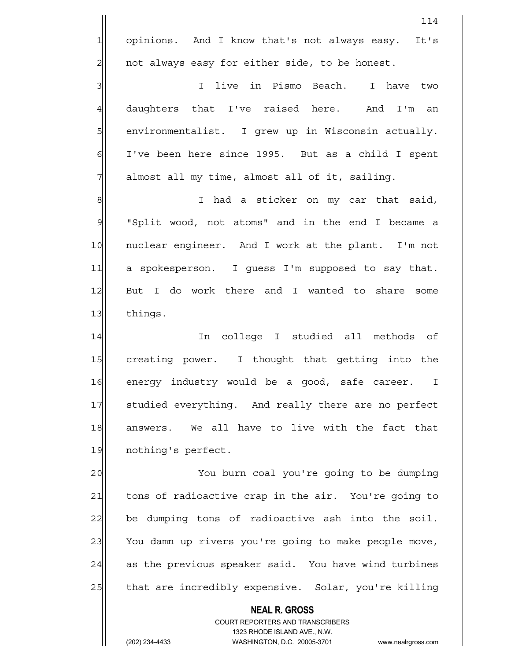114 1 opinions. And I know that's not always easy. It's  $2$  not always easy for either side, to be honest. 3 | I live in Pismo Beach. I have two 4 daughters that I've raised here. And I'm an 5 | environmentalist. I grew up in Wisconsin actually.

 $7$  almost all my time, almost all of it, sailing.

6 I've been here since 1995. But as a child I spent

8 8 I had a sticker on my car that said, 9 | "Split wood, not atoms" and in the end I became a 10 | nuclear engineer. And I work at the plant. I'm not 11 a spokesperson. I guess I'm supposed to say that. 12 But I do work there and I wanted to share some 13 things.

14 In college I studied all methods of 15 creating power. I thought that getting into the 16 energy industry would be a good, safe career. I 17 Studied everything. And really there are no perfect 18 answers. We all have to live with the fact that 19 nothing's perfect.

20 You burn coal you're going to be dumping 21 tons of radioactive crap in the air. You're going to  $22$  be dumping tons of radioactive ash into the soil. 23 You damn up rivers you're going to make people move,  $24$  as the previous speaker said. You have wind turbines 25 that are incredibly expensive. Solar, you're killing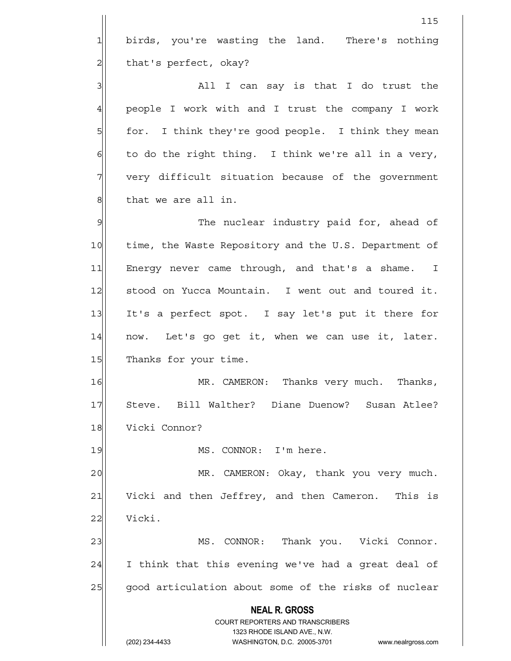**NEAL R. GROSS** COURT REPORTERS AND TRANSCRIBERS 1323 RHODE ISLAND AVE., N.W. (202) 234-4433 WASHINGTON, D.C. 20005-3701 www.nealrgross.com 115 1 birds, you're wasting the land. There's nothing 2 | that's perfect, okay? 3 all I can say is that I do trust the 4 people I work with and I trust the company I work 5 for. I think they're good people. I think they mean  $6$  to do the right thing. I think we're all in a very, 7 very difficult situation because of the government 8 | that we are all in. 9 9 The nuclear industry paid for, ahead of 10 time, the Waste Repository and the U.S. Department of 11 Energy never came through, and that's a shame. I 12 stood on Yucca Mountain. I went out and toured it. 13 It's a perfect spot. I say let's put it there for  $14$  now. Let's go get it, when we can use it, later. 15 Thanks for your time. 16 MR. CAMERON: Thanks very much. Thanks, 17 Steve. Bill Walther? Diane Duenow? Susan Atlee? 18 Vicki Connor? 19 MS. CONNOR: I'm here. 20 MR. CAMERON: Okay, thank you very much. 21 Vicki and then Jeffrey, and then Cameron. This is 22 Vicki. 23 MS. CONNOR: Thank you. Vicki Connor.  $24$  I think that this evening we've had a great deal of 25 good articulation about some of the risks of nuclear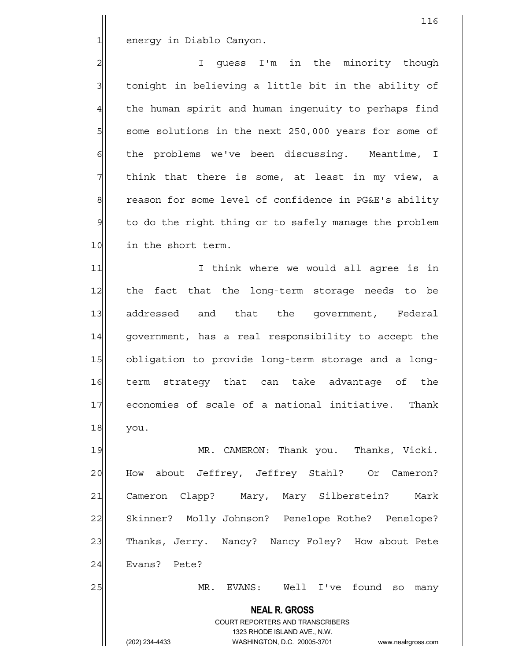1 energy in Diablo Canyon.

2 | I quess I'm in the minority though  $3$  tonight in believing a little bit in the ability of 4 the human spirit and human ingenuity to perhaps find 5 some solutions in the next 250,000 years for some of  $6$  the problems we've been discussing. Meantime, I  $7$  think that there is some, at least in my view, a 8 reason for some level of confidence in PG&E's ability 9 to do the right thing or to safely manage the problem 10 in the short term.

11 1 I think where we would all agree is in 12 the fact that the long-term storage needs to be 13 addressed and that the government, Federal 14 government, has a real responsibility to accept the 15 obligation to provide long-term storage and a long-16 term strategy that can take advantage of the 17 economies of scale of a national initiative. Thank 18 you.

19 MR. CAMERON: Thank you. Thanks, Vicki. 20 How about Jeffrey, Jeffrey Stahl? Or Cameron? 21 Cameron Clapp? Mary, Mary Silberstein? Mark 22 Skinner? Molly Johnson? Penelope Rothe? Penelope? 23 Thanks, Jerry. Nancy? Nancy Foley? How about Pete 24 Evans? Pete?

25 MR. EVANS: Well I've found so many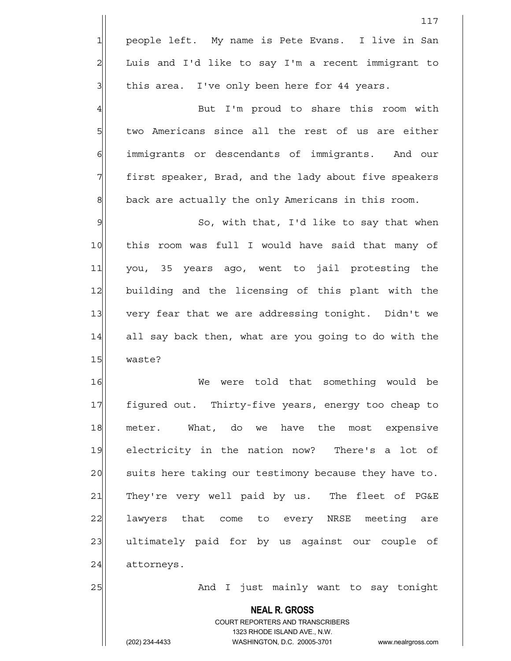|                | 117                                                                                                 |
|----------------|-----------------------------------------------------------------------------------------------------|
| $\mathbf{1}$   | people left. My name is Pete Evans. I live in San                                                   |
| $\overline{a}$ | Luis and I'd like to say I'm a recent immigrant to                                                  |
| 3              | this area. I've only been here for 44 years.                                                        |
| $\overline{4}$ | But I'm proud to share this room with                                                               |
| 5              | two Americans since all the rest of us are either                                                   |
| $\epsilon$     | immigrants or descendants of immigrants. And our                                                    |
| 7              | first speaker, Brad, and the lady about five speakers                                               |
| $\mathbf{8}$   | back are actually the only Americans in this room.                                                  |
| $\mathcal{Q}$  | So, with that, I'd like to say that when                                                            |
| 10             | this room was full I would have said that many of                                                   |
| 11             | you, 35 years ago, went to jail protesting the                                                      |
| 12             | building and the licensing of this plant with the                                                   |
| 13             | very fear that we are addressing tonight. Didn't we                                                 |
| 14             | all say back then, what are you going to do with the                                                |
| 15             | waste?                                                                                              |
| 16             | were told that something would be<br>We                                                             |
| 17             | figured out. Thirty-five years, energy too cheap to                                                 |
| 18             | meter. What, do we have the most expensive                                                          |
| 19             | electricity in the nation now? There's a lot of                                                     |
| 20             | suits here taking our testimony because they have to.                                               |
| 21             | They're very well paid by us. The fleet of PG&E                                                     |
| 22             | lawyers that come to every NRSE meeting are                                                         |
| 23             | ultimately paid for by us against our couple of                                                     |
| 24             | attorneys.                                                                                          |
| 25             | And I just mainly want to say tonight                                                               |
|                | <b>NEAL R. GROSS</b>                                                                                |
|                | COURT REPORTERS AND TRANSCRIBERS                                                                    |
|                | 1323 RHODE ISLAND AVE., N.W.<br>(202) 234-4433<br>WASHINGTON, D.C. 20005-3701<br>www.nealrgross.com |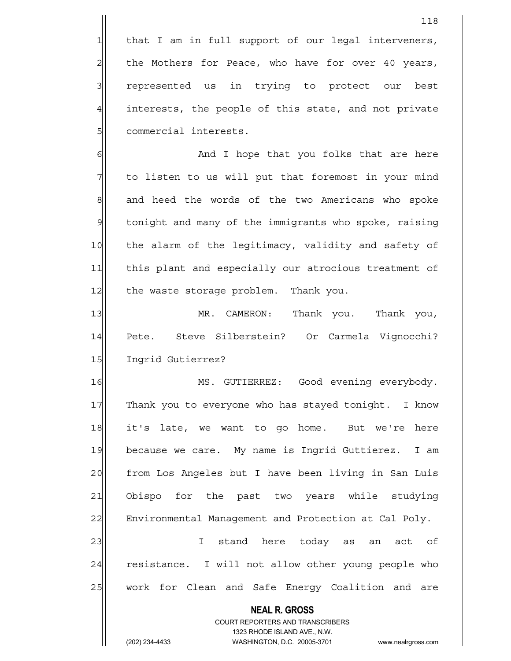$1$  that I am in full support of our legal interveners, 2 | the Mothers for Peace, who have for over 40 years, 3 3 represented us in trying to protect our best 4 interests, the people of this state, and not private 5 | commercial interests.

6 6 And I hope that you folks that are here 7 The listen to us will put that foremost in your mind 8 and heed the words of the two Americans who spoke 9 | tonight and many of the immigrants who spoke, raising 10 the alarm of the legitimacy, validity and safety of 11 this plant and especially our atrocious treatment of 12 | the waste storage problem. Thank you.

13 MR. CAMERON: Thank you. Thank you, 14 Pete. Steve Silberstein? Or Carmela Vignocchi? 15 Ingrid Gutierrez?

16 MS. GUTIERREZ: Good evening everybody. 17 Thank you to everyone who has stayed tonight. I know 18 it's late, we want to go home. But we're here 19 because we care. My name is Ingrid Guttierez. I am 20 from Los Angeles but I have been living in San Luis 21 Obispo for the past two years while studying 22 Environmental Management and Protection at Cal Poly. 23 | I stand here today as an act of 24 resistance. I will not allow other young people who

COURT REPORTERS AND TRANSCRIBERS

 **NEAL R. GROSS**

25 | work for Clean and Safe Energy Coalition and are

1323 RHODE ISLAND AVE., N.W.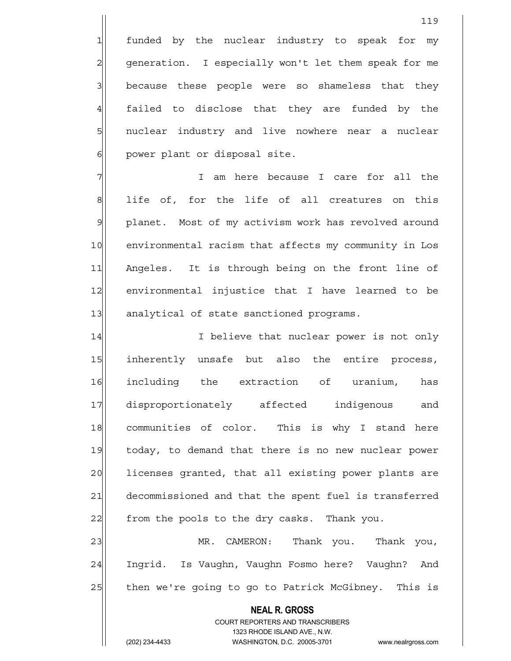1 funded by the nuclear industry to speak for my 2 generation. I especially won't let them speak for me 3 3 because these people were so shameless that they  $4$  failed to disclose that they are funded by the 5 5 5 5 nuclear industry and live nowhere near a nuclear 6 | power plant or disposal site.

7 T am here because I care for all the 8 || life of, for the life of all creatures on this 9 planet. Most of my activism work has revolved around 10 environmental racism that affects my community in Los 11 Angeles. It is through being on the front line of 12 environmental injustice that I have learned to be 13 analytical of state sanctioned programs.

14 I I believe that nuclear power is not only 15 inherently unsafe but also the entire process, 16 including the extraction of uranium, has 17 disproportionately affected indigenous and 18 communities of color. This is why I stand here 19 today, to demand that there is no new nuclear power 20 licenses granted, that all existing power plants are 21 decommissioned and that the spent fuel is transferred 22 from the pools to the dry casks. Thank you.

23 MR. CAMERON: Thank you. Thank you, 24 Ingrid. Is Vaughn, Vaughn Fosmo here? Vaughn? And 25 | then we're going to go to Patrick McGibney. This is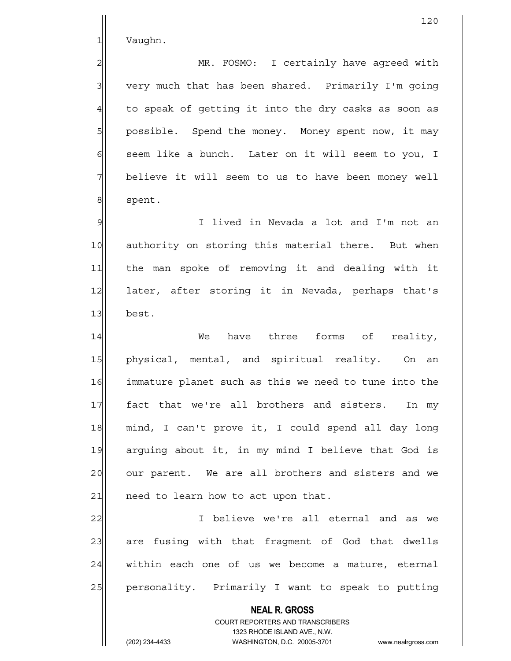1 Vaughn.

2 MR. FOSMO: I certainly have agreed with  $3$  very much that has been shared. Primarily I'm going  $4$  to speak of getting it into the dry casks as soon as 5 | possible. Spend the money. Money spent now, it may 6 seem like a bunch. Later on it will seem to you, I 7 believe it will seem to us to have been money well 8 spent.

9 I lived in Nevada a lot and I'm not an 10 authority on storing this material there. But when 11 the man spoke of removing it and dealing with it 12 later, after storing it in Nevada, perhaps that's 13 best.

14 and the mark of reality, when the three forms of reality, 15 physical, mental, and spiritual reality. On an 16 immature planet such as this we need to tune into the 17 fact that we're all brothers and sisters. In my 18 mind, I can't prove it, I could spend all day long 19| arguing about it, in my mind I believe that God is 20 our parent. We are all brothers and sisters and we  $21$  need to learn how to act upon that.

22 I believe we're all eternal and as we 23 are fusing with that fragment of God that dwells 24 within each one of us we become a mature, eternal 25 personality. Primarily I want to speak to putting

> COURT REPORTERS AND TRANSCRIBERS 1323 RHODE ISLAND AVE., N.W. (202) 234-4433 WASHINGTON, D.C. 20005-3701 www.nealrgross.com

 **NEAL R. GROSS**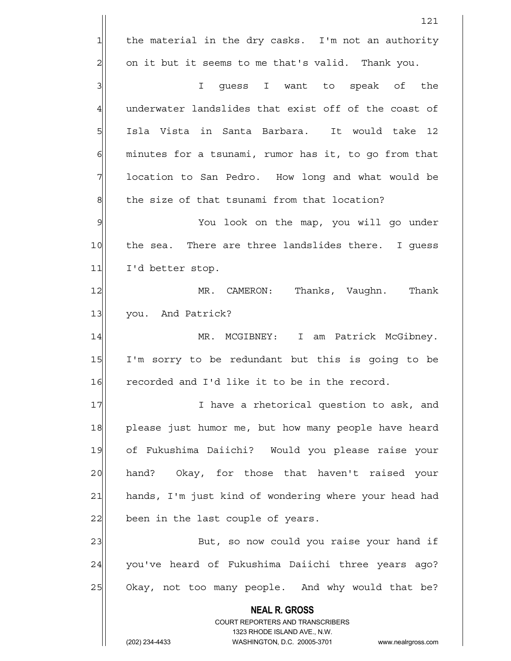**NEAL R. GROSS** COURT REPORTERS AND TRANSCRIBERS 1323 RHODE ISLAND AVE., N.W. 121  $1$  the material in the dry casks. I'm not an authority  $2$  on it but it seems to me that's valid. Thank you. 3 || Southeast I want to speak of the  $4$  underwater landslides that exist off of the coast of 5 Isla Vista in Santa Barbara. It would take 12  $6$  minutes for a tsunami, rumor has it, to go from that 7 1 location to San Pedro. How long and what would be  $8$  the size of that tsunami from that location? 9 You look on the map, you will go under 10 the sea. There are three landslides there. I quess 11 I'd better stop. 12 MR. CAMERON: Thanks, Vaughn. Thank 13 you. And Patrick? 14 MR. MCGIBNEY: I am Patrick McGibney. 15 I'm sorry to be redundant but this is going to be 16 recorded and I'd like it to be in the record. 17 I have a rhetorical question to ask, and 18 please just humor me, but how many people have heard 19 of Fukushima Daiichi? Would you please raise your 20 | hand? Okay, for those that haven't raised your 21 hands, I'm just kind of wondering where your head had  $22$  been in the last couple of years. 23 But, so now could you raise your hand if 24 you've heard of Fukushima Daiichi three years ago? 25 Okay, not too many people. And why would that be?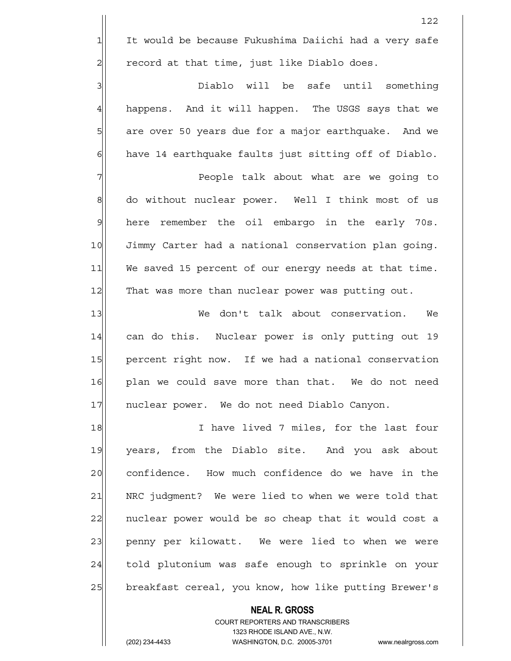3 3 3 Diablo will be safe until something 4 happens. And it will happen. The USGS says that we 5 are over 50 years due for a major earthquake. And we  $6$  have 14 earthquake faults just sitting off of Diablo.

7 People talk about what are we going to 8 do without nuclear power. Well I think most of us 9 here remember the oil embargo in the early 70s. 10 Jimmy Carter had a national conservation plan going. 11 We saved 15 percent of our energy needs at that time. 12 That was more than nuclear power was putting out.

13 We don't talk about conservation. We 14 can do this. Nuclear power is only putting out 19 15 | percent right now. If we had a national conservation 16 plan we could save more than that. We do not need 17 nuclear power. We do not need Diablo Canyon.

18 I have lived 7 miles, for the last four 19 years, from the Diablo site. And you ask about 20 confidence. How much confidence do we have in the 21 NRC judgment? We were lied to when we were told that 22 | nuclear power would be so cheap that it would cost a 23 penny per kilowatt. We were lied to when we were 24 told plutonium was safe enough to sprinkle on your 25 breakfast cereal, you know, how like putting Brewer's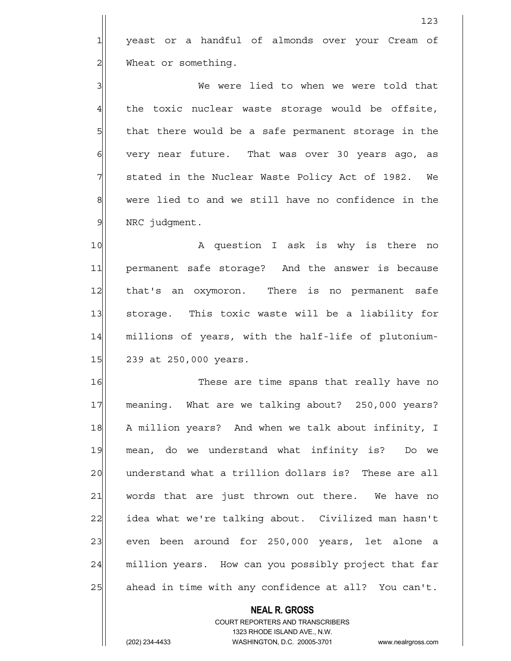1 yeast or a handful of almonds over your Cream of 2 Wheat or something.

123

3 | We were lied to when we were told that  $4$  the toxic nuclear waste storage would be offsite, 5 5 5 5 that there would be a safe permanent storage in the 6 6 very near future. That was over 30 years ago, as  $7$  stated in the Nuclear Waste Policy Act of 1982. We 8 were lied to and we still have no confidence in the  $9$  NRC judgment.

10 A question I ask is why is there no 11 permanent safe storage? And the answer is because 12 | that's an oxymoron. There is no permanent safe 13 storage. This toxic waste will be a liability for 14 millions of years, with the half-life of plutonium-15 239 at 250,000 years.

16 These are time spans that really have no 17 meaning. What are we talking about? 250,000 years? 18 A million years? And when we talk about infinity, I 19 mean, do we understand what infinity is? Do we 20 understand what a trillion dollars is? These are all 21 words that are just thrown out there. We have no 22 idea what we're talking about. Civilized man hasn't 23 even been around for 250,000 years, let alone a 24 million years. How can you possibly project that far  $25$  ahead in time with any confidence at all? You can't.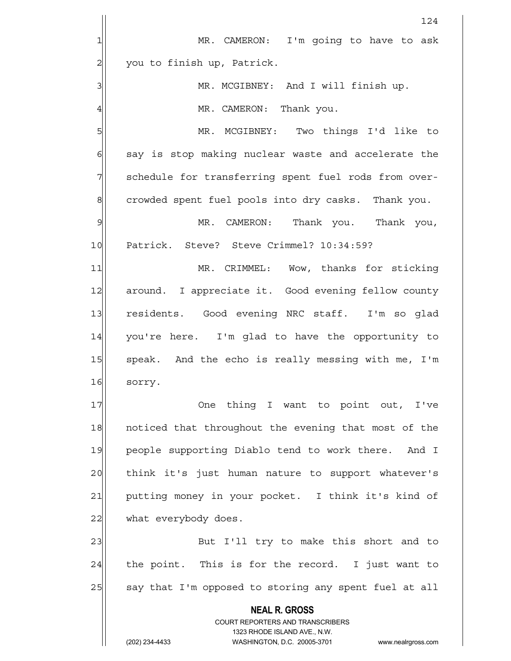|                | 124                                                                                                 |
|----------------|-----------------------------------------------------------------------------------------------------|
| 1              | MR. CAMERON: I'm going to have to ask                                                               |
| $\overline{2}$ | you to finish up, Patrick.                                                                          |
| 3              | MR. MCGIBNEY: And I will finish up.                                                                 |
| 4              | MR. CAMERON: Thank you.                                                                             |
| 5              | MR. MCGIBNEY: Two things I'd like to                                                                |
| 6              | say is stop making nuclear waste and accelerate the                                                 |
| 7              | schedule for transferring spent fuel rods from over-                                                |
| $\mathbf 8$    | crowded spent fuel pools into dry casks. Thank you.                                                 |
| $\mathcal{Q}$  | MR. CAMERON: Thank you. Thank you,                                                                  |
| 10             | Patrick. Steve? Steve Crimmel? 10:34:59?                                                            |
| 11             | MR. CRIMMEL: Wow, thanks for sticking                                                               |
| 12             | around. I appreciate it. Good evening fellow county                                                 |
| 13             | residents. Good evening NRC staff. I'm so glad                                                      |
| 14             | you're here. I'm glad to have the opportunity to                                                    |
| 15             | speak. And the echo is really messing with me, I'm                                                  |
| 16             | sorry.                                                                                              |
| 17             | One thing I want to point out, I've                                                                 |
| 18             | noticed that throughout the evening that most of the                                                |
| 19             | people supporting Diablo tend to work there. And I                                                  |
| 20             | think it's just human nature to support whatever's                                                  |
| 21             | putting money in your pocket. I think it's kind of                                                  |
| 22             | what everybody does.                                                                                |
| 23             | But I'll try to make this short and to                                                              |
| 24             | the point. This is for the record. I just want to                                                   |
| 25             | say that I'm opposed to storing any spent fuel at all                                               |
|                | <b>NEAL R. GROSS</b>                                                                                |
|                | <b>COURT REPORTERS AND TRANSCRIBERS</b>                                                             |
|                | 1323 RHODE ISLAND AVE., N.W.<br>(202) 234-4433<br>WASHINGTON, D.C. 20005-3701<br>www.nealrgross.com |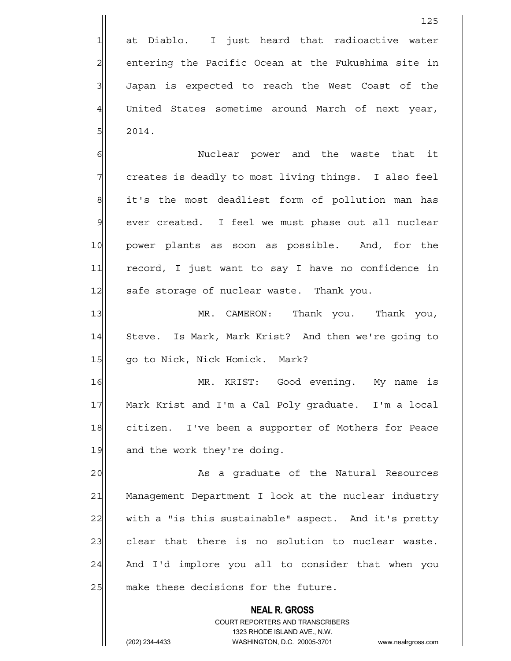1 at Diablo. I just heard that radioactive water  $2$  entering the Pacific Ocean at the Fukushima site in 3 J Japan is expected to reach the West Coast of the 4 United States sometime around March of next year,  $5$ | 2014.

6 | 6| Nuclear power and the waste that it 7 7 The reates is deadly to most living things. I also feel 8 it's the most deadliest form of pollution man has 9 ever created. I feel we must phase out all nuclear 10 power plants as soon as possible. And, for the 11 record, I just want to say I have no confidence in 12 safe storage of nuclear waste. Thank you.

13 MR. CAMERON: Thank you. Thank you, 14 Steve. Is Mark, Mark Krist? And then we're going to 15 | qo to Nick, Nick Homick. Mark?

16 MR. KRIST: Good evening. My name is 17 Mark Krist and I'm a Cal Poly graduate. I'm a local 18 citizen. I've been a supporter of Mothers for Peace 19 and the work they're doing.

20 as a graduate of the Natural Resources 21 Management Department I look at the nuclear industry 22 with a "is this sustainable" aspect. And it's pretty 23 clear that there is no solution to nuclear waste.  $24$  And I'd implore you all to consider that when you  $25$  make these decisions for the future.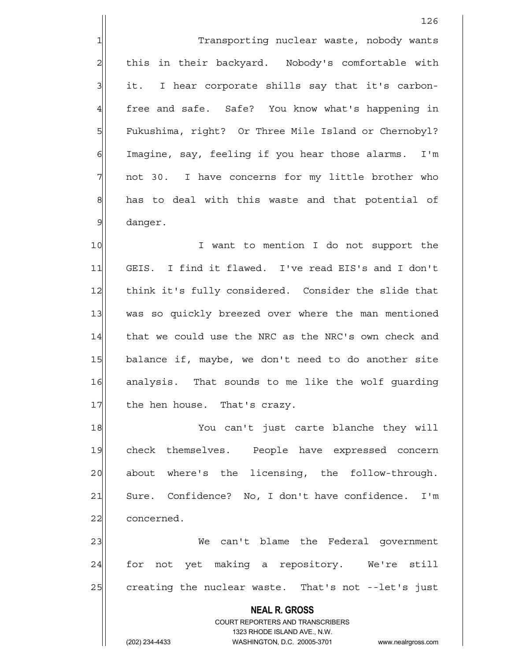1 Transporting nuclear waste, nobody wants 2 | this in their backyard. Nobody's comfortable with  $3$  it. I hear corporate shills say that it's carbon-4 free and safe. Safe? You know what's happening in 5 | Fukushima, right? Or Three Mile Island or Chernobyl? 6 Imagine, say, feeling if you hear those alarms. I'm  $7$  not 30. I have concerns for my little brother who 8 has to deal with this waste and that potential of 9 danger.

10 I want to mention I do not support the 11 GEIS. I find it flawed. I've read EIS's and I don't 12 think it's fully considered. Consider the slide that 13 was so quickly breezed over where the man mentioned 14 that we could use the NRC as the NRC's own check and 15 balance if, maybe, we don't need to do another site 16 analysis. That sounds to me like the wolf quarding 17 the hen house. That's crazy.

18 You can't just carte blanche they will 19 check themselves. People have expressed concern 20 about where's the licensing, the follow-through. 21 Sure. Confidence? No, I don't have confidence. I'm 22 concerned.

23 We can't blame the Federal government 24 for not yet making a repository. We're still 25 creating the nuclear waste. That's not --let's just

## **NEAL R. GROSS** COURT REPORTERS AND TRANSCRIBERS 1323 RHODE ISLAND AVE., N.W.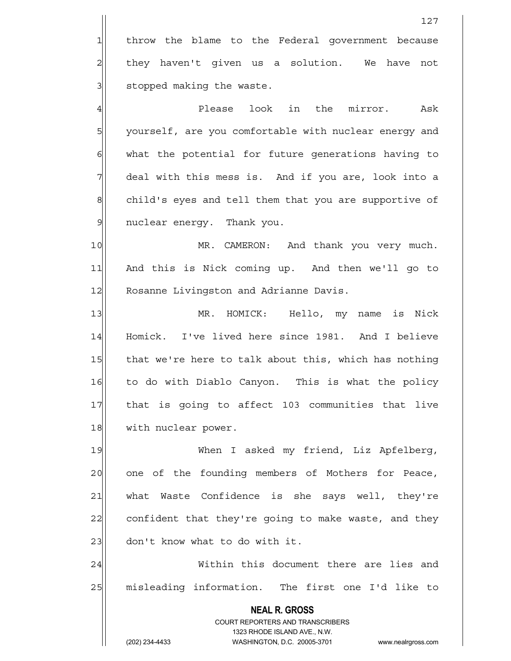1 throw the blame to the Federal government because  $2$  they haven't given us a solution. We have not 3 3 stopped making the waste.

4 | Please look in the mirror. Ask 5 5 5 5 yourself, are you comfortable with nuclear energy and  $6$  what the potential for future generations having to 7 deal with this mess is. And if you are, look into a 8 child's eyes and tell them that you are supportive of 9 | nuclear energy. Thank you.

10 MR. CAMERON: And thank you very much. 11 And this is Nick coming up. And then we'll go to 12 Rosanne Livingston and Adrianne Davis.

13 MR. HOMICK: Hello, my name is Nick 14 Homick. I've lived here since 1981. And I believe 15 that we're here to talk about this, which has nothing 16 to do with Diablo Canyon. This is what the policy 17 that is going to affect 103 communities that live 18 with nuclear power.

19 When I asked my friend, Liz Apfelberg, 20 one of the founding members of Mothers for Peace, 21 what Waste Confidence is she says well, they're 22 confident that they're going to make waste, and they  $23$  don't know what to do with it.

24 Within this document there are lies and 25 misleading information. The first one I'd like to

> **NEAL R. GROSS** COURT REPORTERS AND TRANSCRIBERS 1323 RHODE ISLAND AVE., N.W.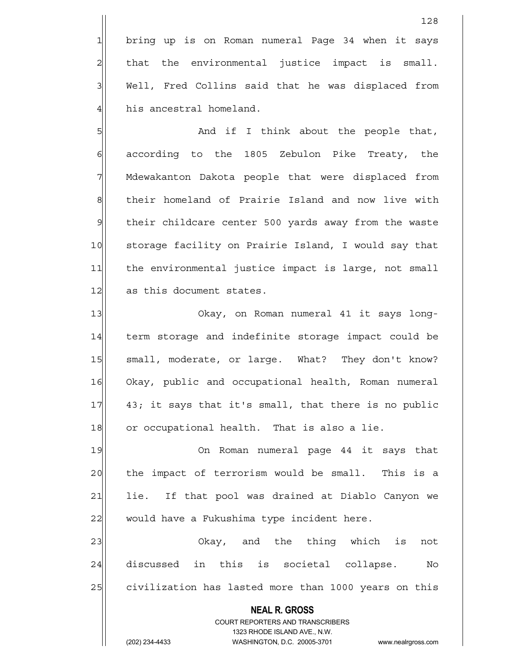1 bring up is on Roman numeral Page 34 when it says  $2$  that the environmental justice impact is small. 3 | Well, Fred Collins said that he was displaced from 4 his ancestral homeland.

5 And if I think about the people that, 6 6 6 6 according to the 1805 Zebulon Pike Treaty, the 7 Mdewakanton Dakota people that were displaced from 8 | their homeland of Prairie Island and now live with 9 | their childcare center 500 yards away from the waste 10 storage facility on Prairie Island, I would say that 11 the environmental justice impact is large, not small 12 as this document states.

13 Okay, on Roman numeral 41 it says long-14 term storage and indefinite storage impact could be 15 | small, moderate, or large. What? They don't know? 16 Okay, public and occupational health, Roman numeral 17 43; it says that it's small, that there is no public 18 or occupational health. That is also a lie.

19 On Roman numeral page 44 it says that 20 | the impact of terrorism would be small. This is a 21 lie. If that pool was drained at Diablo Canyon we 22 would have a Fukushima type incident here.

23 Okay, and the thing which is not 24 discussed in this is societal collapse. No 25 civilization has lasted more than 1000 years on this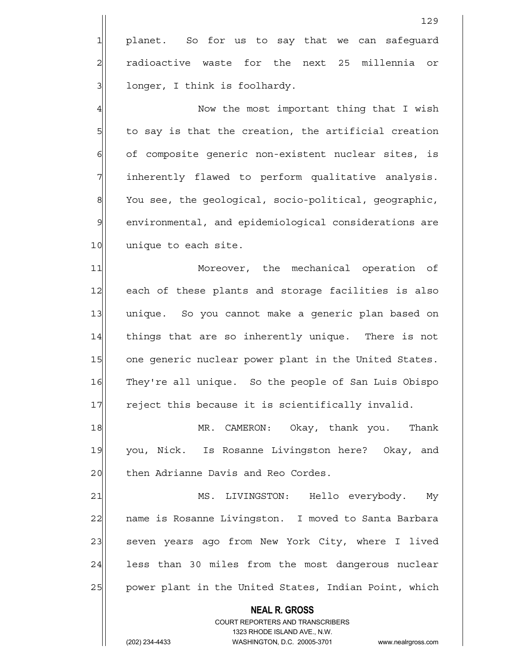4 A Now the most important thing that I wish  $5$  to say is that the creation, the artificial creation 6 of composite generic non-existent nuclear sites, is 7 | inherently flawed to perform qualitative analysis. 8 You see, the geological, socio-political, geographic, 9 environmental, and epidemiological considerations are 10 unique to each site.

11 Moreover, the mechanical operation of 12 each of these plants and storage facilities is also 13 unique. So you cannot make a generic plan based on 14 things that are so inherently unique. There is not 15 one generic nuclear power plant in the United States. 16 They're all unique. So the people of San Luis Obispo 17 reject this because it is scientifically invalid.

18 MR. CAMERON: Okay, thank you. Thank 19 you, Nick. Is Rosanne Livingston here? Okay, and 20 then Adrianne Davis and Reo Cordes.

21 MS. LIVINGSTON: Hello everybody. My 22 | name is Rosanne Livingston. I moved to Santa Barbara 23 seven years ago from New York City, where I lived 24 less than 30 miles from the most dangerous nuclear 25 | power plant in the United States, Indian Point, which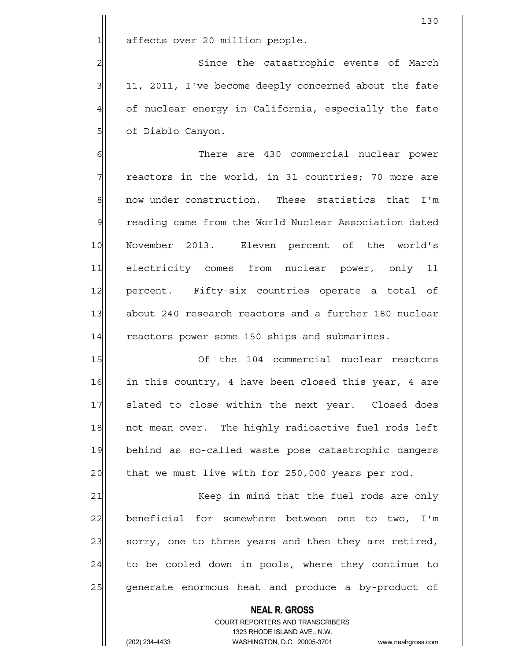$1$  affects over 20 million people.

2 Since the catastrophic events of March 3 11, 2011, I've become deeply concerned about the fate 4 of nuclear energy in California, especially the fate 5| of Diablo Canyon.

6| There are 430 commercial nuclear power  $7$  reactors in the world, in 31 countries; 70 more are 8 8 8 now under construction. These statistics that I'm 9 reading came from the World Nuclear Association dated 10 November 2013. Eleven percent of the world's 11| electricity comes from nuclear power, only 11 12 percent. Fifty-six countries operate a total of 13 about 240 research reactors and a further 180 nuclear 14 reactors power some 150 ships and submarines.

15 Of the 104 commercial nuclear reactors 16 in this country, 4 have been closed this year, 4 are 17 slated to close within the next year. Closed does 18 not mean over. The highly radioactive fuel rods left 19 behind as so-called waste pose catastrophic dangers  $20$  that we must live with for 250,000 years per rod.

21 Keep in mind that the fuel rods are only  $22$  beneficial for somewhere between one to two, I'm 23 | sorry, one to three years and then they are retired,  $24$  to be cooled down in pools, where they continue to 25 generate enormous heat and produce a by-product of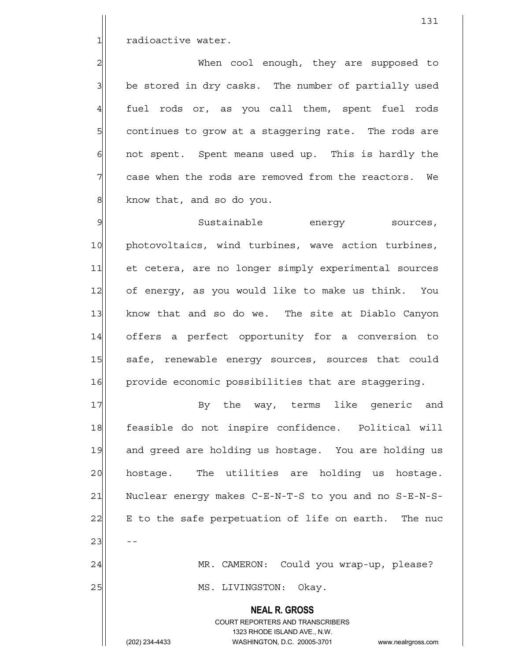1 radioactive water.

2 2 When cool enough, they are supposed to 3 | be stored in dry casks. The number of partially used 4 fuel rods or, as you call them, spent fuel rods 5 5 5 5 solutinues to grow at a staggering rate. The rods are  $6$  not spent. Spent means used up. This is hardly the 7 case when the rods are removed from the reactors. We 8 | know that, and so do you.

9 Sustainable energy sources, 10 photovoltaics, wind turbines, wave action turbines, 11 et cetera, are no longer simply experimental sources 12 of energy, as you would like to make us think. You 13 know that and so do we. The site at Diablo Canyon 14 offers a perfect opportunity for a conversion to 15 safe, renewable energy sources, sources that could 16 provide economic possibilities that are staggering.

17 By the way, terms like generic and 18 feasible do not inspire confidence. Political will 19 and greed are holding us hostage. You are holding us 20 | hostage. The utilities are holding us hostage. 21 Nuclear energy makes C-E-N-T-S to you and no S-E-N-S- $22$  E to the safe perpetuation of life on earth. The nuc  $23$  --24 MR. CAMERON: Could you wrap-up, please? 25 | MS. LIVINGSTON: Okay.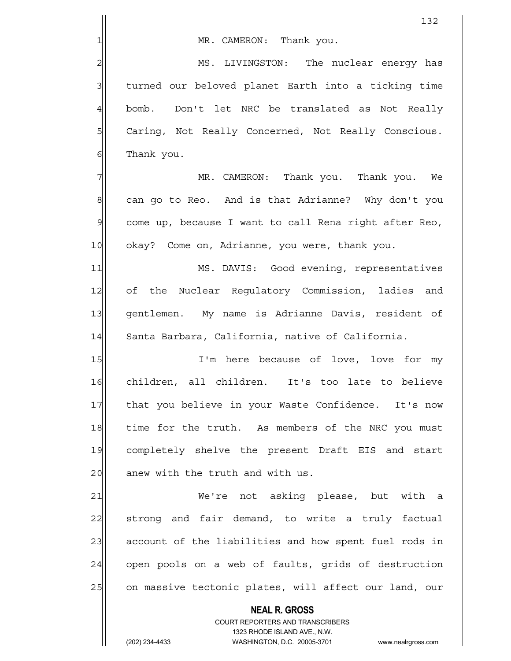1 MR. CAMERON: Thank you.

2 MS. LIVINGSTON: The nuclear energy has 3 3 1 turned our beloved planet Earth into a ticking time 4 bomb. Don't let NRC be translated as Not Really 5 | Caring, Not Really Concerned, Not Really Conscious. 6 Thank you.

7 Thank you. Thank you. We meen thank you. We meen thank you. We 8 can go to Reo. And is that Adrianne? Why don't you 9| come up, because I want to call Rena right after Reo, 10 okay? Come on, Adrianne, you were, thank you.

11 MS. DAVIS: Good evening, representatives 12 of the Nuclear Regulatory Commission, ladies and 13 gentlemen. My name is Adrianne Davis, resident of 14 Santa Barbara, California, native of California.

15 I'm here because of love, love for my 16 children, all children. It's too late to believe 17 | that you believe in your Waste Confidence. It's now 18 time for the truth. As members of the NRC you must 19 completely shelve the present Draft EIS and start 20 anew with the truth and with us.

21 We're not asking please, but with a 22 Strong and fair demand, to write a truly factual 23 account of the liabilities and how spent fuel rods in 24 | open pools on a web of faults, grids of destruction 25 on massive tectonic plates, will affect our land, our

> COURT REPORTERS AND TRANSCRIBERS 1323 RHODE ISLAND AVE., N.W. (202) 234-4433 WASHINGTON, D.C. 20005-3701 www.nealrgross.com

 **NEAL R. GROSS**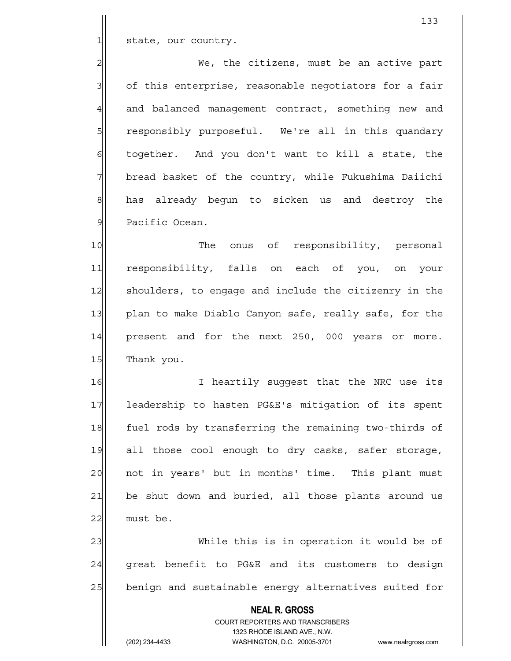1 state, our country.

2 Me, the citizens, must be an active part 3 3 of this enterprise, reasonable negotiators for a fair 4 and balanced management contract, something new and 5 | stesponsibly purposeful. We're all in this quandary 6 6 6 together. And you don't want to kill a state, the 7 bread basket of the country, while Fukushima Daiichi 8 has already begun to sicken us and destroy the 9 Pacific Ocean.

10 The onus of responsibility, personal 11 responsibility, falls on each of you, on your 12 shoulders, to engage and include the citizenry in the 13 plan to make Diablo Canyon safe, really safe, for the  $14$  present and for the next 250, 000 years or more. 15 Thank you.

16 I heartily suggest that the NRC use its 17 leadership to hasten PG&E's mitigation of its spent 18 fuel rods by transferring the remaining two-thirds of 19 all those cool enough to dry casks, safer storage, 20 | not in years' but in months' time. This plant must 21 be shut down and buried, all those plants around us  $22$  must be.

23 While this is in operation it would be of  $24$  great benefit to PG&E and its customers to design 25 benign and sustainable energy alternatives suited for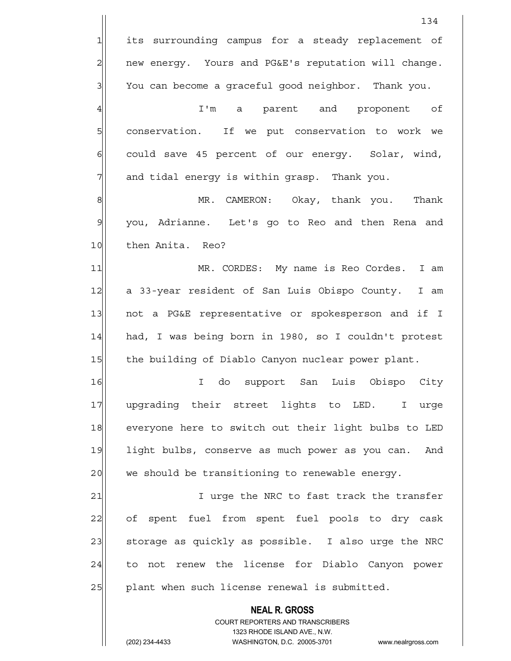|                | 134                                                                                                 |
|----------------|-----------------------------------------------------------------------------------------------------|
| $\mathbf{1}$   | its surrounding campus for a steady replacement of                                                  |
| $\overline{a}$ | new energy. Yours and PG&E's reputation will change.                                                |
| 3              | You can become a graceful good neighbor. Thank you.                                                 |
| $\overline{4}$ | I'm a parent and proponent of                                                                       |
| 5              | conservation. If we put conservation to work we                                                     |
| 6              | could save 45 percent of our energy. Solar, wind,                                                   |
| 7              | and tidal energy is within grasp. Thank you.                                                        |
| $\mathbf{8}$   | MR. CAMERON: Okay, thank you. Thank                                                                 |
| $\mathcal{G}$  | you, Adrianne. Let's go to Reo and then Rena and                                                    |
| 10             | then Anita. Reo?                                                                                    |
| 11             | MR. CORDES: My name is Reo Cordes. I am                                                             |
| 12             | a 33-year resident of San Luis Obispo County.<br>I am                                               |
| 13             | not a PG&E representative or spokesperson and if I                                                  |
| 14             | had, I was being born in 1980, so I couldn't protest                                                |
| 15             | the building of Diablo Canyon nuclear power plant.                                                  |
| 16             | Luis Obispo<br>do<br>support<br>San<br>City<br>I.                                                   |
| 17             | upgrading their street lights to LED. I urge                                                        |
| 18             | everyone here to switch out their light bulbs to LED                                                |
| 19             | light bulbs, conserve as much power as you can. And                                                 |
| 20             | we should be transitioning to renewable energy.                                                     |
| 21             | I urge the NRC to fast track the transfer                                                           |
| 22             | of spent fuel from spent fuel pools to dry cask                                                     |
| 23             | storage as quickly as possible. I also urge the NRC                                                 |
| 24             | not renew the license for Diablo Canyon power<br>to                                                 |
| 25             | plant when such license renewal is submitted.                                                       |
|                | <b>NEAL R. GROSS</b>                                                                                |
|                | COURT REPORTERS AND TRANSCRIBERS                                                                    |
|                | 1323 RHODE ISLAND AVE., N.W.<br>(202) 234-4433<br>WASHINGTON, D.C. 20005-3701<br>www.nealrgross.com |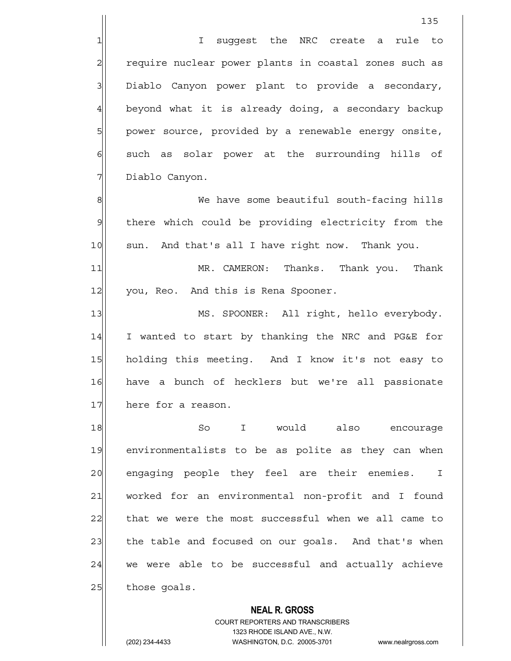1 1 I suqqest the NRC create a rule to 2 require nuclear power plants in coastal zones such as 3 Diablo Canyon power plant to provide a secondary, 4 beyond what it is already doing, a secondary backup 5 | power source, provided by a renewable energy onsite,  $6$  such as solar power at the surrounding hills of 7 Diablo Canyon.

8 Me have some beautiful south-facing hills 9 there which could be providing electricity from the 10 sun. And that's all I have right now. Thank you.

11 MR. CAMERON: Thanks. Thank you. Thank 12 you, Reo. And this is Rena Spooner.

13 MS. SPOONER: All right, hello everybody. 14 I wanted to start by thanking the NRC and PG&E for 15 holding this meeting. And I know it's not easy to 16 have a bunch of hecklers but we're all passionate 17 here for a reason.

18 So I would also encourage 19 environmentalists to be as polite as they can when 20 engaging people they feel are their enemies. I 21 worked for an environmental non-profit and I found 22 that we were the most successful when we all came to 23 the table and focused on our goals. And that's when 24 we were able to be successful and actually achieve  $25$  those goals.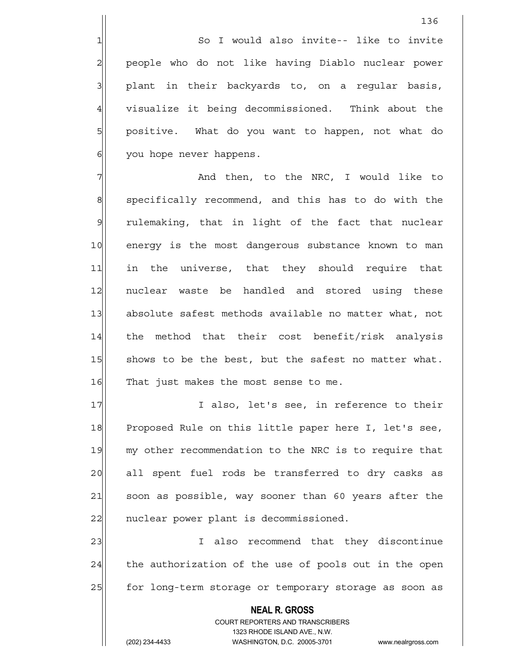1 1 So I would also invite-- like to invite 2 | people who do not like having Diablo nuclear power 3 || plant in their backyards to, on a regular basis, 4 visualize it being decommissioned. Think about the 5 | positive. What do you want to happen, not what do 6 | you hope never happens.

7 The Mand then, to the NRC, I would like to 8 specifically recommend, and this has to do with the  $9$  rulemaking, that in light of the fact that nuclear 10 energy is the most dangerous substance known to man 11 in the universe, that they should require that 12 nuclear waste be handled and stored using these 13 absolute safest methods available no matter what, not  $14$  the method that their cost benefit/risk analysis 15 Shows to be the best, but the safest no matter what. 16 That just makes the most sense to me.

17 I also, let's see, in reference to their 18 Proposed Rule on this little paper here I, let's see, 19 my other recommendation to the NRC is to require that 20 all spent fuel rods be transferred to dry casks as 21 soon as possible, way sooner than 60 years after the 22 | nuclear power plant is decommissioned.

23 also recommend that they discontinue  $24$  the authorization of the use of pools out in the open 25 | for long-term storage or temporary storage as soon as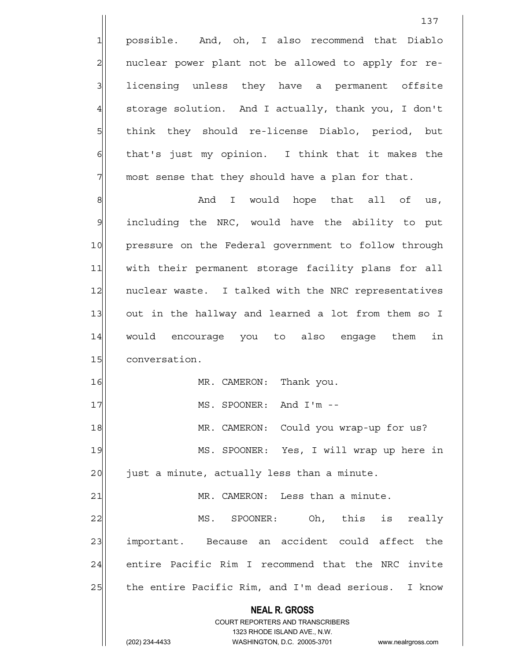1 possible. And, oh, I also recommend that Diablo 2 | nuclear power plant not be allowed to apply for re-3 3 licensing unless they have a permanent offsite 4 storage solution. And I actually, thank you, I don't 5 5 5 5 think they should re-license Diablo, period, but  $6$  that's just my opinion. I think that it makes the  $7$  most sense that they should have a plan for that.

137

 $\left\vert 8\right\vert$  and I would hope that all of us,  $9$  including the NRC, would have the ability to put 10 pressure on the Federal government to follow through 11 | with their permanent storage facility plans for all 12 | nuclear waste. I talked with the NRC representatives 13 out in the hallway and learned a lot from them so I 14 would encourage you to also engage them in 15 conversation. 16 MR. CAMERON: Thank you. 17 and I'm --

18 MR. CAMERON: Could you wrap-up for us? 19 MS. SPOONER: Yes, I will wrap up here in  $20$  just a minute, actually less than a minute.

21 MR. CAMERON: Less than a minute. 22 MS. SPOONER: Oh, this is really 23 | important. Because an accident could affect the 24 entire Pacific Rim I recommend that the NRC invite 25 | the entire Pacific Rim, and I'm dead serious. I know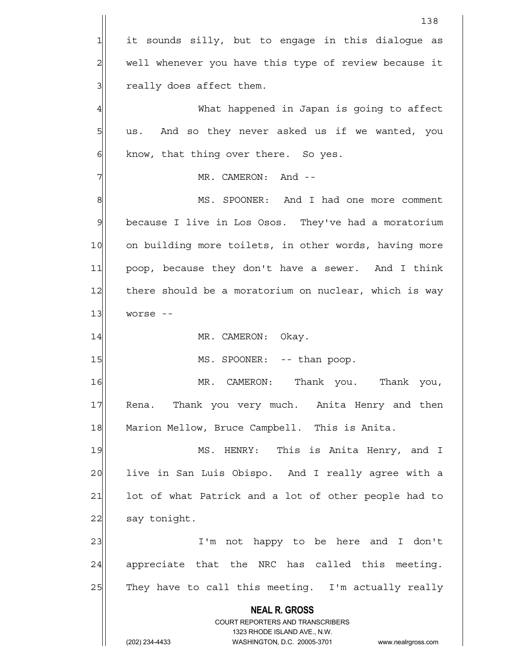**NEAL R. GROSS** COURT REPORTERS AND TRANSCRIBERS 1323 RHODE ISLAND AVE., N.W. (202) 234-4433 WASHINGTON, D.C. 20005-3701 www.nealrgross.com 138 1 it sounds silly, but to engage in this dialogue as 2 well whenever you have this type of review because it 3 3 really does affect them. 4 What happened in Japan is going to affect  $5$  us. And so they never asked us if we wanted, you  $6$  know, that thing over there. So yes. 7 MR. CAMERON: And --8 MS. SPOONER: And I had one more comment 9 because I live in Los Osos. They've had a moratorium 10 on building more toilets, in other words, having more 11 poop, because they don't have a sewer. And I think 12 there should be a moratorium on nuclear, which is way  $13$  worse --14 MR. CAMERON: Okay. 15 | MS. SPOONER: -- than poop. 16 MR. CAMERON: Thank you. Thank you, 17 Rena. Thank you very much. Anita Henry and then 18 Marion Mellow, Bruce Campbell. This is Anita. 19 MS. HENRY: This is Anita Henry, and I 20 live in San Luis Obispo. And I really agree with a 21 | lot of what Patrick and a lot of other people had to 22 say tonight. 23 and I controller in the heart of the most in the monoment of the monomene in the monomene in the 1  $24$  appreciate that the NRC has called this meeting.  $25$  They have to call this meeting. I'm actually really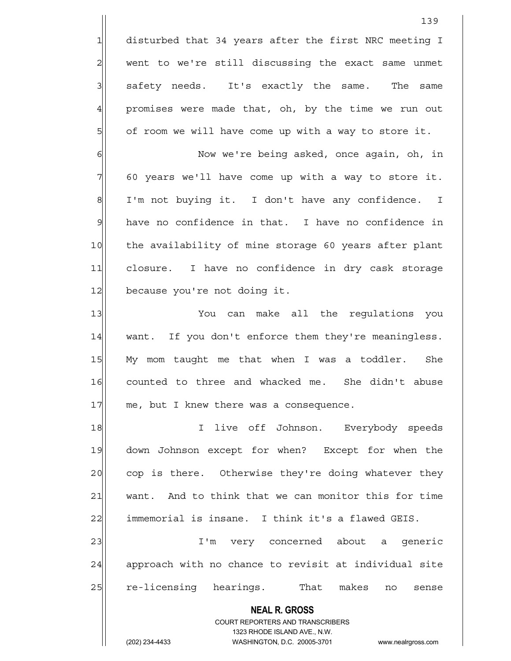1 disturbed that 34 years after the first NRC meeting I 2 went to we're still discussing the exact same unmet 3 | safety needs. It's exactly the same. The same 4 promises were made that, oh, by the time we run out  $5$  of room we will have come up with a way to store it.

6 Now we're being asked, once again, oh, in  $7$  60 years we'll have come up with a way to store it.  $8$  I'm not buying it. I don't have any confidence. I 9 have no confidence in that. I have no confidence in 10 the availability of mine storage 60 years after plant 11 closure. I have no confidence in dry cask storage 12 because you're not doing it.

13 You can make all the requlations you 14 want. If you don't enforce them they're meaningless. 15 My mom taught me that when I was a toddler. She 16 counted to three and whacked me. She didn't abuse 17 me, but I knew there was a consequence.

18 I live off Johnson. Everybody speeds 19 down Johnson except for when? Except for when the 20 cop is there. Otherwise they're doing whatever they 21 want. And to think that we can monitor this for time 22 immemorial is insane. I think it's a flawed GEIS.

23 | I'm very concerned about a generic 24 approach with no chance to revisit at individual site 25 re-licensing hearings. That makes no sense

 **NEAL R. GROSS**

 COURT REPORTERS AND TRANSCRIBERS 1323 RHODE ISLAND AVE., N.W.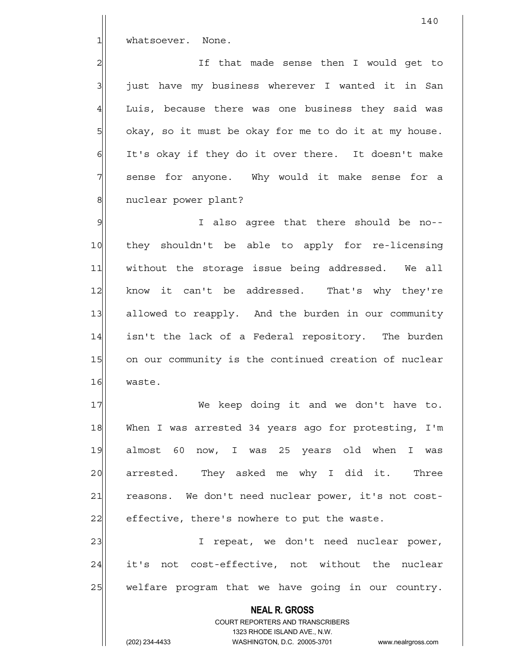1 whatsoever. None.

2 and in that made sense then I would get to  $3$  just have my business wherever I wanted it in San 4 Luis, because there was one business they said was 5 | okay, so it must be okay for me to do it at my house. 6 It's okay if they do it over there. It doesn't make 7 Sense for anyone. Why would it make sense for a 8 | nuclear power plant?

9 I also agree that there should be no--10 they shouldn't be able to apply for re-licensing 11 | without the storage issue being addressed. We all 12 know it can't be addressed. That's why they're 13 allowed to reapply. And the burden in our community 14 isn't the lack of a Federal repository. The burden 15 on our community is the continued creation of nuclear 16 waste.

17 We keep doing it and we don't have to. 18 When I was arrested 34 years ago for protesting, I'm 19 almost 60 now, I was 25 years old when I was 20 arrested. They asked me why I did it. Three 21 reasons. We don't need nuclear power, it's not cost- $22$  effective, there's nowhere to put the waste.

23 | Trepeat, we don't need nuclear power, 24 it's not cost-effective, not without the nuclear 25 | welfare program that we have going in our country.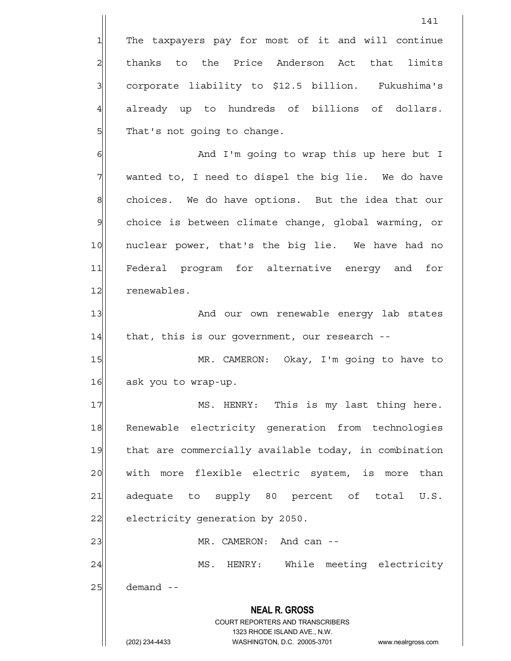**NEAL R. GROSS** COURT REPORTERS AND TRANSCRIBERS 1323 RHODE ISLAND AVE., N.W. 141 1 The taxpayers pay for most of it and will continue 2 | thanks to the Price Anderson Act that limits 3| corporate liability to \$12.5 billion. Fukushima's 4 already up to hundreds of billions of dollars. 5 | That's not going to change. 6 6 And I'm going to wrap this up here but I 7 Wanted to, I need to dispel the big lie. We do have 8 choices. We do have options. But the idea that our 9 choice is between climate change, global warming, or 10 | nuclear power, that's the big lie. We have had no 11 Federal program for alternative energy and for 12 renewables. 13 And our own renewable energy lab states 14 that, this is our government, our research --15 MR. CAMERON: Okay, I'm going to have to 16 ask you to wrap-up. 17 MS. HENRY: This is my last thing here. 18 Renewable electricity generation from technologies 19 that are commercially available today, in combination 20 with more flexible electric system, is more than 21 adequate to supply 80 percent of total U.S. 22 electricity generation by 2050. 23 and can --24 MS. HENRY: While meeting electricity  $25$  demand  $-$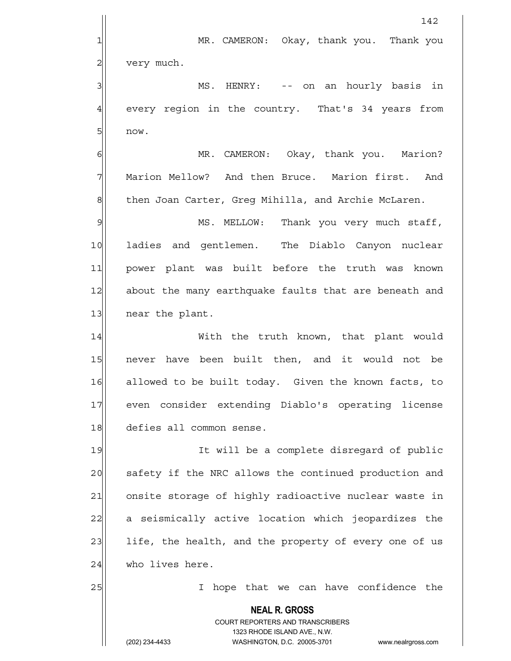**NEAL R. GROSS** COURT REPORTERS AND TRANSCRIBERS 1323 RHODE ISLAND AVE., N.W. (202) 234-4433 WASHINGTON, D.C. 20005-3701 www.nealrgross.com 142 1 MR. CAMERON: Okay, thank you. Thank you 2 very much. 3 MS. HENRY: -- on an hourly basis in 4 every region in the country. That's 34 years from  $5$  now. 6 MR. CAMERON: Okay, thank you. Marion? 7 Marion Mellow? And then Bruce. Marion first. And 8 then Joan Carter, Greg Mihilla, and Archie McLaren. 9 MS. MELLOW: Thank you very much staff, 10 ladies and gentlemen. The Diablo Canyon nuclear 11 power plant was built before the truth was known 12 about the many earthquake faults that are beneath and 13 near the plant. 14 With the truth known, that plant would 15 never have been built then, and it would not be 16 allowed to be built today. Given the known facts, to 17 even consider extending Diablo's operating license 18 defies all common sense. 19 It will be a complete disregard of public 20 safety if the NRC allows the continued production and 21 onsite storage of highly radioactive nuclear waste in 22 a seismically active location which jeopardizes the 23 life, the health, and the property of every one of us 24 who lives here. 25 I hope that we can have confidence the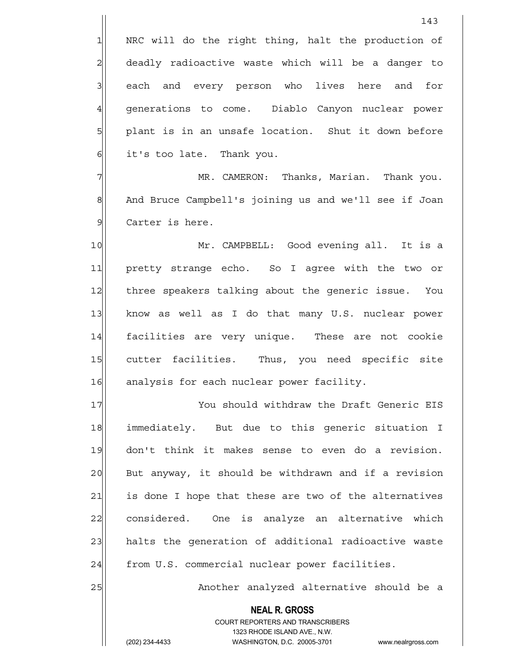5 | plant is in an unsafe location. Shut it down before  $6$  it's too late. Thank you.

7 MR. CAMERON: Thanks, Marian. Thank you. 8 And Bruce Campbell's joining us and we'll see if Joan 9 Carter is here.

10 Mr. CAMPBELL: Good evening all. It is a 11 pretty strange echo. So I agree with the two or 12 three speakers talking about the generic issue. You 13 know as well as I do that many U.S. nuclear power 14 facilities are very unique. These are not cookie 15 cutter facilities. Thus, you need specific site 16 analysis for each nuclear power facility.

17 You should withdraw the Draft Generic EIS 18 immediately. But due to this generic situation I 19 don't think it makes sense to even do a revision. 20 But anyway, it should be withdrawn and if a revision 21 is done I hope that these are two of the alternatives 22 considered. One is analyze an alternative which 23 halts the generation of additional radioactive waste 24 from U.S. commercial nuclear power facilities.

25 | Another analyzed alternative should be a

 **NEAL R. GROSS** COURT REPORTERS AND TRANSCRIBERS

1323 RHODE ISLAND AVE., N.W.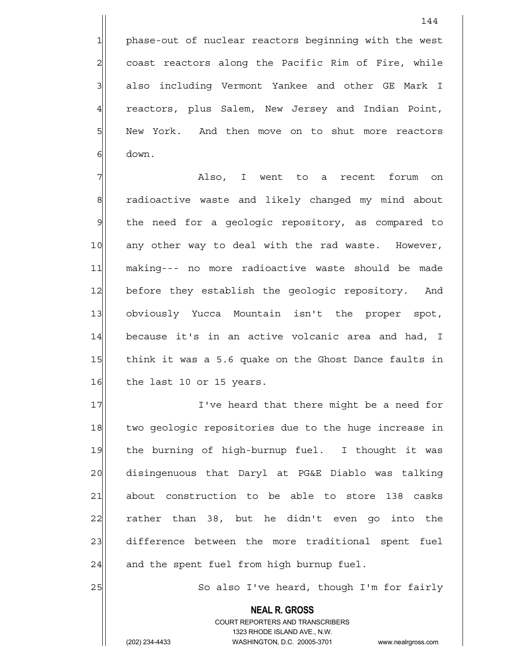1 phase-out of nuclear reactors beginning with the west 2| coast reactors along the Pacific Rim of Fire, while 3 | also including Vermont Yankee and other GE Mark I 4 reactors, plus Salem, New Jersey and Indian Point, 5 | New York. And then move on to shut more reactors 6 down.

7 | XIso, I went to a recent forum on 8 8 8 8 radioactive waste and likely changed my mind about 9 | the need for a geologic repository, as compared to 10 any other way to deal with the rad waste. However, 11 making--- no more radioactive waste should be made 12 before they establish the geologic repository. And 13 obviously Yucca Mountain isn't the proper spot, 14 because it's in an active volcanic area and had, I 15 think it was a 5.6 quake on the Ghost Dance faults in 16 the last 10 or 15 years.

17 I've heard that there might be a need for 18 two geologic repositories due to the huge increase in 19 the burning of high-burnup fuel. I thought it was 20 disingenuous that Daryl at PG&E Diablo was talking 21 about construction to be able to store 138 casks  $22$  rather than 38, but he didn't even go into the 23 difference between the more traditional spent fuel  $24$  and the spent fuel from high burnup fuel.

25 | So also I've heard, though I'm for fairly

 **NEAL R. GROSS** COURT REPORTERS AND TRANSCRIBERS 1323 RHODE ISLAND AVE., N.W. (202) 234-4433 WASHINGTON, D.C. 20005-3701 www.nealrgross.com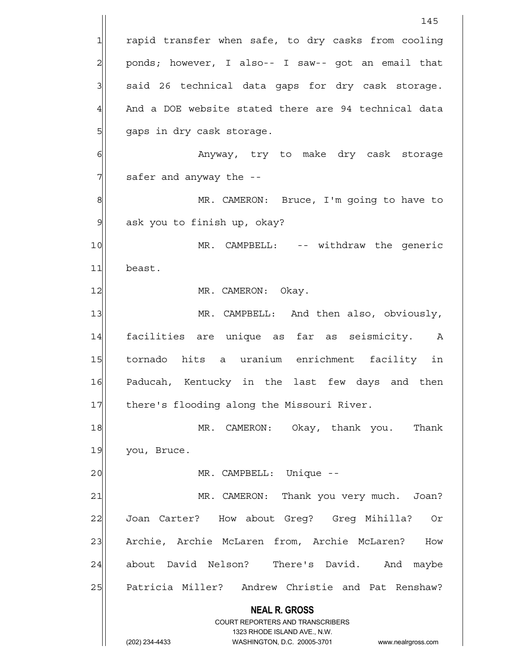**NEAL R. GROSS** COURT REPORTERS AND TRANSCRIBERS 1323 RHODE ISLAND AVE., N.W. (202) 234-4433 WASHINGTON, D.C. 20005-3701 www.nealrgross.com 145 1 rapid transfer when safe, to dry casks from cooling 2 ponds; however, I also-- I saw-- got an email that  $3$  said 26 technical data gaps for dry cask storage.  $4$  And a DOE website stated there are 94 technical data 5 | gaps in dry cask storage. 6 | Anyway, try to make dry cask storage  $7$  safer and anyway the  $-$ 8 MR. CAMERON: Bruce, I'm going to have to 9 ask you to finish up, okay? 10 MR. CAMPBELL: -- withdraw the generic 11 beast. 12 MR. CAMERON: Okay. 13 MR. CAMPBELL: And then also, obviously, 14 facilities are unique as far as seismicity. A 15 tornado hits a uranium enrichment facility in 16 Paducah, Kentucky in the last few days and then 17 there's flooding along the Missouri River. 18 MR. CAMERON: Okay, thank you. Thank 19 you, Bruce. 20 | MR. CAMPBELL: Unique --21 MR. CAMERON: Thank you very much. Joan? 22 Joan Carter? How about Greg? Greg Mihilla? Or 23 | Archie, Archie McLaren from, Archie McLaren? How 24 about David Nelson? There's David. And maybe 25 Patricia Miller? Andrew Christie and Pat Renshaw?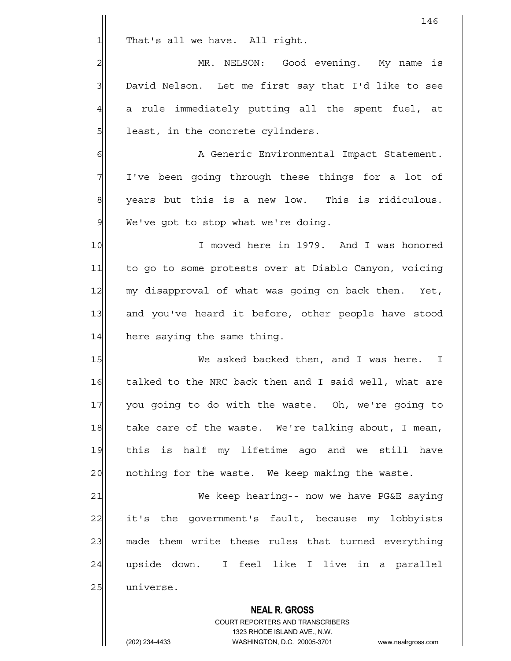$1$  That's all we have. All right.

2 | MR. NELSON: Good evening. My name is 3 David Nelson. Let me first say that I'd like to see  $4$  a rule immediately putting all the spent fuel, at 5 | least, in the concrete cylinders.

6 | A Generic Environmental Impact Statement. 7 I've been going through these things for a lot of 8 years but this is a new low. This is ridiculous.  $9$  We've got to stop what we're doing.

10 I moved here in 1979. And I was honored 11 to go to some protests over at Diablo Canyon, voicing 12 my disapproval of what was going on back then. Yet, 13 and you've heard it before, other people have stood 14 here saying the same thing.

15 IS We asked backed then, and I was here. I 16 talked to the NRC back then and I said well, what are 17 you going to do with the waste. Oh, we're going to 18 take care of the waste. We're talking about, I mean, 19 this is half my lifetime ago and we still have 20 | nothing for the waste. We keep making the waste.

21 We keep hearing-- now we have PG&E saying 22 it's the government's fault, because my lobbyists 23 made them write these rules that turned everything 24 | upside down. I feel like I live in a parallel 25 universe.

> **NEAL R. GROSS** COURT REPORTERS AND TRANSCRIBERS 1323 RHODE ISLAND AVE., N.W. (202) 234-4433 WASHINGTON, D.C. 20005-3701 www.nealrgross.com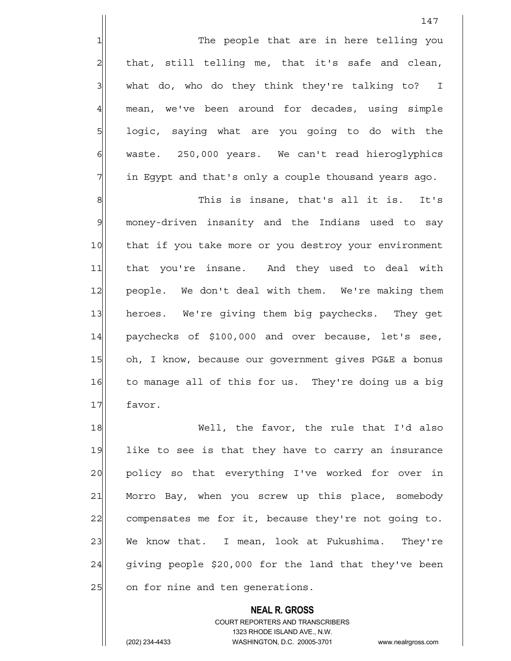1 1 The people that are in here telling you  $2$  that, still telling me, that it's safe and clean,  $3$  what do, who do they think they're talking to? I 4 mean, we've been around for decades, using simple 5| logic, saying what are you going to do with the 6 | waste. 250,000 years. We can't read hieroglyphics 7 1 in Egypt and that's only a couple thousand years ago.

8 8 This is insane, that's all it is. It's 9 money-driven insanity and the Indians used to say 10 that if you take more or you destroy your environment 11 that you're insane. And they used to deal with 12 people. We don't deal with them. We're making them 13 heroes. We're giving them big paychecks. They get 14 paychecks of \$100,000 and over because, let's see, 15 oh, I know, because our government gives PG&E a bonus 16 to manage all of this for us. They're doing us a big 17 favor.

18 Well, the favor, the rule that I'd also 19 like to see is that they have to carry an insurance 20 policy so that everything I've worked for over in 21 Morro Bay, when you screw up this place, somebody 22 compensates me for it, because they're not going to. 23 We know that. I mean, look at Fukushima. They're  $24$  giving people \$20,000 for the land that they've been 25 on for nine and ten generations.

> **NEAL R. GROSS** COURT REPORTERS AND TRANSCRIBERS 1323 RHODE ISLAND AVE., N.W. (202) 234-4433 WASHINGTON, D.C. 20005-3701 www.nealrgross.com